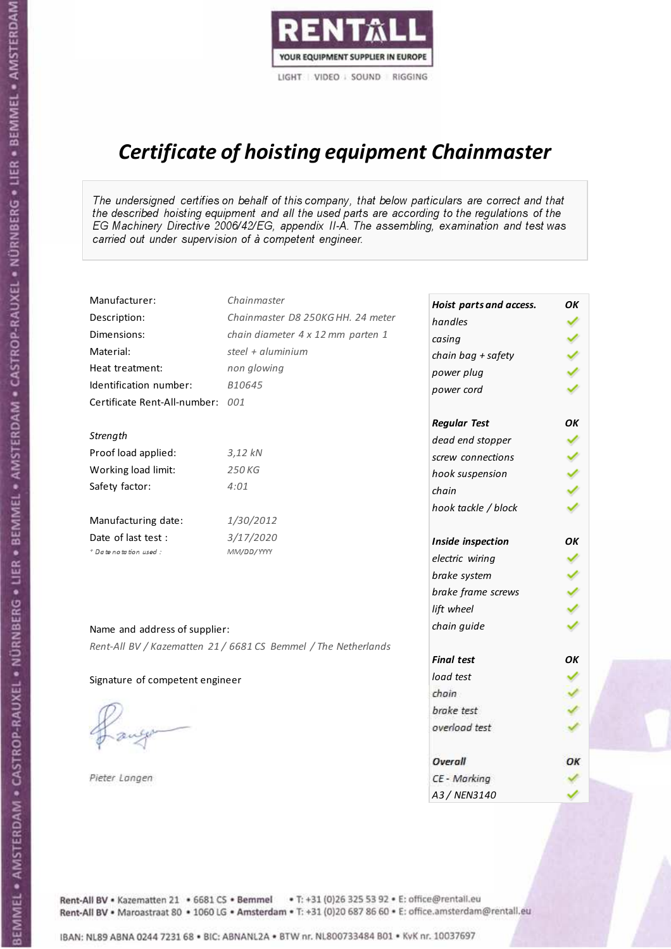

# Certificate of hoisting equipment Chainmaster

The undersigned certifies on behalf of this company, that below particulars are correct and that the described hoisting equipment and all the used parts are according to the regulations of the EG Machinery Directive 2006/42/EG, appendix II-A. The assembling, examination and test was carried out under supervision of à competent engineer.

| Manufacturer:                    | Chainmaster                                                    | Hoist parts and access. | OΚ  |
|----------------------------------|----------------------------------------------------------------|-------------------------|-----|
| Description:                     | Chainmaster D8 250KG HH. 24 meter                              | handles                 | ✓   |
| Dimensions:                      | chain diameter 4 x 12 mm parten 1                              | casing                  |     |
| Material:                        | steel + aluminium                                              | chain bag + safety      |     |
| Heat treatment:                  | non glowing                                                    | power plug              |     |
| Identification number:           | B10645                                                         | power cord              |     |
| Certificate Rent-All-number: 001 |                                                                |                         |     |
|                                  |                                                                | <b>Regular Test</b>     | OK  |
| Strength                         |                                                                | dead end stopper        | ✔   |
| Proof load applied:              | 3,12 kN                                                        | screw connections       |     |
| Working load limit:              | 250 KG                                                         | hook suspension         |     |
| Safety factor:                   | 4:01                                                           | chain                   | くくく |
|                                  |                                                                | hook tackle / block     |     |
| Manufacturing date:              | 1/30/2012                                                      |                         |     |
| Date of last test :              | 3/17/2020                                                      | Inside inspection       | OK  |
| * Date notation used :           | MM/DD/YYYY                                                     | electric wiring         |     |
|                                  |                                                                | brake system            |     |
|                                  |                                                                | brake frame screws      |     |
|                                  |                                                                | lift wheel              |     |
| Name and address of supplier:    |                                                                | chain guide             |     |
|                                  | Rent-All BV / Kazematten 21 / 6681 CS Bemmel / The Netherlands |                         |     |
|                                  |                                                                | <b>Final test</b>       | OK  |
| Signature of competent engineer  |                                                                | load test               |     |
|                                  |                                                                | chain                   |     |
|                                  |                                                                | brake test              |     |
|                                  |                                                                | overload test           |     |
|                                  |                                                                | <b>Overall</b>          | ОК  |
| Pieter Langen                    |                                                                | CE - Marking            |     |
|                                  |                                                                | A3 / NEN3140            |     |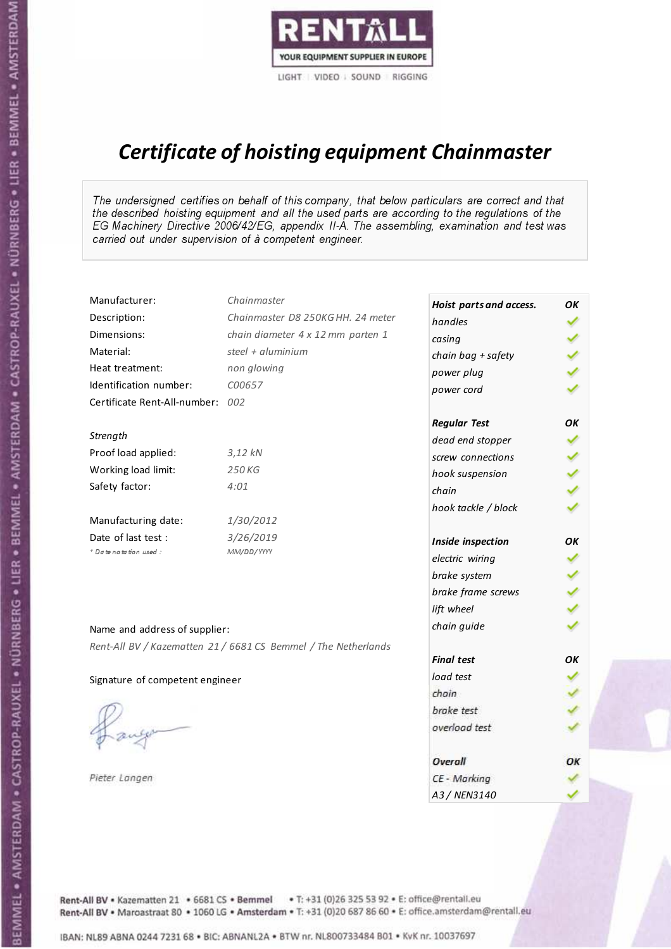

# Certificate of hoisting equipment Chainmaster

The undersigned certifies on behalf of this company, that below particulars are correct and that the described hoisting equipment and all the used parts are according to the regulations of the EG Machinery Directive 2006/42/EG, appendix II-A. The assembling, examination and test was carried out under supervision of à competent engineer.

| Manufacturer:                    | Chainmaster                                                    | Hoist parts and access. | OK  |
|----------------------------------|----------------------------------------------------------------|-------------------------|-----|
| Description:                     | Chainmaster D8 250KG HH. 24 meter                              | handles                 |     |
| Dimensions:                      | chain diameter 4 x 12 mm parten 1                              | casing                  |     |
| Material:                        | steel + aluminium                                              | chain bag + safety      |     |
| Heat treatment:                  | non glowing                                                    | power plug              |     |
| Identification number:           | C00657                                                         | power cord              |     |
| Certificate Rent-All-number: 002 |                                                                |                         |     |
|                                  |                                                                | <b>Regular Test</b>     | OK  |
| Strength                         |                                                                | dead end stopper        |     |
| Proof load applied:              | $3,12$ kN                                                      | screw connections       |     |
| Working load limit:              | 250 KG                                                         | hook suspension         |     |
| Safety factor:                   | 4:01                                                           | chain                   | くくく |
|                                  |                                                                | hook tackle / block     |     |
| Manufacturing date:              | 1/30/2012                                                      |                         |     |
| Date of last test :              | 3/26/2019                                                      | Inside inspection       | OΚ  |
| + Date notation used:            | MM/DD/YYYY                                                     | electric wiring         |     |
|                                  |                                                                | brake system            | ✔   |
|                                  |                                                                | brake frame screws      |     |
|                                  |                                                                | lift wheel              |     |
| Name and address of supplier:    |                                                                | chain guide             |     |
|                                  | Rent-All BV / Kazematten 21 / 6681 CS Bemmel / The Netherlands |                         |     |
|                                  |                                                                | <b>Final test</b>       | OK  |
| Signature of competent engineer  |                                                                | load test               |     |
|                                  |                                                                | chain                   |     |
|                                  |                                                                | brake test              |     |
|                                  |                                                                | overload test           |     |
|                                  |                                                                | Overall                 | ОК  |
| Pieter Langen                    |                                                                | CE - Marking            |     |
|                                  |                                                                | A3 / NEN3140            |     |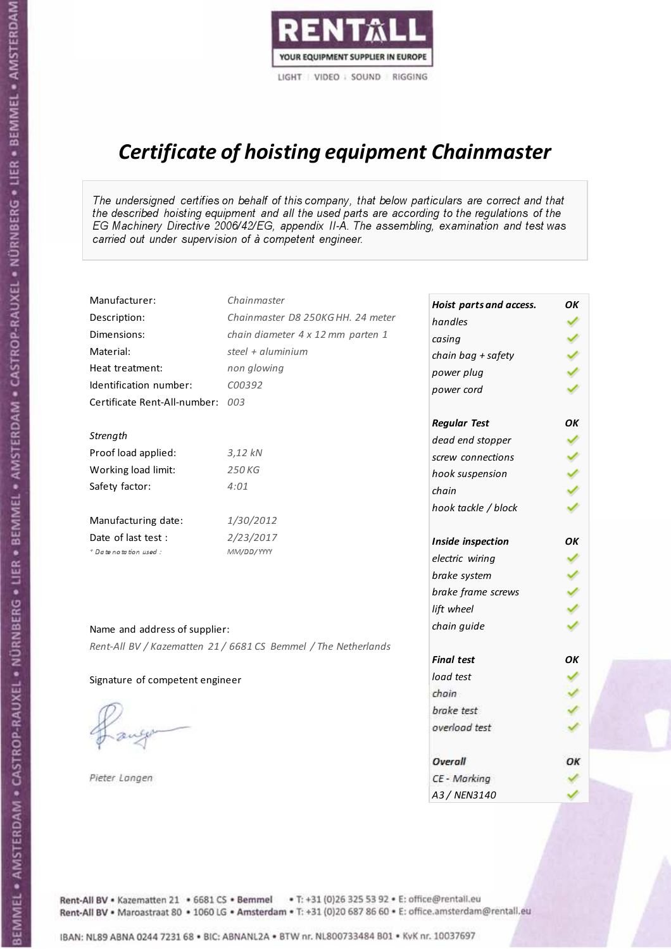

# Certificate of hoisting equipment Chainmaster

The undersigned certifies on behalf of this company, that below particulars are correct and that the described hoisting equipment and all the used parts are according to the regulations of the EG Machinery Directive 2006/42/EG, appendix II-A. The assembling, examination and test was carried out under supervision of à competent engineer.

| Manufacturer:                    | Chainmaster                                                    | Hoist parts and access. | OK  |
|----------------------------------|----------------------------------------------------------------|-------------------------|-----|
| Description:                     | Chainmaster D8 250KG HH. 24 meter                              | handles                 |     |
| Dimensions:                      | chain diameter 4 x 12 mm parten 1                              | casing                  |     |
| Material:                        | steel + aluminium                                              | chain bag + safety      |     |
| Heat treatment:                  | non glowing                                                    | power plug              |     |
| Identification number:           | C00392                                                         | power cord              |     |
| Certificate Rent-All-number: 003 |                                                                |                         |     |
|                                  |                                                                | <b>Regular Test</b>     | ОΚ  |
| Strength                         |                                                                | dead end stopper        | ✔   |
| Proof load applied:              | 3,12 kN                                                        | screw connections       |     |
| Working load limit:              | 250 KG                                                         | hook suspension         |     |
| Safety factor:                   | 4:01                                                           | chain                   | くくく |
|                                  |                                                                | hook tackle / block     |     |
| Manufacturing date:              | 1/30/2012                                                      |                         |     |
| Date of last test :              | 2/23/2017                                                      | Inside inspection       | OK  |
| + Date notation used:            | MM/DD/YYYY                                                     | electric wiring         | ✓   |
|                                  |                                                                | brake system            |     |
|                                  |                                                                | brake frame screws      |     |
|                                  |                                                                | lift wheel              | くくく |
| Name and address of supplier:    |                                                                | chain guide             |     |
|                                  | Rent-All BV / Kazematten 21 / 6681 CS Bemmel / The Netherlands |                         |     |
|                                  |                                                                | <b>Final test</b>       | OK  |
| Signature of competent engineer  |                                                                | load test               |     |
|                                  |                                                                | chain                   |     |
|                                  |                                                                | brake test              |     |
|                                  |                                                                | overload test           |     |
|                                  |                                                                | Overall                 | ОК  |
| Pieter Langen                    |                                                                | CE - Marking            |     |
|                                  |                                                                | A3 / NEN3140            |     |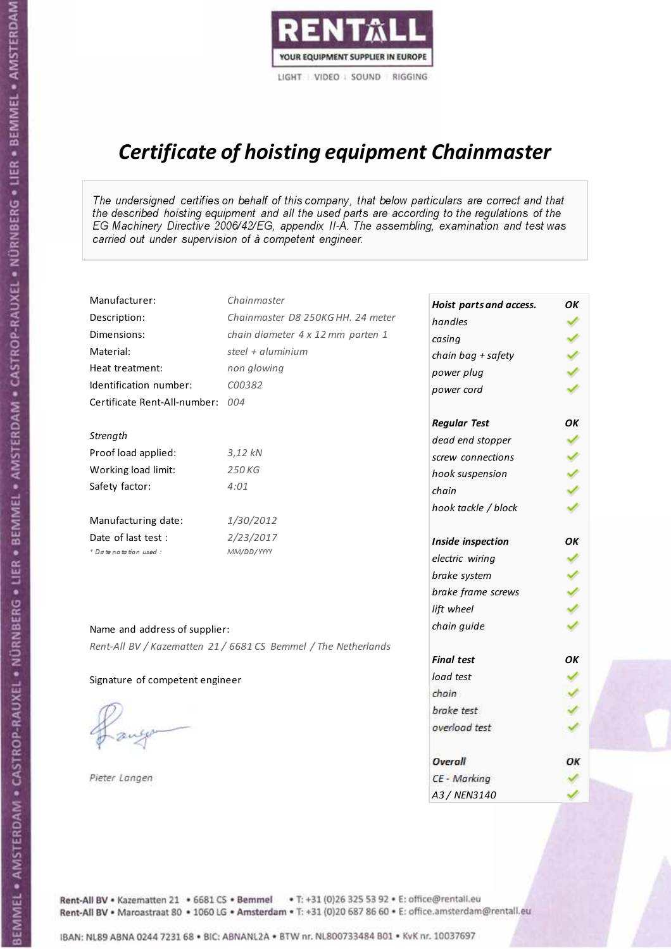

# Certificate of hoisting equipment Chainmaster

The undersigned certifies on behalf of this company, that below particulars are correct and that the described hoisting equipment and all the used parts are according to the regulations of the EG Machinery Directive 2006/42/EG, appendix II-A. The assembling, examination and test was carried out under supervision of à competent engineer.

| Manufacturer:                    | Chainmaster                                                    | Hoist parts and access. | ОΚ  |
|----------------------------------|----------------------------------------------------------------|-------------------------|-----|
| Description:                     | Chainmaster D8 250KG HH. 24 meter                              | handles                 | ✓   |
| Dimensions:                      | chain diameter 4 x 12 mm parten 1                              | casing                  |     |
| Material:                        | steel + aluminium                                              | chain bag + safety      |     |
| Heat treatment:                  | non glowing                                                    | power plug              |     |
| Identification number:           | C00382                                                         | power cord              |     |
| Certificate Rent-All-number: 004 |                                                                |                         |     |
|                                  |                                                                | <b>Regular Test</b>     | OK  |
| Strength                         |                                                                | dead end stopper        | ✔   |
| Proof load applied:              | $3,12$ $kN$                                                    | screw connections       |     |
| Working load limit:              | 250 KG                                                         | hook suspension         |     |
| Safety factor:                   | 4:01                                                           | chain                   | くくく |
|                                  |                                                                | hook tackle / block     |     |
| Manufacturing date:              | 1/30/2012                                                      |                         |     |
| Date of last test :              | 2/23/2017                                                      | Inside inspection       | OK  |
| * Date notation used :           | MM/DD/YYYY                                                     | electric wiring         | ✔   |
|                                  |                                                                | brake system            |     |
|                                  |                                                                | brake frame screws      |     |
|                                  |                                                                | lift wheel              |     |
| Name and address of supplier:    |                                                                | chain guide             |     |
|                                  | Rent-All BV / Kazematten 21 / 6681 CS Bemmel / The Netherlands |                         |     |
|                                  |                                                                | <b>Final test</b>       | OK  |
| Signature of competent engineer  |                                                                | load test               |     |
|                                  |                                                                | chain                   |     |
|                                  |                                                                | brake test              |     |
|                                  |                                                                | overload test           |     |
|                                  |                                                                |                         |     |
|                                  |                                                                | Overall                 | OK  |
| Pieter Langen                    |                                                                | CE - Marking            |     |
|                                  |                                                                | A3 / NEN3140            |     |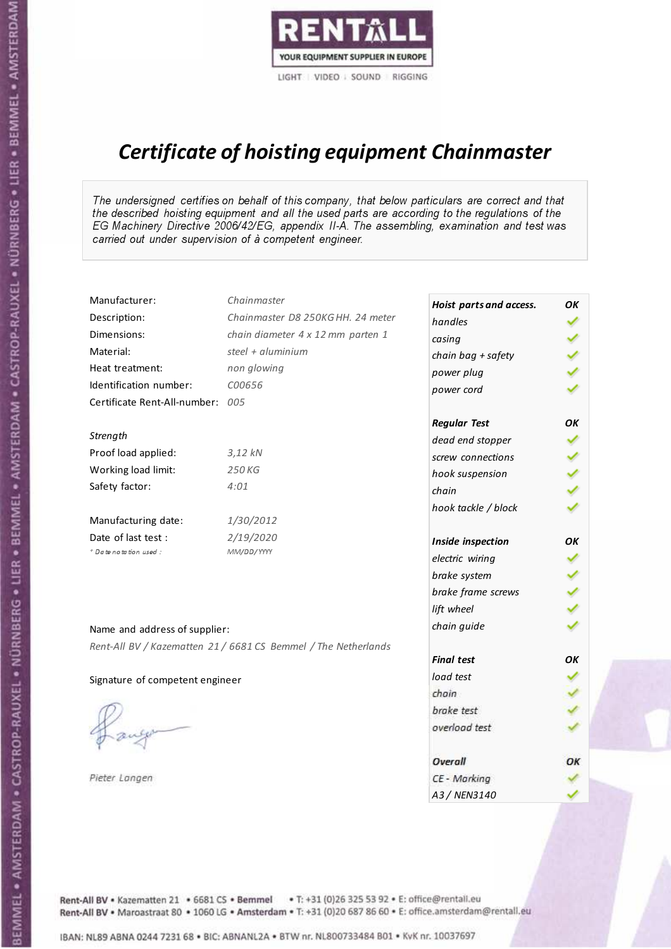

# Certificate of hoisting equipment Chainmaster

The undersigned certifies on behalf of this company, that below particulars are correct and that the described hoisting equipment and all the used parts are according to the regulations of the EG Machinery Directive 2006/42/EG, appendix II-A. The assembling, examination and test was carried out under supervision of à competent engineer.

| Manufacturer:                    | Chainmaster                                                    | Hoist parts and access. | OK  |
|----------------------------------|----------------------------------------------------------------|-------------------------|-----|
| Description:                     | Chainmaster D8 250KG HH. 24 meter                              | handles                 |     |
| Dimensions:                      | chain diameter 4 x 12 mm parten 1                              | casing                  |     |
| Material:                        | steel + aluminium                                              | chain bag + safety      |     |
| Heat treatment:                  | non glowing                                                    | power plug              |     |
| Identification number:           | C00656                                                         | power cord              |     |
| Certificate Rent-All-number: 005 |                                                                |                         |     |
|                                  |                                                                | <b>Regular Test</b>     | OK  |
| Strength                         |                                                                | dead end stopper        | ✔   |
| Proof load applied:              | 3,12 kN                                                        | screw connections       |     |
| Working load limit:              | 250 KG                                                         | hook suspension         |     |
| Safety factor:                   | 4:01                                                           | chain                   | くくく |
|                                  |                                                                | hook tackle / block     |     |
| Manufacturing date:              | 1/30/2012                                                      |                         |     |
| Date of last test :              | 2/19/2020                                                      | Inside inspection       | ОΚ  |
| + Date notation used :           | MM/DD/YYYY                                                     | electric wiring         | ✓   |
|                                  |                                                                | brake system            |     |
|                                  |                                                                | brake frame screws      |     |
|                                  |                                                                | lift wheel              |     |
| Name and address of supplier:    |                                                                | chain guide             |     |
|                                  | Rent-All BV / Kazematten 21 / 6681 CS Bemmel / The Netherlands |                         |     |
|                                  |                                                                | <b>Final test</b>       | OK  |
| Signature of competent engineer  |                                                                | load test               |     |
|                                  |                                                                | chain                   |     |
|                                  |                                                                | brake test              |     |
|                                  |                                                                | overload test           |     |
|                                  |                                                                | Overall                 | ОК  |
| Pieter Langen                    |                                                                | CE - Marking            |     |
|                                  |                                                                | A3 / NEN3140            |     |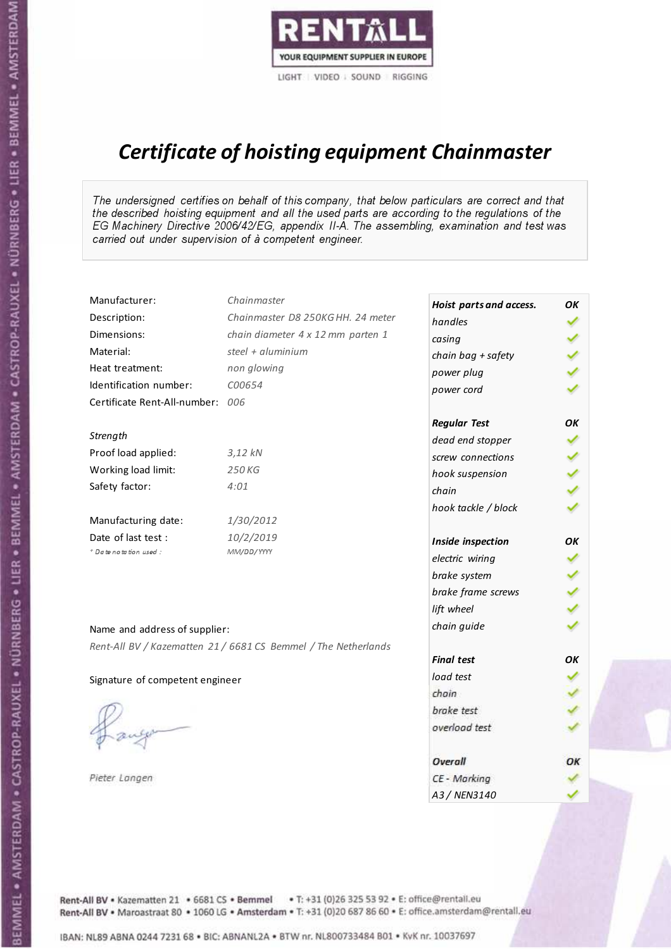

# Certificate of hoisting equipment Chainmaster

The undersigned certifies on behalf of this company, that below particulars are correct and that the described hoisting equipment and all the used parts are according to the regulations of the EG Machinery Directive 2006/42/EG, appendix II-A. The assembling, examination and test was carried out under supervision of à competent engineer.

| Manufacturer:                    | Chainmaster                                                    | Hoist parts and access. | OK  |
|----------------------------------|----------------------------------------------------------------|-------------------------|-----|
| Description:                     | Chainmaster D8 250KG HH. 24 meter                              | handles                 |     |
| Dimensions:                      | chain diameter 4 x 12 mm parten 1                              | casing                  |     |
| Material:                        | steel + aluminium                                              | chain bag + safety      |     |
| Heat treatment:                  | non glowing                                                    | power plug              |     |
| Identification number:           | C00654                                                         | power cord              |     |
| Certificate Rent-All-number: 006 |                                                                |                         |     |
|                                  |                                                                | <b>Regular Test</b>     | OK  |
| Strength                         |                                                                | dead end stopper        |     |
| Proof load applied:              | $3,12$ kN                                                      | screw connections       |     |
| Working load limit:              | 250KG                                                          | hook suspension         |     |
| Safety factor:                   | 4:01                                                           | chain                   | くくく |
|                                  |                                                                | hook tackle / block     |     |
| Manufacturing date:              | 1/30/2012                                                      |                         |     |
| Date of last test:               | 10/2/2019                                                      | Inside inspection       | ΟK  |
| + Date notation used:            | MM/DD/YYYY                                                     | electric wiring         |     |
|                                  |                                                                | brake system            | ✔   |
|                                  |                                                                | brake frame screws      |     |
|                                  |                                                                | lift wheel              |     |
| Name and address of supplier:    |                                                                | chain guide             |     |
|                                  | Rent-All BV / Kazematten 21 / 6681 CS Bemmel / The Netherlands |                         |     |
|                                  |                                                                | <b>Final test</b>       | OK  |
| Signature of competent engineer  |                                                                | load test               |     |
|                                  |                                                                | chain                   |     |
|                                  |                                                                | brake test              |     |
|                                  |                                                                | overload test           |     |
|                                  |                                                                | Overall                 | ОК  |
| Pieter Langen                    |                                                                | CE - Marking            |     |
|                                  |                                                                | A3 / NEN3140            |     |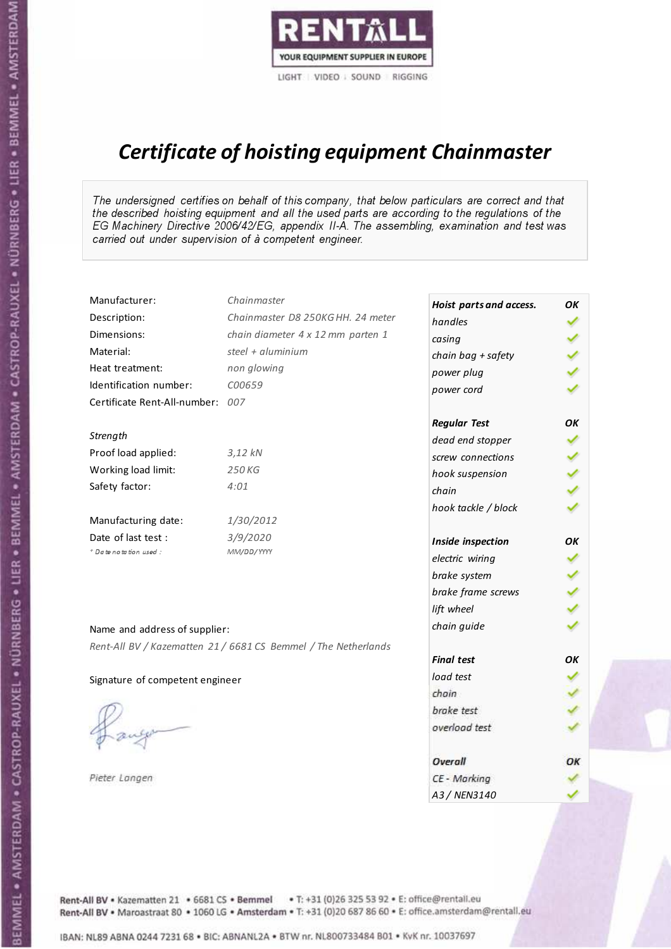

# Certificate of hoisting equipment Chainmaster

The undersigned certifies on behalf of this company, that below particulars are correct and that the described hoisting equipment and all the used parts are according to the regulations of the EG Machinery Directive 2006/42/EG, appendix II-A. The assembling, examination and test was carried out under supervision of à competent engineer.

| Manufacturer:                    | Chainmaster                                                    | Hoist parts and access. | OK  |
|----------------------------------|----------------------------------------------------------------|-------------------------|-----|
| Description:                     | Chainmaster D8 250KG HH. 24 meter                              | handles                 |     |
| Dimensions:                      | chain diameter 4 x 12 mm parten 1                              | casing                  |     |
| Material:                        | steel + aluminium                                              | chain bag + safety      |     |
| Heat treatment:                  | non glowing                                                    | power plug              |     |
| Identification number:           | C00659                                                         | power cord              |     |
| Certificate Rent-All-number: 007 |                                                                |                         |     |
|                                  |                                                                | <b>Regular Test</b>     | OK  |
| Strength                         |                                                                | dead end stopper        | ✔   |
| Proof load applied:              | 3,12 kN                                                        | screw connections       |     |
| Working load limit:              | 250KG                                                          | hook suspension         |     |
| Safety factor:                   | 4:01                                                           | chain                   | くくく |
|                                  |                                                                | hook tackle / block     |     |
| Manufacturing date:              | 1/30/2012                                                      |                         |     |
| Date of last test :              | 3/9/2020                                                       | Inside inspection       | ОΚ  |
| + Date notation used :           | MM/DD/YYYY                                                     | electric wiring         | ✓   |
|                                  |                                                                | brake system            |     |
|                                  |                                                                | brake frame screws      |     |
|                                  |                                                                | lift wheel              |     |
| Name and address of supplier:    |                                                                | chain guide             |     |
|                                  | Rent-All BV / Kazematten 21 / 6681 CS Bemmel / The Netherlands |                         |     |
|                                  |                                                                | <b>Final test</b>       | OK  |
| Signature of competent engineer  |                                                                | load test               |     |
|                                  |                                                                | chain                   |     |
|                                  |                                                                | brake test              |     |
|                                  |                                                                | overload test           |     |
|                                  |                                                                | Overall                 | ОК  |
| Pieter Langen                    |                                                                | CE - Marking            |     |
|                                  |                                                                | A3 / NEN3140            |     |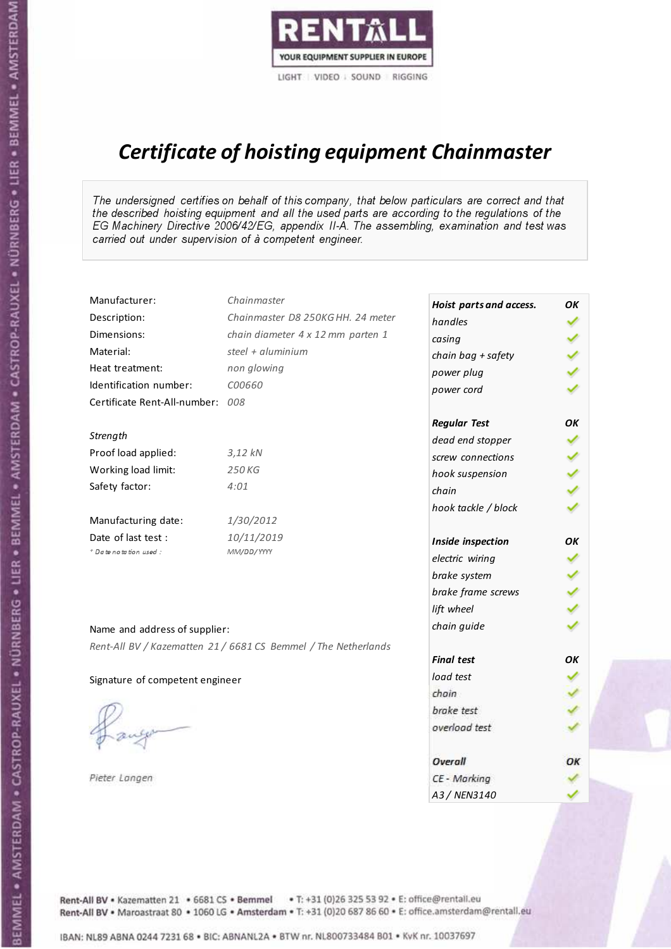

# Certificate of hoisting equipment Chainmaster

The undersigned certifies on behalf of this company, that below particulars are correct and that the described hoisting equipment and all the used parts are according to the regulations of the EG Machinery Directive 2006/42/EG, appendix II-A. The assembling, examination and test was carried out under supervision of à competent engineer.

| Manufacturer:                    | Chainmaster                                                    | Hoist parts and access. | OK  |
|----------------------------------|----------------------------------------------------------------|-------------------------|-----|
| Description:                     | Chainmaster D8 250KG HH. 24 meter                              | handles                 |     |
| Dimensions:                      | chain diameter 4 x 12 mm parten 1                              | casing                  |     |
| Material:                        | steel + aluminium                                              | chain bag + safety      |     |
| Heat treatment:                  | non glowing                                                    | power plug              |     |
| Identification number:           | C00660                                                         | power cord              |     |
| Certificate Rent-All-number: 008 |                                                                |                         |     |
|                                  |                                                                | <b>Regular Test</b>     | OK  |
| Strength                         |                                                                | dead end stopper        |     |
| Proof load applied:              | $3,12$ kN                                                      | screw connections       |     |
| Working load limit:              | 250KG                                                          | hook suspension         |     |
| Safety factor:                   | 4:01                                                           | chain                   | くくく |
|                                  |                                                                | hook tackle / block     |     |
| Manufacturing date:              | 1/30/2012                                                      |                         |     |
| Date of last test:               | 10/11/2019                                                     | Inside inspection       | ΟK  |
| + Date notation used:            | MM/DD/YYYY                                                     | electric wiring         |     |
|                                  |                                                                | brake system            |     |
|                                  |                                                                | brake frame screws      |     |
|                                  |                                                                | lift wheel              |     |
| Name and address of supplier:    |                                                                | chain guide             |     |
|                                  | Rent-All BV / Kazematten 21 / 6681 CS Bemmel / The Netherlands |                         |     |
|                                  |                                                                | <b>Final test</b>       | OK  |
| Signature of competent engineer  |                                                                | load test               |     |
|                                  |                                                                | chain                   |     |
|                                  |                                                                | brake test              |     |
|                                  |                                                                | overload test           |     |
|                                  |                                                                | Overall                 | ОК  |
| Pieter Langen                    |                                                                | CE - Marking            |     |
|                                  |                                                                | A3 / NEN3140            |     |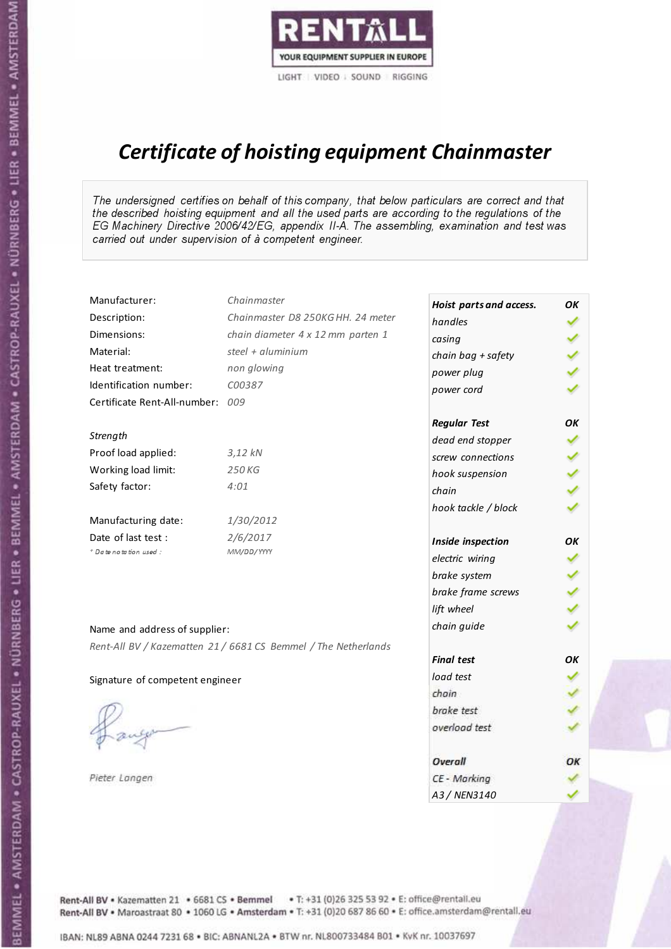

# Certificate of hoisting equipment Chainmaster

The undersigned certifies on behalf of this company, that below particulars are correct and that the described hoisting equipment and all the used parts are according to the regulations of the EG Machinery Directive 2006/42/EG, appendix II-A. The assembling, examination and test was carried out under supervision of à competent engineer.

| Manufacturer:                    | Chainmaster                                                    | Hoist parts and access. | OK  |
|----------------------------------|----------------------------------------------------------------|-------------------------|-----|
| Description:                     | Chainmaster D8 250KG HH. 24 meter                              | handles                 |     |
| Dimensions:                      | chain diameter 4 x 12 mm parten 1                              | casing                  |     |
| Material:                        | steel + $aluminim$                                             | chain bag + safety      |     |
| Heat treatment:                  | non glowing                                                    | power plug              |     |
| Identification number:           | C00387                                                         | power cord              |     |
| Certificate Rent-All-number: 009 |                                                                |                         |     |
|                                  |                                                                | <b>Regular Test</b>     | OK  |
| Strength                         |                                                                | dead end stopper        | ✔   |
| Proof load applied:              | $3,12$ $kN$                                                    | screw connections       |     |
| Working load limit:              | 250 KG                                                         | hook suspension         |     |
| Safety factor:                   | 4:01                                                           | chain                   | くくく |
|                                  |                                                                | hook tackle / block     |     |
| Manufacturing date:              | 1/30/2012                                                      |                         |     |
| Date of last test :              | 2/6/2017                                                       | Inside inspection       | ОΚ  |
| * Date notation used :           | MM/DD/YYYY                                                     | electric wiring         | ✔   |
|                                  |                                                                | brake system            |     |
|                                  |                                                                | brake frame screws      |     |
|                                  |                                                                | lift wheel              |     |
| Name and address of supplier:    |                                                                | chain guide             |     |
|                                  | Rent-All BV / Kazematten 21 / 6681 CS Bemmel / The Netherlands |                         |     |
|                                  |                                                                | <b>Final test</b>       | OK  |
| Signature of competent engineer  |                                                                | load test               |     |
|                                  |                                                                | chain                   |     |
|                                  |                                                                | brake test              |     |
|                                  |                                                                | overload test           |     |
|                                  |                                                                | Overall                 | ОК  |
| Pieter Langen                    |                                                                | CE - Marking            |     |
|                                  |                                                                | A3 / NEN3140            |     |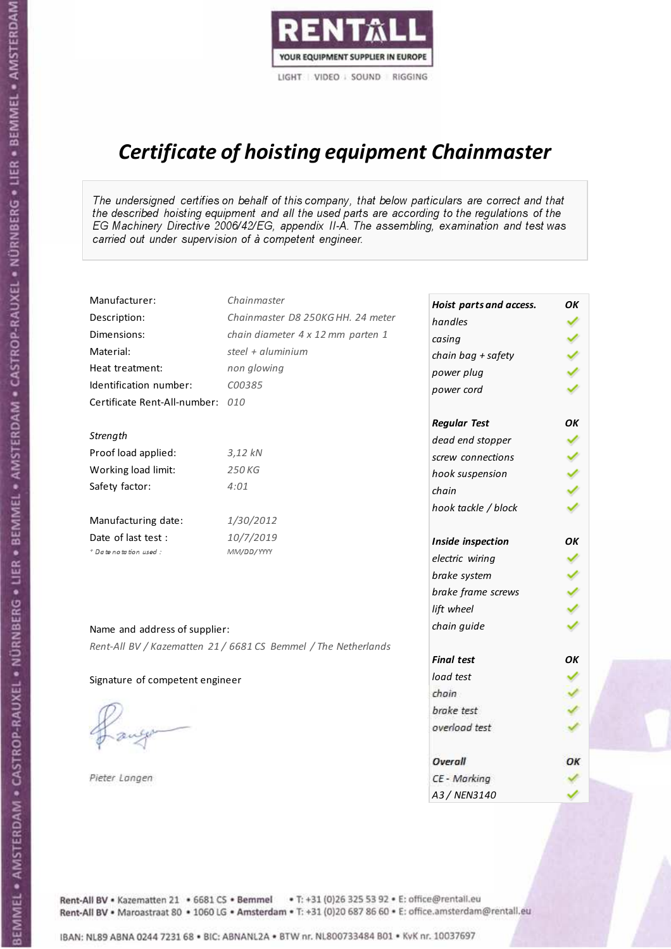

# Certificate of hoisting equipment Chainmaster

The undersigned certifies on behalf of this company, that below particulars are correct and that the described hoisting equipment and all the used parts are according to the regulations of the EG Machinery Directive 2006/42/EG, appendix II-A. The assembling, examination and test was carried out under supervision of à competent engineer.

| Manufacturer:                    | Chainmaster                                                    | Hoist parts and access. | OK  |
|----------------------------------|----------------------------------------------------------------|-------------------------|-----|
| Description:                     | Chainmaster D8 250KG HH. 24 meter                              | handles                 |     |
| Dimensions:                      | chain diameter 4 x 12 mm parten 1                              | casing                  |     |
| Material:                        | steel + aluminium                                              | chain bag + safety      |     |
| Heat treatment:                  | non glowing                                                    | power plug              |     |
| Identification number:           | C00385                                                         | power cord              |     |
| Certificate Rent-All-number: 010 |                                                                |                         |     |
|                                  |                                                                | <b>Regular Test</b>     | OK  |
| Strength                         |                                                                | dead end stopper        |     |
| Proof load applied:              | $3,12$ kN                                                      | screw connections       |     |
| Working load limit:              | 250KG                                                          | hook suspension         |     |
| Safety factor:                   | 4:01                                                           | chain                   | くくく |
|                                  |                                                                | hook tackle / block     |     |
| Manufacturing date:              | 1/30/2012                                                      |                         |     |
| Date of last test:               | 10/7/2019                                                      | Inside inspection       | ΟK  |
| + Date notation used:            | MM/DD/YYYY                                                     | electric wiring         |     |
|                                  |                                                                | brake system            | ✔   |
|                                  |                                                                | brake frame screws      |     |
|                                  |                                                                | lift wheel              |     |
| Name and address of supplier:    |                                                                | chain guide             |     |
|                                  | Rent-All BV / Kazematten 21 / 6681 CS Bemmel / The Netherlands |                         |     |
|                                  |                                                                | <b>Final test</b>       | OK  |
| Signature of competent engineer  |                                                                | load test               |     |
|                                  |                                                                | chain                   |     |
|                                  |                                                                | brake test              |     |
|                                  |                                                                | overload test           |     |
|                                  |                                                                | Overall                 | ОК  |
| Pieter Langen                    |                                                                | CE - Marking            |     |
|                                  |                                                                | A3 / NEN3140            |     |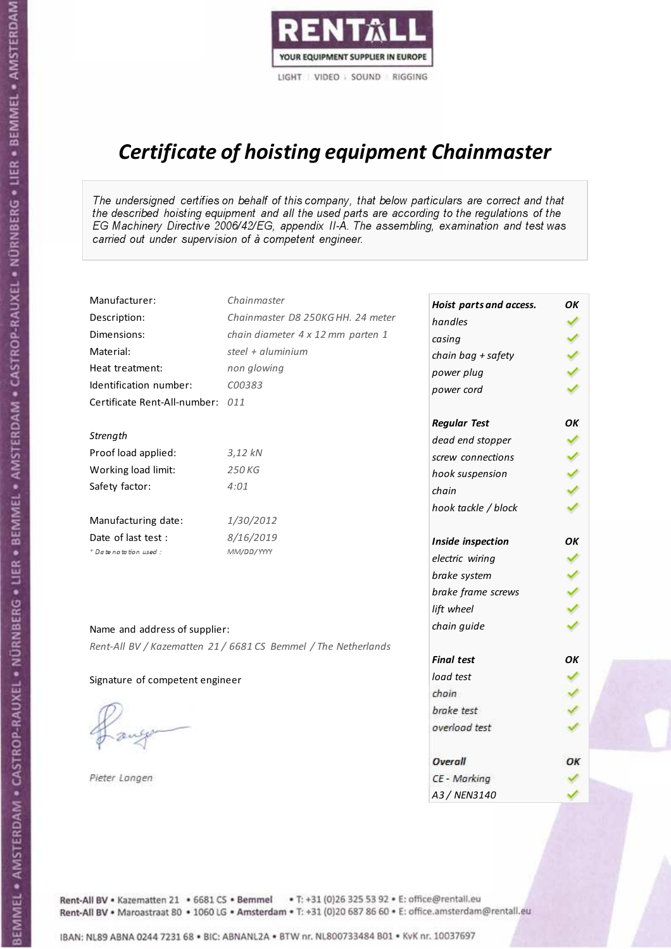

# Certificate of hoisting equipment Chainmaster

The undersigned certifies on behalf of this company, that below particulars are correct and that the described hoisting equipment and all the used parts are according to the regulations of the EG Machinery Directive 2006/42/EG, appendix II-A. The assembling, examination and test was carried out under supervision of à competent engineer.

| Manufacturer:                    | Chainmaster                                                    | Hoist parts and access. | OK  |
|----------------------------------|----------------------------------------------------------------|-------------------------|-----|
| Description:                     | Chainmaster D8 250KG HH. 24 meter                              | handles                 |     |
| Dimensions:                      | chain diameter 4 x 12 mm parten 1                              | casing                  |     |
| Material:                        | steel + aluminium                                              | chain bag + safety      |     |
| Heat treatment:                  | non glowing                                                    | power plug              |     |
| Identification number:           | C00383                                                         | power cord              |     |
| Certificate Rent-All-number: 011 |                                                                |                         |     |
|                                  |                                                                | <b>Regular Test</b>     | ОΚ  |
| Strength                         |                                                                | dead end stopper        | ✔   |
| Proof load applied:              | $3,12$ kN                                                      | screw connections       |     |
| Working load limit:              | 250 KG                                                         | hook suspension         |     |
| Safety factor:                   | 4:01                                                           | chain                   | くくく |
|                                  |                                                                | hook tackle / block     |     |
| Manufacturing date:              | 1/30/2012                                                      |                         |     |
| Date of last test :              | 8/16/2019                                                      | Inside inspection       | ОΚ  |
| * Date notation used :           | MM/DD/YYYY                                                     | electric wiring         | ✔   |
|                                  |                                                                | brake system            |     |
|                                  |                                                                | brake frame screws      |     |
|                                  |                                                                | lift wheel              |     |
| Name and address of supplier:    |                                                                | chain guide             |     |
|                                  | Rent-All BV / Kazematten 21 / 6681 CS Bemmel / The Netherlands |                         |     |
|                                  |                                                                | <b>Final test</b>       | OK  |
| Signature of competent engineer  |                                                                | load test               |     |
|                                  |                                                                | chain                   |     |
|                                  |                                                                | brake test              |     |
|                                  |                                                                | overload test           |     |
|                                  |                                                                | Overall                 | ОК  |
| Pieter Langen                    |                                                                | CE - Marking            |     |
|                                  |                                                                | A3 / NEN3140            |     |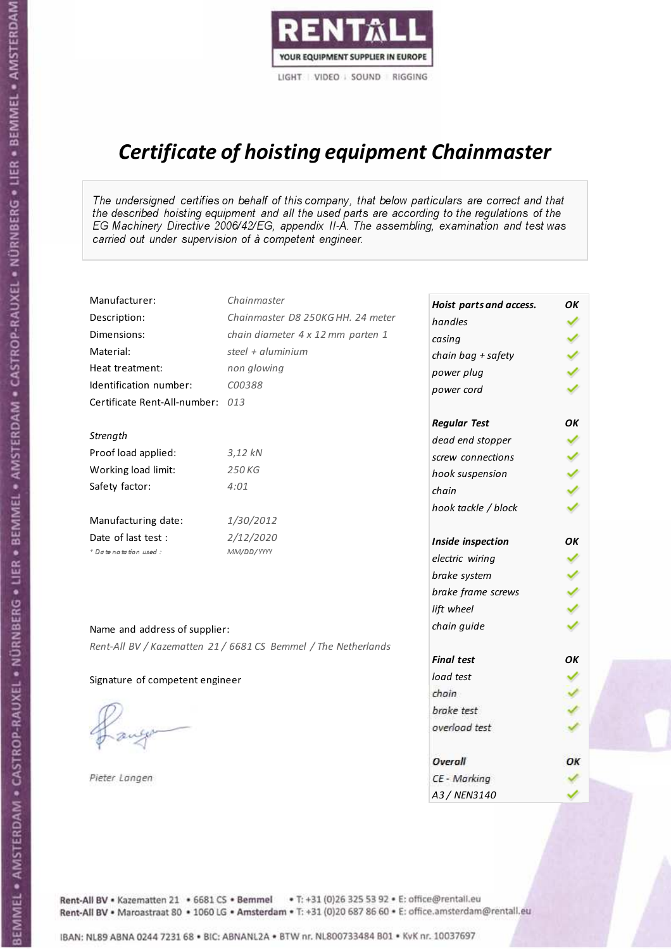

# Certificate of hoisting equipment Chainmaster

The undersigned certifies on behalf of this company, that below particulars are correct and that the described hoisting equipment and all the used parts are according to the regulations of the EG Machinery Directive 2006/42/EG, appendix II-A. The assembling, examination and test was carried out under supervision of à competent engineer.

| Manufacturer:                    | Chainmaster                                                    | Hoist parts and access. | ОΚ  |
|----------------------------------|----------------------------------------------------------------|-------------------------|-----|
| Description:                     | Chainmaster D8 250KG HH. 24 meter                              | handles                 | ✓   |
| Dimensions:                      | chain diameter 4 x 12 mm parten 1                              | casing                  |     |
| Material:                        | steel + aluminium                                              | chain bag + safety      |     |
| Heat treatment:                  | non glowing                                                    | power plug              |     |
| Identification number:           | C00388                                                         | power cord              |     |
| Certificate Rent-All-number: 013 |                                                                |                         |     |
|                                  |                                                                | <b>Regular Test</b>     | ΟK  |
| Strength                         |                                                                | dead end stopper        | ✔   |
| Proof load applied:              | $3,12$ $kN$                                                    | screw connections       |     |
| Working load limit:              | 250KG                                                          | hook suspension         |     |
| Safety factor:                   | 4:01                                                           | chain                   | くくく |
|                                  |                                                                | hook tackle / block     |     |
| Manufacturing date:              | 1/30/2012                                                      |                         |     |
| Date of last test :              | 2/12/2020                                                      | Inside inspection       | OK  |
| + Date notation used:            | MM/DD/YYYY                                                     | electric wiring         |     |
|                                  |                                                                | brake system            |     |
|                                  |                                                                | brake frame screws      |     |
|                                  |                                                                | lift wheel              |     |
| Name and address of supplier:    |                                                                | chain guide             |     |
|                                  | Rent-All BV / Kazematten 21 / 6681 CS Bemmel / The Netherlands |                         |     |
|                                  |                                                                | <b>Final test</b>       | OK  |
| Signature of competent engineer  |                                                                | load test               |     |
|                                  |                                                                | chain                   |     |
|                                  |                                                                | brake test              |     |
|                                  |                                                                | overload test           |     |
|                                  |                                                                | Overall                 | OK  |
| Pieter Langen                    |                                                                | CE - Marking            |     |
|                                  |                                                                | A3 / NEN3140            |     |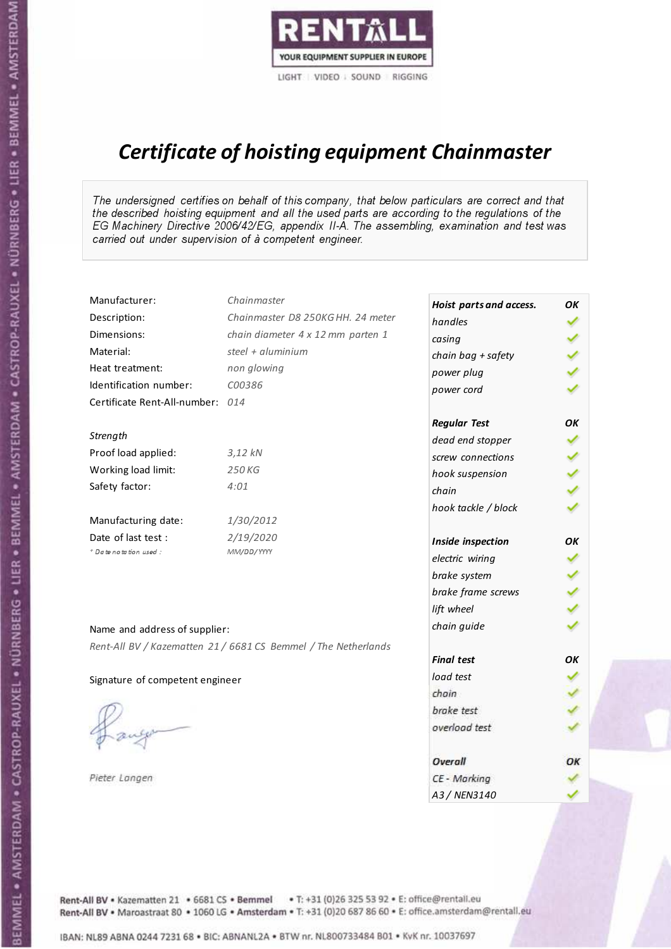

# Certificate of hoisting equipment Chainmaster

The undersigned certifies on behalf of this company, that below particulars are correct and that the described hoisting equipment and all the used parts are according to the regulations of the EG Machinery Directive 2006/42/EG, appendix II-A. The assembling, examination and test was carried out under supervision of à competent engineer.

| Manufacturer:                    | Chainmaster                                                    | Hoist parts and access. | OК  |
|----------------------------------|----------------------------------------------------------------|-------------------------|-----|
| Description:                     | Chainmaster D8 250KG HH. 24 meter                              | handles                 |     |
| Dimensions:                      | chain diameter 4 x 12 mm parten 1                              | casing                  |     |
| Material:                        | steel + aluminium                                              | chain bag + safety      |     |
| Heat treatment:                  | non glowing                                                    | power plug              |     |
| Identification number:           | C00386                                                         | power cord              |     |
| Certificate Rent-All-number: 014 |                                                                |                         |     |
|                                  |                                                                | <b>Regular Test</b>     | OK  |
| Strength                         |                                                                | dead end stopper        | ✔   |
| Proof load applied:              | 3,12 kN                                                        | screw connections       |     |
| Working load limit:              | 250 KG                                                         | hook suspension         |     |
| Safety factor:                   | 4:01                                                           | chain                   | くくく |
|                                  |                                                                | hook tackle / block     |     |
| Manufacturing date:              | 1/30/2012                                                      |                         |     |
| Date of last test :              | 2/19/2020                                                      | Inside inspection       | ОΚ  |
| * Date notation used :           | MM/DD/YYYY                                                     | electric wiring         | ✓   |
|                                  |                                                                | brake system            |     |
|                                  |                                                                | brake frame screws      |     |
|                                  |                                                                | lift wheel              | くくく |
| Name and address of supplier:    |                                                                | chain guide             |     |
|                                  | Rent-All BV / Kazematten 21 / 6681 CS Bemmel / The Netherlands |                         |     |
|                                  |                                                                | <b>Final test</b>       | OK  |
| Signature of competent engineer  |                                                                | load test               |     |
|                                  |                                                                | chain                   |     |
|                                  |                                                                | brake test              |     |
|                                  |                                                                | overload test           |     |
|                                  |                                                                | Overall                 | ОК  |
| Pieter Langen                    |                                                                | CE - Marking            |     |
|                                  |                                                                | A3 / NEN3140            |     |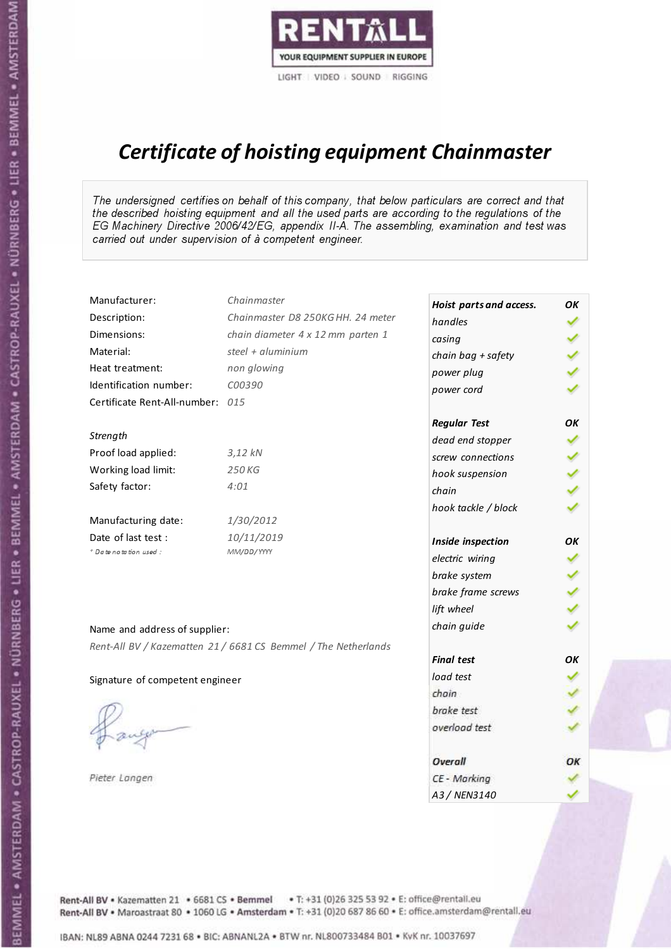

# Certificate of hoisting equipment Chainmaster

The undersigned certifies on behalf of this company, that below particulars are correct and that the described hoisting equipment and all the used parts are according to the regulations of the EG Machinery Directive 2006/42/EG, appendix II-A. The assembling, examination and test was carried out under supervision of à competent engineer.

| Manufacturer:                    | Chainmaster                                                    | Hoist parts and access. | OK  |
|----------------------------------|----------------------------------------------------------------|-------------------------|-----|
| Description:                     | Chainmaster D8 250KG HH. 24 meter                              | handles                 |     |
| Dimensions:                      | chain diameter 4 x 12 mm parten 1                              | casing                  |     |
| Material:                        | steel $+$ aluminium                                            | chain bag + safety      |     |
| Heat treatment:                  | non glowing                                                    | power plug              |     |
| Identification number:           | C00390                                                         | power cord              |     |
| Certificate Rent-All-number: 015 |                                                                |                         |     |
|                                  |                                                                | <b>Regular Test</b>     | OK  |
| Strength                         |                                                                | dead end stopper        |     |
| Proof load applied:              | $3,12$ kN                                                      | screw connections       |     |
| Working load limit:              | 250KG                                                          | hook suspension         |     |
| Safety factor:                   | 4:01                                                           | chain                   | くくく |
|                                  |                                                                | hook tackle / block     |     |
| Manufacturing date:              | 1/30/2012                                                      |                         |     |
| Date of last test :              | 10/11/2019                                                     | Inside inspection       | ОΚ  |
| * Date notation used :           | MM/DD/YYYY                                                     | electric wiring         | ✔   |
|                                  |                                                                | brake system            |     |
|                                  |                                                                | brake frame screws      |     |
|                                  |                                                                | lift wheel              |     |
| Name and address of supplier:    |                                                                | chain guide             |     |
|                                  | Rent-All BV / Kazematten 21 / 6681 CS Bemmel / The Netherlands |                         |     |
|                                  |                                                                | <b>Final test</b>       | OK  |
| Signature of competent engineer  |                                                                | load test               |     |
|                                  |                                                                | chain                   |     |
|                                  |                                                                | brake test              |     |
|                                  |                                                                | overload test           |     |
|                                  |                                                                | Overall                 | OK  |
| Pieter Langen                    |                                                                | CE - Marking            |     |
|                                  |                                                                | A3 / NEN3140            |     |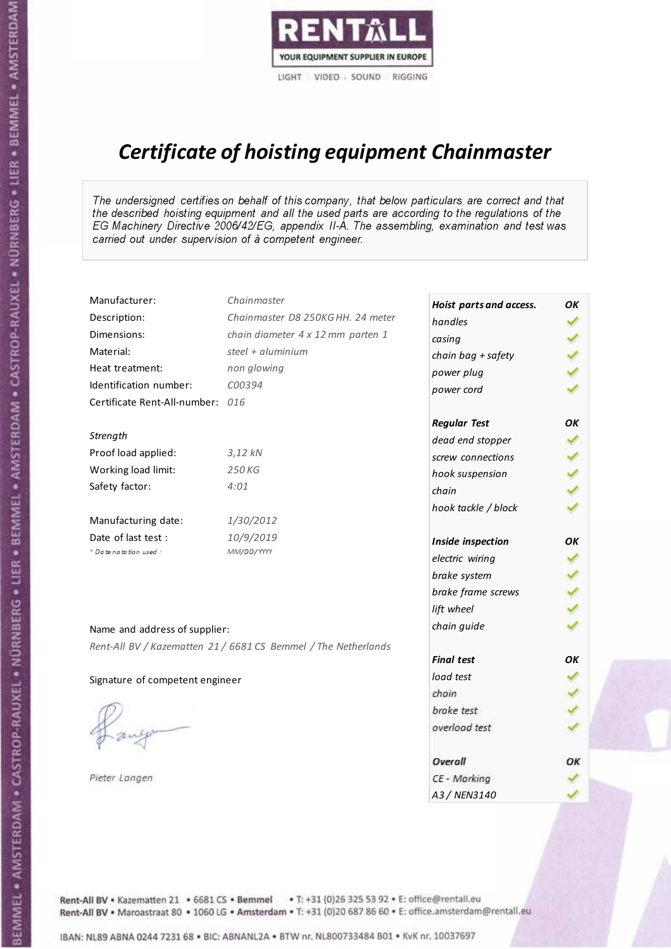

# Certificate of hoisting equipment Chainmaster

The undersigned certifies on behalf of this company, that below particulars are correct and that the described hoisting equipment and all the used parts are according to the regulations of the EG Machinery Directive 2006/42/EG, appendix II-A. The assembling, examination and test was carried out under supervision of à competent engineer.

| Manufacturer:                    | Chainmaster                                                    | Hoist parts and access. | ОΚ  |
|----------------------------------|----------------------------------------------------------------|-------------------------|-----|
| Description:                     | Chainmaster D8 250KG HH. 24 meter                              | handles                 | ✓   |
| Dimensions:                      | chain diameter 4 x 12 mm parten 1                              | casing                  |     |
| Material:                        | steel + aluminium                                              | chain bag + safety      |     |
| Heat treatment:                  | non glowing                                                    | power plug              |     |
| Identification number:           | C00394                                                         | power cord              |     |
| Certificate Rent-All-number: 016 |                                                                |                         |     |
|                                  |                                                                | <b>Regular Test</b>     | OK  |
| Strength                         |                                                                | dead end stopper        | ✔   |
| Proof load applied:              | 3,12 kN                                                        | screw connections       |     |
| Working load limit:              | 250 KG                                                         | hook suspension         |     |
| Safety factor:                   | 4:01                                                           | chain                   | くくく |
|                                  |                                                                | hook tackle / block     |     |
| Manufacturing date:              | 1/30/2012                                                      |                         |     |
| Date of last test :              | 10/9/2019                                                      | Inside inspection       | OK  |
| * Date notation used :           | MM/DD/YYYY                                                     | electric wiring         |     |
|                                  |                                                                | brake system            |     |
|                                  |                                                                | brake frame screws      |     |
|                                  |                                                                | lift wheel              |     |
| Name and address of supplier:    |                                                                | chain guide             |     |
|                                  | Rent-All BV / Kazematten 21 / 6681 CS Bemmel / The Netherlands |                         |     |
|                                  |                                                                | <b>Final test</b>       | OK  |
| Signature of competent engineer  |                                                                | load test               |     |
|                                  |                                                                | chain                   |     |
|                                  |                                                                | brake test              |     |
|                                  |                                                                | overload test           |     |
|                                  |                                                                | <b>Overall</b>          | ОК  |
| Pieter Langen                    |                                                                | CE - Marking            |     |
|                                  |                                                                | A3 / NEN3140            |     |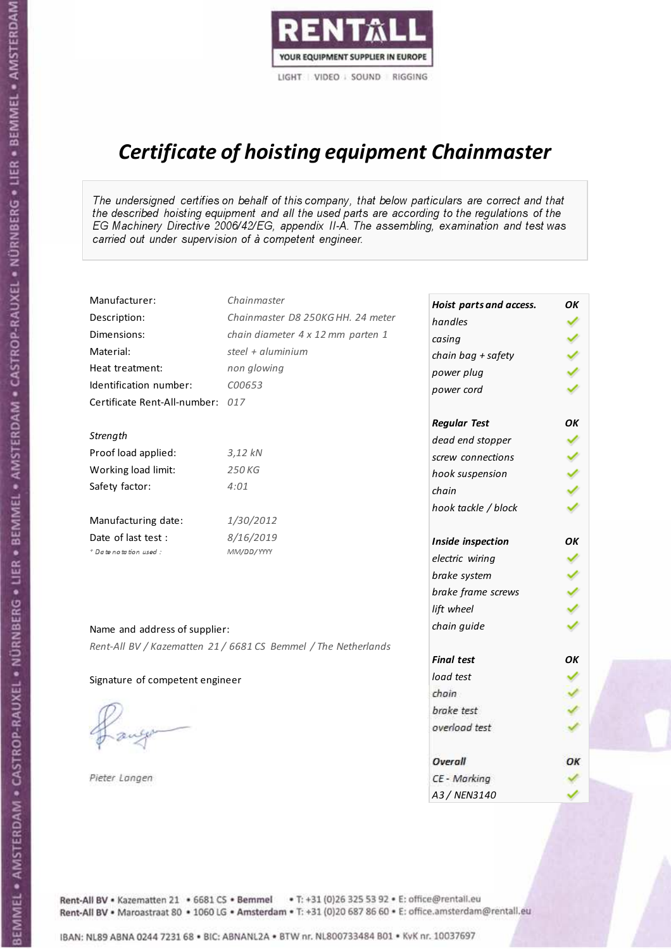

# Certificate of hoisting equipment Chainmaster

The undersigned certifies on behalf of this company, that below particulars are correct and that the described hoisting equipment and all the used parts are according to the regulations of the EG Machinery Directive 2006/42/EG, appendix II-A. The assembling, examination and test was carried out under supervision of à competent engineer.

| Manufacturer:                    | Chainmaster                                                    | Hoist parts and access. | OК            |
|----------------------------------|----------------------------------------------------------------|-------------------------|---------------|
| Description:                     | Chainmaster D8 250KG HH. 24 meter                              | handles                 |               |
| Dimensions:                      | chain diameter 4 x 12 mm parten 1                              | casing                  |               |
| Material:                        | steel + aluminium                                              | chain bag + safety      |               |
| Heat treatment:                  | non glowing                                                    | power plug              |               |
| Identification number:           | C00653                                                         | power cord              |               |
| Certificate Rent-All-number: 017 |                                                                |                         |               |
|                                  |                                                                | <b>Regular Test</b>     | OK            |
| Strength                         |                                                                | dead end stopper        | ✔             |
| Proof load applied:              | $3,12$ $kN$                                                    | screw connections       |               |
| Working load limit:              | 250KG                                                          | hook suspension         |               |
| Safety factor:                   | 4:01                                                           | chain                   | $\frac{2}{3}$ |
|                                  |                                                                | hook tackle / block     |               |
| Manufacturing date:              | 1/30/2012                                                      |                         |               |
| Date of last test :              | 8/16/2019                                                      | Inside inspection       | ОΚ            |
| + Date notation used :           | MM/DD/YYYY                                                     | electric wiring         | ✓             |
|                                  |                                                                | brake system            |               |
|                                  |                                                                | brake frame screws      | くくく           |
|                                  |                                                                | lift wheel              |               |
| Name and address of supplier:    |                                                                | chain guide             |               |
|                                  | Rent-All BV / Kazematten 21 / 6681 CS Bemmel / The Netherlands |                         |               |
|                                  |                                                                | <b>Final test</b>       | OK            |
| Signature of competent engineer  |                                                                | load test               |               |
|                                  |                                                                | chain                   |               |
|                                  |                                                                | brake test              |               |
|                                  |                                                                | overload test           |               |
|                                  |                                                                | Overall                 | ОК            |
| Pieter Langen                    |                                                                | CE - Marking            |               |
|                                  |                                                                | A3 / NEN3140            |               |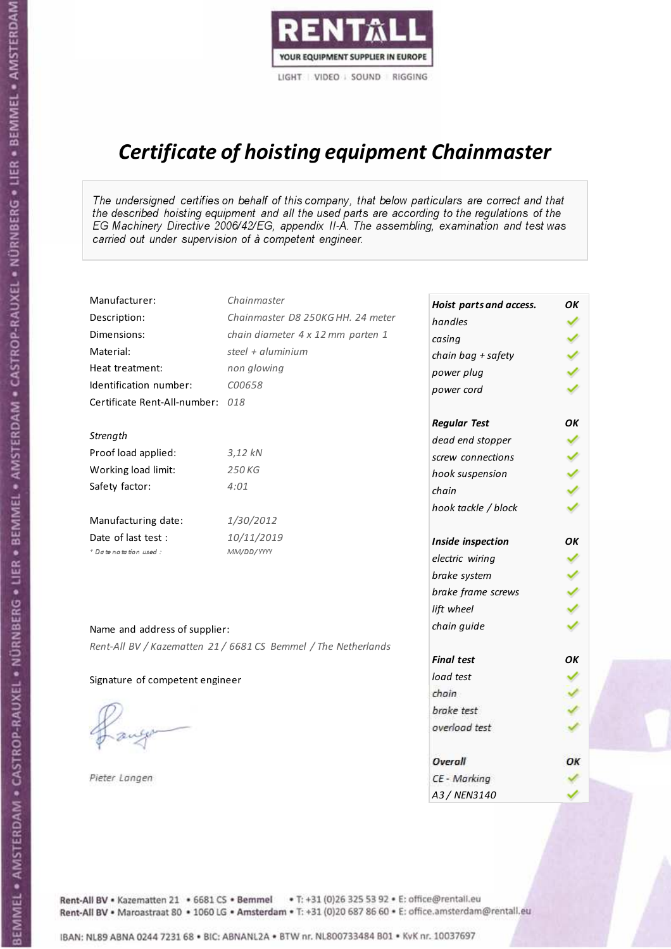

# Certificate of hoisting equipment Chainmaster

The undersigned certifies on behalf of this company, that below particulars are correct and that the described hoisting equipment and all the used parts are according to the regulations of the EG Machinery Directive 2006/42/EG, appendix II-A. The assembling, examination and test was carried out under supervision of à competent engineer.

| Manufacturer:                    | Chainmaster                                                    | Hoist parts and access. | OK  |
|----------------------------------|----------------------------------------------------------------|-------------------------|-----|
| Description:                     | Chainmaster D8 250KG HH. 24 meter                              | handles                 |     |
| Dimensions:                      | chain diameter 4 x 12 mm parten 1                              | casing                  |     |
| Material:                        | steel + aluminium                                              | chain bag + safety      |     |
| Heat treatment:                  | non glowing                                                    | power plug              |     |
| Identification number:           | C00658                                                         | power cord              |     |
| Certificate Rent-All-number: 018 |                                                                |                         |     |
|                                  |                                                                | <b>Regular Test</b>     | ОΚ  |
| Strength                         |                                                                | dead end stopper        | ✔   |
| Proof load applied:              | $3,12$ kN                                                      | screw connections       |     |
| Working load limit:              | 250 KG                                                         | hook suspension         |     |
| Safety factor:                   | 4:01                                                           | chain                   | くくく |
|                                  |                                                                | hook tackle / block     |     |
| Manufacturing date:              | 1/30/2012                                                      |                         |     |
| Date of last test :              | 10/11/2019                                                     | Inside inspection       | ОΚ  |
| * Date notation used :           | MM/DD/YYYY                                                     | electric wiring         | ✔   |
|                                  |                                                                | brake system            |     |
|                                  |                                                                | brake frame screws      |     |
|                                  |                                                                | lift wheel              |     |
| Name and address of supplier:    |                                                                | chain guide             |     |
|                                  | Rent-All BV / Kazematten 21 / 6681 CS Bemmel / The Netherlands |                         |     |
|                                  |                                                                | <b>Final test</b>       | OK  |
| Signature of competent engineer  |                                                                | load test               |     |
|                                  |                                                                | chain                   |     |
|                                  |                                                                | brake test              |     |
|                                  |                                                                | overload test           |     |
|                                  |                                                                |                         |     |
|                                  |                                                                | Overall                 | ОК  |
| Pieter Langen                    |                                                                | CE - Marking            |     |
|                                  |                                                                | A3 / NEN3140            |     |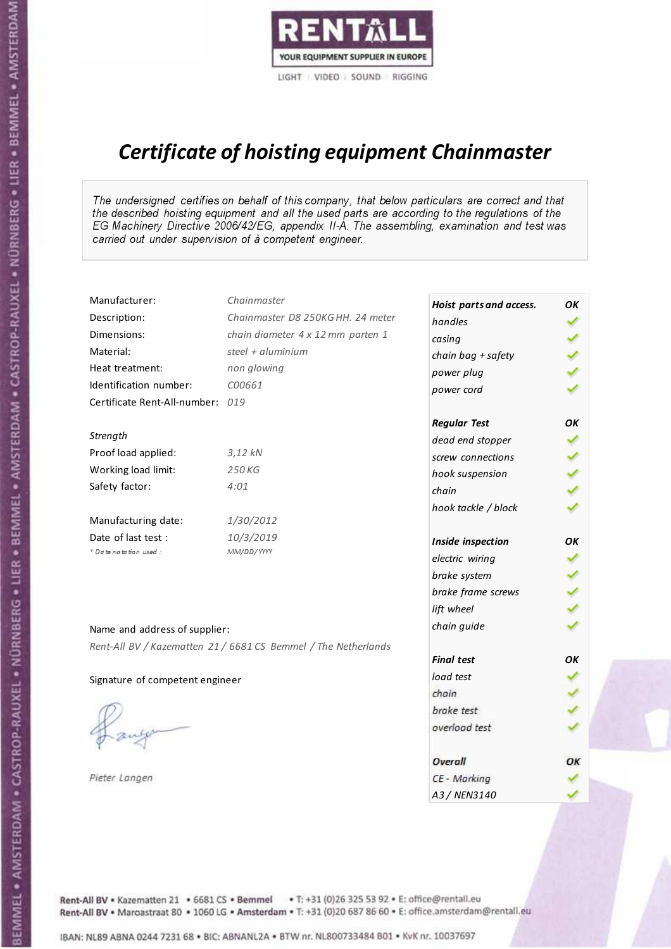

# Certificate of hoisting equipment Chainmaster

The undersigned certifies on behalf of this company, that below particulars are correct and that the described hoisting equipment and all the used parts are according to the regulations of the EG Machinery Directive 2006/42/EG, appendix II-A. The assembling, examination and test was carried out under supervision of à competent engineer.

| Manufacturer:                    | Chainmaster                                                    | Hoist parts and access. | OК  |
|----------------------------------|----------------------------------------------------------------|-------------------------|-----|
| Description:                     | Chainmaster D8 250KG HH. 24 meter                              | handles                 |     |
| Dimensions:                      | chain diameter 4 x 12 mm parten 1                              | casing                  |     |
| Material:                        | steel + aluminium                                              | chain bag + safety      |     |
| Heat treatment:                  | non glowing                                                    | power plug              |     |
| Identification number:           | C00661                                                         | power cord              |     |
| Certificate Rent-All-number: 019 |                                                                |                         |     |
|                                  |                                                                | <b>Regular Test</b>     | OK  |
| Strength                         |                                                                | dead end stopper        | ✔   |
| Proof load applied:              | 3,12 kN                                                        | screw connections       |     |
| Working load limit:              | 250 KG                                                         | hook suspension         |     |
| Safety factor:                   | 4:01                                                           | chain                   | くくく |
|                                  |                                                                | hook tackle / block     |     |
| Manufacturing date:              | 1/30/2012                                                      |                         |     |
| Date of last test :              | 10/3/2019                                                      | Inside inspection       | ОΚ  |
| * Date notation used :           | MM/DD/YYYY                                                     | electric wiring         | ✓   |
|                                  |                                                                | brake system            |     |
|                                  |                                                                | brake frame screws      | くくく |
|                                  |                                                                | lift wheel              |     |
| Name and address of supplier:    |                                                                | chain guide             |     |
|                                  | Rent-All BV / Kazematten 21 / 6681 CS Bemmel / The Netherlands |                         |     |
|                                  |                                                                | <b>Final test</b>       | OK  |
| Signature of competent engineer  |                                                                | load test               |     |
|                                  |                                                                | chain                   |     |
|                                  |                                                                | brake test              |     |
|                                  |                                                                | overload test           |     |
|                                  |                                                                | Overall                 | ОК  |
| Pieter Langen                    |                                                                | CE - Marking            |     |
|                                  |                                                                | A3 / NEN3140            |     |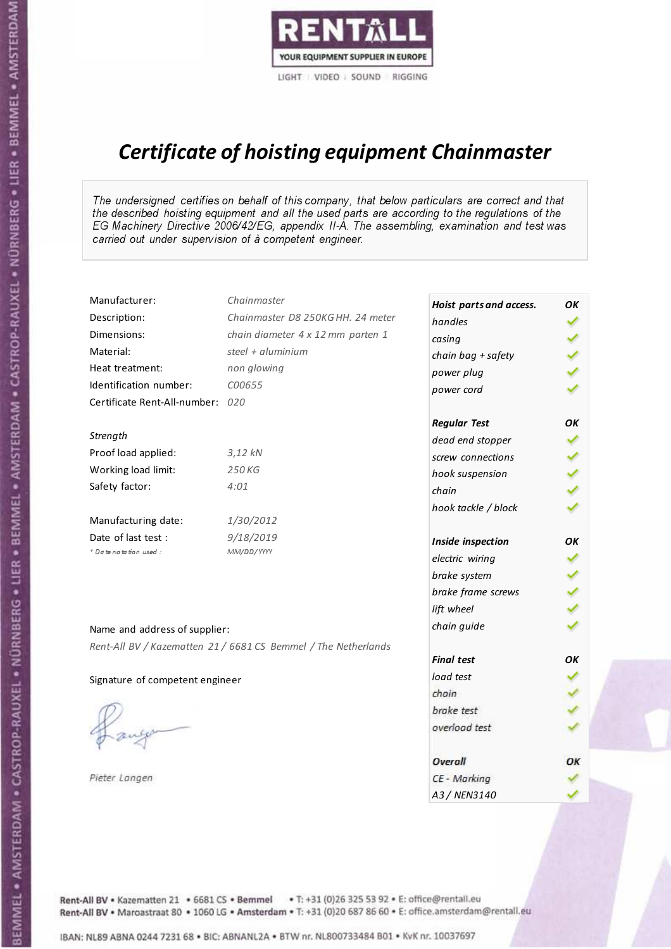

# Certificate of hoisting equipment Chainmaster

The undersigned certifies on behalf of this company, that below particulars are correct and that the described hoisting equipment and all the used parts are according to the regulations of the EG Machinery Directive 2006/42/EG, appendix II-A. The assembling, examination and test was carried out under supervision of à competent engineer.

| Manufacturer:                    | Chainmaster                                                    | Hoist parts and access. | OK  |
|----------------------------------|----------------------------------------------------------------|-------------------------|-----|
| Description:                     | Chainmaster D8 250KG HH. 24 meter                              | handles                 |     |
| Dimensions:                      | chain diameter 4 x 12 mm parten 1                              | casing                  |     |
| Material:                        | steel $+$ aluminium                                            | chain bag + safety      |     |
| Heat treatment:                  | non glowing                                                    | power plug              |     |
| Identification number:           | C00655                                                         | power cord              |     |
| Certificate Rent-All-number: 020 |                                                                |                         |     |
|                                  |                                                                | <b>Regular Test</b>     | OK  |
| Strength                         |                                                                | dead end stopper        | ✔   |
| Proof load applied:              | 3,12 kN                                                        | screw connections       |     |
| Working load limit:              | 250 KG                                                         | hook suspension         |     |
| Safety factor:                   | 4:01                                                           | chain                   | くりょ |
|                                  |                                                                | hook tackle / block     |     |
| Manufacturing date:              | 1/30/2012                                                      |                         |     |
| Date of last test :              | 9/18/2019                                                      | Inside inspection       | ОΚ  |
| * Date notation used :           | MM/DD/YYYY                                                     | electric wiring         | ✓   |
|                                  |                                                                | brake system            |     |
|                                  |                                                                | brake frame screws      |     |
|                                  |                                                                | lift wheel              |     |
| Name and address of supplier:    |                                                                | chain guide             |     |
|                                  | Rent-All BV / Kazematten 21 / 6681 CS Bemmel / The Netherlands |                         |     |
|                                  |                                                                | <b>Final test</b>       | OK  |
| Signature of competent engineer  |                                                                | load test               |     |
|                                  |                                                                | chain                   |     |
|                                  |                                                                | brake test              |     |
|                                  |                                                                | overload test           |     |
|                                  |                                                                | Overall                 | OK  |
| Pieter Langen                    |                                                                | CE - Marking            |     |
|                                  |                                                                | A3 / NEN3140            |     |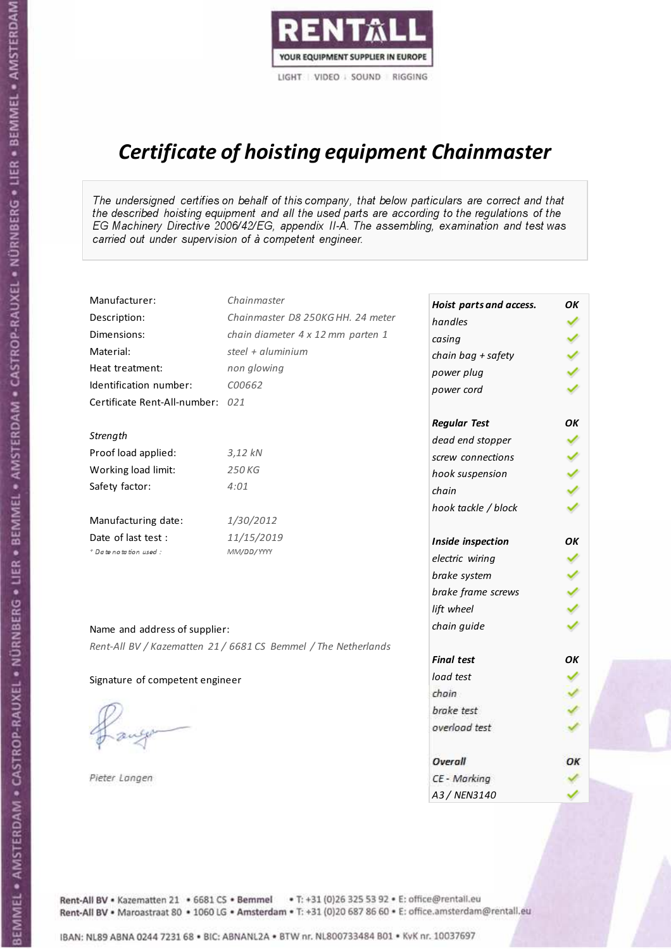

# Certificate of hoisting equipment Chainmaster

The undersigned certifies on behalf of this company, that below particulars are correct and that the described hoisting equipment and all the used parts are according to the regulations of the EG Machinery Directive 2006/42/EG, appendix II-A. The assembling, examination and test was carried out under supervision of à competent engineer.

| Manufacturer:                    | Chainmaster                                                    | Hoist parts and access. | OK  |
|----------------------------------|----------------------------------------------------------------|-------------------------|-----|
| Description:                     | Chainmaster D8 250KG HH. 24 meter                              | handles                 |     |
| Dimensions:                      | chain diameter 4 x 12 mm parten 1                              | casing                  |     |
| Material:                        | steel + aluminium                                              | chain bag + safety      |     |
| Heat treatment:                  | non glowing                                                    | power plug              |     |
| Identification number:           | C00662                                                         | power cord              |     |
| Certificate Rent-All-number: 021 |                                                                |                         |     |
|                                  |                                                                | <b>Regular Test</b>     | ОΚ  |
| Strength                         |                                                                | dead end stopper        | ✔   |
| Proof load applied:              | $3,12$ kN                                                      | screw connections       |     |
| Working load limit:              | 250 KG                                                         | hook suspension         |     |
| Safety factor:                   | 4:01                                                           | chain                   | くくく |
|                                  |                                                                | hook tackle / block     |     |
| Manufacturing date:              | 1/30/2012                                                      |                         |     |
| Date of last test :              | 11/15/2019                                                     | Inside inspection       | ОΚ  |
| * Date notation used :           | MM/DD/YYYY                                                     | electric wiring         | ✔   |
|                                  |                                                                | brake system            |     |
|                                  |                                                                | brake frame screws      |     |
|                                  |                                                                | lift wheel              |     |
| Name and address of supplier:    |                                                                | chain guide             |     |
|                                  | Rent-All BV / Kazematten 21 / 6681 CS Bemmel / The Netherlands |                         |     |
|                                  |                                                                | <b>Final test</b>       | OK  |
| Signature of competent engineer  |                                                                | load test               |     |
|                                  |                                                                | chain                   |     |
|                                  |                                                                | brake test              |     |
|                                  |                                                                | overload test           |     |
|                                  |                                                                | Overall                 | ОК  |
| Pieter Langen                    |                                                                | CE - Marking            |     |
|                                  |                                                                | A3 / NEN3140            |     |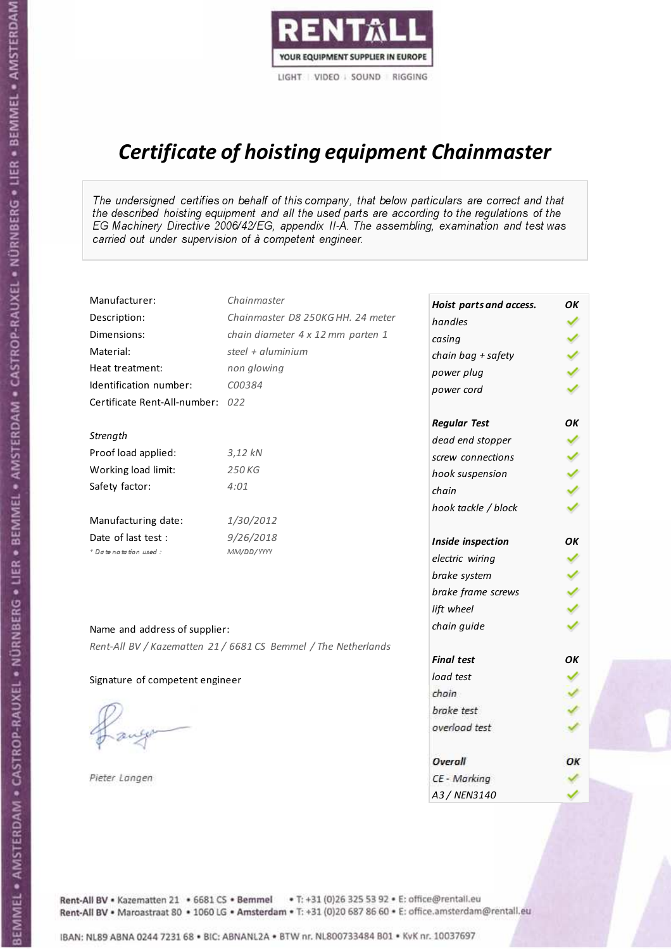

# Certificate of hoisting equipment Chainmaster

The undersigned certifies on behalf of this company, that below particulars are correct and that the described hoisting equipment and all the used parts are according to the regulations of the EG Machinery Directive 2006/42/EG, appendix II-A. The assembling, examination and test was carried out under supervision of à competent engineer.

| Manufacturer:                    | Chainmaster                                                    | Hoist parts and access. | OK  |
|----------------------------------|----------------------------------------------------------------|-------------------------|-----|
| Description:                     | Chainmaster D8 250KG HH. 24 meter                              | handles                 |     |
| Dimensions:                      | chain diameter 4 x 12 mm parten 1                              | casing                  |     |
| Material:                        | steel + aluminium                                              | chain bag + safety      |     |
| Heat treatment:                  | non glowing                                                    | power plug              |     |
| Identification number:           | C00384                                                         | power cord              |     |
| Certificate Rent-All-number: 022 |                                                                |                         |     |
|                                  |                                                                | <b>Regular Test</b>     | ΟK  |
| Strength                         |                                                                | dead end stopper        |     |
| Proof load applied:              | $3,12$ kN                                                      | screw connections       |     |
| Working load limit:              | 250KG                                                          | hook suspension         |     |
| Safety factor:                   | 4:01                                                           | chain                   | くくく |
|                                  |                                                                | hook tackle / block     |     |
| Manufacturing date:              | 1/30/2012                                                      |                         |     |
| Date of last test :              | 9/26/2018                                                      | Inside inspection       | ОΚ  |
| + Date notation used:            | MM/DD/YYYY                                                     | electric wiring         |     |
|                                  |                                                                | brake system            |     |
|                                  |                                                                | brake frame screws      |     |
|                                  |                                                                | lift wheel              |     |
| Name and address of supplier:    |                                                                | chain guide             |     |
|                                  | Rent-All BV / Kazematten 21 / 6681 CS Bemmel / The Netherlands |                         |     |
|                                  |                                                                | <b>Final test</b>       | ΟK  |
| Signature of competent engineer  |                                                                | load test               |     |
|                                  |                                                                | chain                   |     |
|                                  |                                                                | brake test              |     |
|                                  |                                                                | overload test           |     |
|                                  |                                                                | Overall                 | ОК  |
| Pieter Langen                    |                                                                | CE - Marking            |     |
|                                  |                                                                | A3 / NEN3140            |     |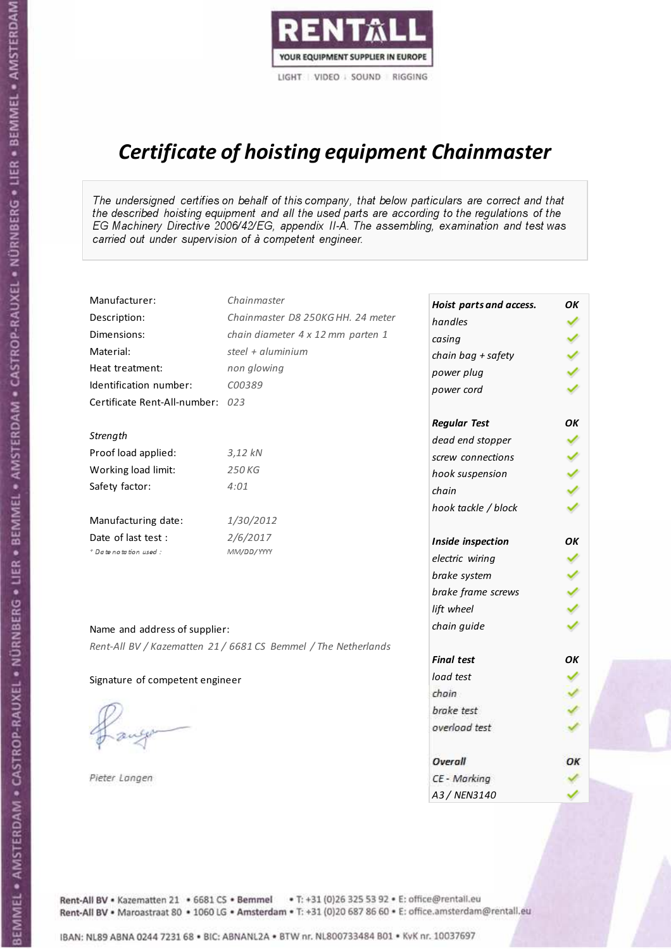

# Certificate of hoisting equipment Chainmaster

The undersigned certifies on behalf of this company, that below particulars are correct and that the described hoisting equipment and all the used parts are according to the regulations of the EG Machinery Directive 2006/42/EG, appendix II-A. The assembling, examination and test was carried out under supervision of à competent engineer.

| Manufacturer:                    | Chainmaster                                                    | Hoist parts and access. | OK  |
|----------------------------------|----------------------------------------------------------------|-------------------------|-----|
| Description:                     | Chainmaster D8 250KG HH. 24 meter                              | handles                 |     |
| Dimensions:                      | chain diameter 4 x 12 mm parten 1                              | casing                  |     |
| Material:                        | steel + aluminium                                              | chain bag + safety      |     |
| Heat treatment:                  | non glowing                                                    | power plug              |     |
| Identification number:           | C00389                                                         | power cord              |     |
| Certificate Rent-All-number: 023 |                                                                |                         |     |
|                                  |                                                                | <b>Regular Test</b>     | ОΚ  |
| Strength                         |                                                                | dead end stopper        |     |
| Proof load applied:              | $3,12$ $kN$                                                    | screw connections       |     |
| Working load limit:              | 250 KG                                                         | hook suspension         |     |
| Safety factor:                   | 4:01                                                           | chain                   | くくく |
|                                  |                                                                | hook tackle / block     |     |
| Manufacturing date:              | 1/30/2012                                                      |                         |     |
| Date of last test :              | 2/6/2017                                                       | Inside inspection       | OK  |
| + Date notation used:            | MM/DD/YYYY                                                     | electric wiring         | ✔   |
|                                  |                                                                | brake system            |     |
|                                  |                                                                | brake frame screws      |     |
|                                  |                                                                | lift wheel              | くくく |
| Name and address of supplier:    |                                                                | chain guide             |     |
|                                  | Rent-All BV / Kazematten 21 / 6681 CS Bemmel / The Netherlands |                         |     |
|                                  |                                                                | <b>Final test</b>       | OK  |
| Signature of competent engineer  |                                                                | load test               |     |
|                                  |                                                                | chain                   |     |
|                                  |                                                                | brake test              |     |
|                                  |                                                                | overload test           |     |
|                                  |                                                                | Overall                 | ОК  |
| Pieter Langen                    |                                                                | CE - Marking            |     |
|                                  |                                                                | A3 / NEN3140            |     |

Rent-All BV . Kazematten 21 . 6681 CS . Bemmel . T: +31 (0)26 325 53 92 . E: office@rentall.eu Rent-All BV · Maroastraat 80 · 1060 LG · Amsterdam · T: +31 (0)20 687 86 60 · E: office.amsterdam@rentall.eu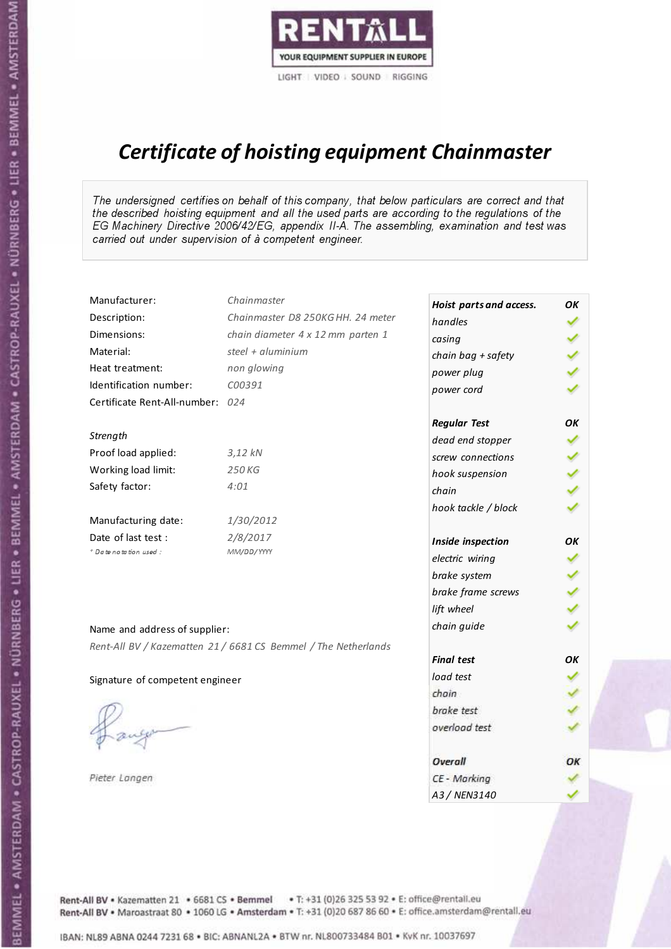

# Certificate of hoisting equipment Chainmaster

The undersigned certifies on behalf of this company, that below particulars are correct and that the described hoisting equipment and all the used parts are according to the regulations of the EG Machinery Directive 2006/42/EG, appendix II-A. The assembling, examination and test was carried out under supervision of à competent engineer.

| Manufacturer:                    | Chainmaster                                                    | Hoist parts and access. | OК |
|----------------------------------|----------------------------------------------------------------|-------------------------|----|
| Description:                     | Chainmaster D8 250KG HH. 24 meter                              | handles                 |    |
| Dimensions:                      | chain diameter 4 x 12 mm parten 1                              | casing                  |    |
| Material:                        | steel + $aluminim$                                             | chain bag + safety      |    |
| Heat treatment:                  | non glowing                                                    | power plug              |    |
| Identification number:           | C00391                                                         | power cord              |    |
| Certificate Rent-All-number: 024 |                                                                |                         |    |
|                                  |                                                                | <b>Regular Test</b>     | OK |
| Strength                         |                                                                | dead end stopper        |    |
| Proof load applied:              | 3,12 kN                                                        | screw connections       |    |
| Working load limit:              | 250 KG                                                         | hook suspension         |    |
| Safety factor:                   | 4:01                                                           | chain                   |    |
|                                  |                                                                | hook tackle / block     |    |
| Manufacturing date:              | 1/30/2012                                                      |                         |    |
| Date of last test :              | 2/8/2017                                                       | Inside inspection       | OK |
| + Date notation used:            | MM/DD/YYYY                                                     | electric wiring         |    |
|                                  |                                                                | brake system            |    |
|                                  |                                                                | brake frame screws      |    |
|                                  |                                                                | lift wheel              |    |
| Name and address of supplier:    |                                                                | chain guide             |    |
|                                  | Rent-All BV / Kazematten 21 / 6681 CS Bemmel / The Netherlands |                         |    |
|                                  |                                                                | <b>Final test</b>       | OK |
| Signature of competent engineer  |                                                                | load test               |    |
|                                  |                                                                | chain                   |    |
|                                  |                                                                | brake test              |    |
|                                  |                                                                | overload test           |    |
|                                  |                                                                | <b>Overall</b>          | ОК |
| Pieter Langen                    |                                                                | CE - Marking            |    |
|                                  |                                                                | A3 / NEN3140            |    |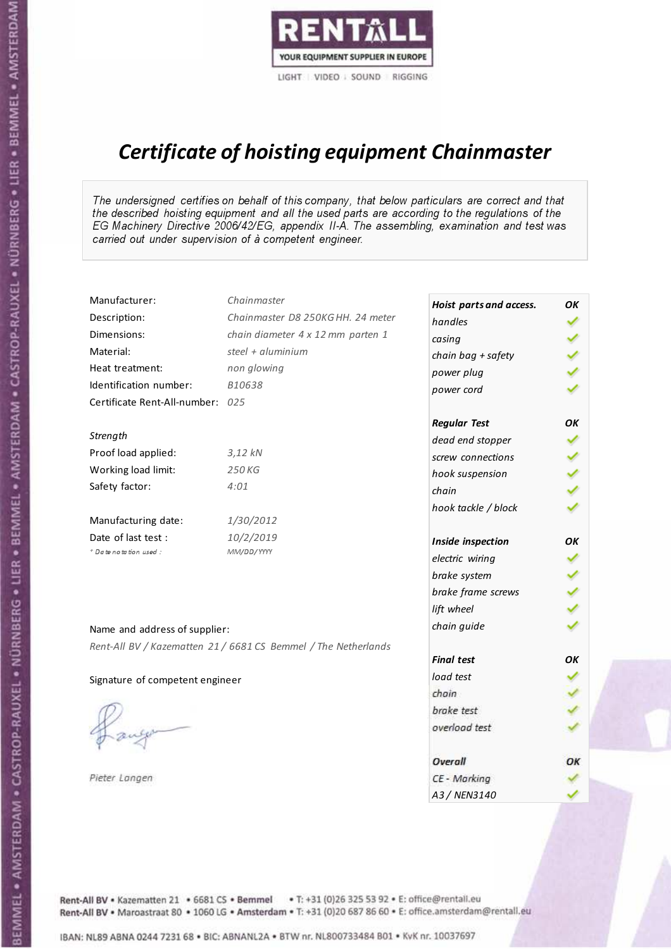

# Certificate of hoisting equipment Chainmaster

The undersigned certifies on behalf of this company, that below particulars are correct and that the described hoisting equipment and all the used parts are according to the regulations of the EG Machinery Directive 2006/42/EG, appendix II-A. The assembling, examination and test was carried out under supervision of à competent engineer.

| Manufacturer:                    | Chainmaster                                                    | Hoist parts and access. | OK  |
|----------------------------------|----------------------------------------------------------------|-------------------------|-----|
| Description:                     | Chainmaster D8 250KG HH. 24 meter                              | handles                 |     |
| Dimensions:                      | chain diameter 4 x 12 mm parten 1                              | casing                  |     |
| Material:                        | steel + aluminium                                              | chain bag + safety      |     |
| Heat treatment:                  | non glowing                                                    | power plug              |     |
| Identification number:           | B10638                                                         | power cord              |     |
| Certificate Rent-All-number: 025 |                                                                |                         |     |
|                                  |                                                                | <b>Regular Test</b>     | ОΚ  |
| Strength                         |                                                                | dead end stopper        | ✔   |
| Proof load applied:              | $3,12$ kN                                                      | screw connections       |     |
| Working load limit:              | 250 KG                                                         | hook suspension         |     |
| Safety factor:                   | 4:01                                                           | chain                   | くくく |
|                                  |                                                                | hook tackle / block     |     |
| Manufacturing date:              | 1/30/2012                                                      |                         |     |
| Date of last test :              | 10/2/2019                                                      | Inside inspection       | ОΚ  |
| * Date notation used :           | MM/DD/YYYY                                                     | electric wiring         | ✔   |
|                                  |                                                                | brake system            |     |
|                                  |                                                                | brake frame screws      |     |
|                                  |                                                                | lift wheel              |     |
| Name and address of supplier:    |                                                                | chain guide             |     |
|                                  | Rent-All BV / Kazematten 21 / 6681 CS Bemmel / The Netherlands |                         |     |
|                                  |                                                                | <b>Final test</b>       | OK  |
| Signature of competent engineer  |                                                                | load test               |     |
|                                  |                                                                | chain                   |     |
|                                  |                                                                | brake test              |     |
|                                  |                                                                | overload test           |     |
|                                  |                                                                | Overall                 | ОК  |
| Pieter Langen                    |                                                                | CE - Marking            |     |
|                                  |                                                                | A3 / NEN3140            |     |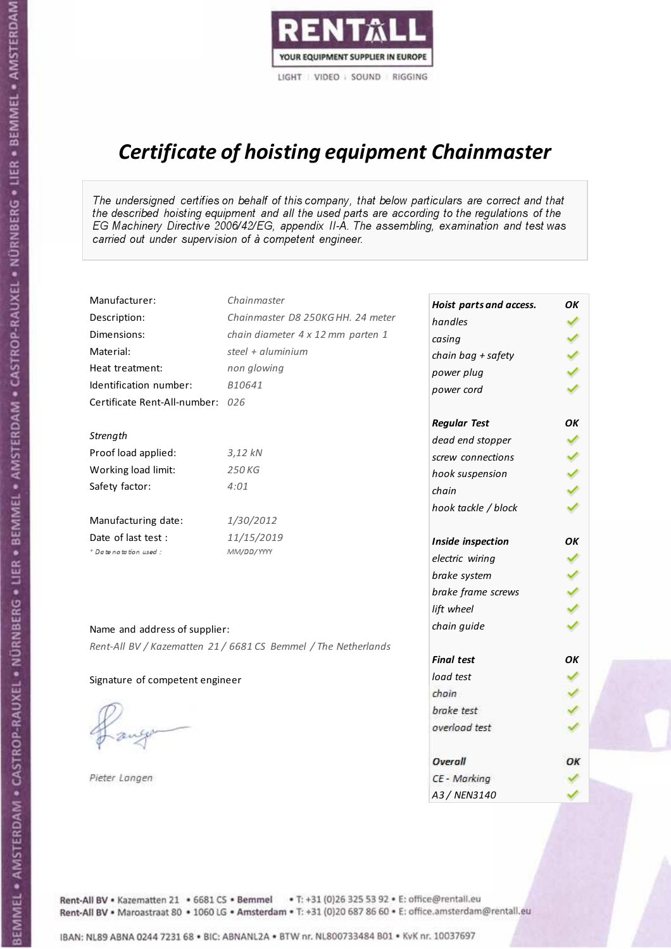

# Certificate of hoisting equipment Chainmaster

The undersigned certifies on behalf of this company, that below particulars are correct and that the described hoisting equipment and all the used parts are according to the regulations of the EG Machinery Directive 2006/42/EG, appendix II-A. The assembling, examination and test was carried out under supervision of à competent engineer.

| Manufacturer:                    | Chainmaster                                                    | Hoist parts and access. | OK  |
|----------------------------------|----------------------------------------------------------------|-------------------------|-----|
| Description:                     | Chainmaster D8 250KG HH. 24 meter                              | handles                 |     |
| Dimensions:                      | chain diameter 4 x 12 mm parten 1                              | casing                  |     |
| Material:                        | steel + $aluminim$                                             | chain bag + safety      |     |
| Heat treatment:                  | non glowing                                                    | power plug              |     |
| Identification number:           | B10641                                                         | power cord              |     |
| Certificate Rent-All-number: 026 |                                                                |                         |     |
|                                  |                                                                | <b>Regular Test</b>     | OK  |
| Strength                         |                                                                | dead end stopper        |     |
| Proof load applied:              | $3,12$ kN                                                      | screw connections       |     |
| Working load limit:              | 250 KG                                                         | hook suspension         |     |
| Safety factor:                   | 4:01                                                           | chain                   | くくく |
|                                  |                                                                | hook tackle / block     |     |
| Manufacturing date:              | 1/30/2012                                                      |                         |     |
| Date of last test :              | 11/15/2019                                                     | Inside inspection       | OK  |
| + Date notation used:            | MM/DD/YYYY                                                     | electric wiring         | ✓   |
|                                  |                                                                | brake system            |     |
|                                  |                                                                | brake frame screws      |     |
|                                  |                                                                | lift wheel              |     |
| Name and address of supplier:    |                                                                | chain guide             |     |
|                                  | Rent-All BV / Kazematten 21 / 6681 CS Bemmel / The Netherlands |                         |     |
|                                  |                                                                | <b>Final test</b>       | OK  |
| Signature of competent engineer  |                                                                | load test               |     |
|                                  |                                                                | chain                   |     |
|                                  |                                                                | brake test              |     |
|                                  |                                                                | overload test           |     |
|                                  |                                                                | Overall                 | ОК  |
| Pieter Langen                    |                                                                | CE - Marking            |     |
|                                  |                                                                | A3 / NEN3140            |     |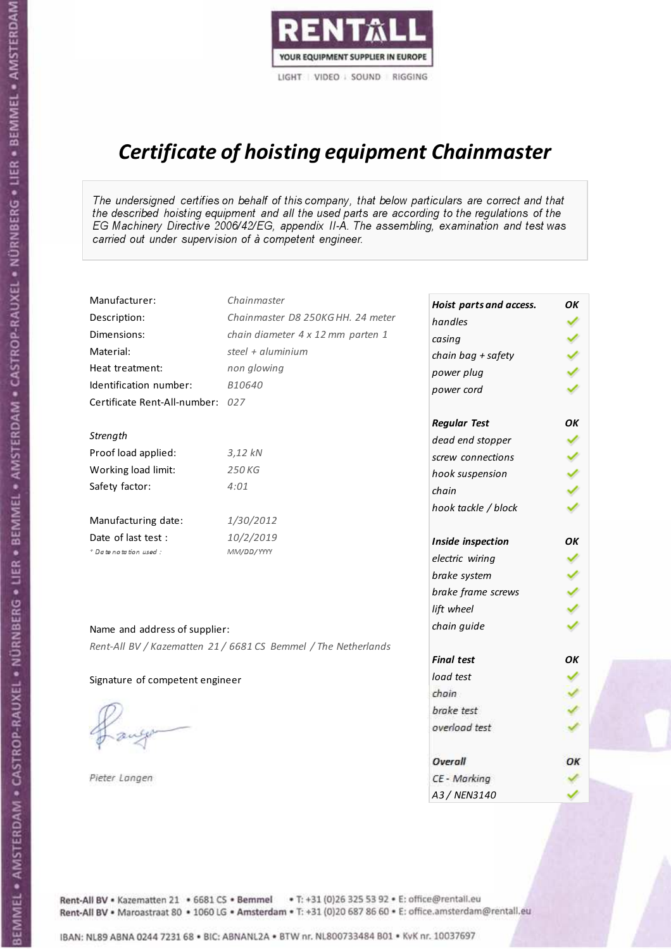

# Certificate of hoisting equipment Chainmaster

The undersigned certifies on behalf of this company, that below particulars are correct and that the described hoisting equipment and all the used parts are according to the regulations of the EG Machinery Directive 2006/42/EG, appendix II-A. The assembling, examination and test was carried out under supervision of à competent engineer.

| Manufacturer:                    | Chainmaster                                                    | Hoist parts and access. | OK  |
|----------------------------------|----------------------------------------------------------------|-------------------------|-----|
| Description:                     | Chainmaster D8 250KG HH. 24 meter                              | handles                 |     |
| Dimensions:                      | chain diameter 4 x 12 mm parten 1                              | casing                  |     |
| Material:                        | steel + $aluminim$                                             | chain bag + safety      |     |
| Heat treatment:                  | non glowing                                                    | power plug              |     |
| Identification number:           | B10640                                                         | power cord              |     |
| Certificate Rent-All-number: 027 |                                                                |                         |     |
|                                  |                                                                | <b>Regular Test</b>     | OK  |
| Strength                         |                                                                | dead end stopper        | ✔   |
| Proof load applied:              | $3,12$ $kN$                                                    | screw connections       |     |
| Working load limit:              | 250KG                                                          | hook suspension         |     |
| Safety factor:                   | 4:01                                                           | chain                   | くくく |
|                                  |                                                                | hook tackle / block     |     |
| Manufacturing date:              | 1/30/2012                                                      |                         |     |
| Date of last test:               | 10/2/2019                                                      | Inside inspection       | ΟK  |
| * Date notation used :           | MM/DD/YYYY                                                     | electric wiring         | ✓   |
|                                  |                                                                | brake system            |     |
|                                  |                                                                | brake frame screws      |     |
|                                  |                                                                | lift wheel              |     |
| Name and address of supplier:    |                                                                | chain guide             |     |
|                                  | Rent-All BV / Kazematten 21 / 6681 CS Bemmel / The Netherlands |                         |     |
|                                  |                                                                | <b>Final test</b>       | OK  |
| Signature of competent engineer  |                                                                | load test               |     |
|                                  |                                                                | chain                   |     |
|                                  |                                                                | brake test              |     |
|                                  |                                                                | overload test           |     |
|                                  |                                                                | Overall                 | ОК  |
| Pieter Langen                    |                                                                | CE - Marking            |     |
|                                  |                                                                | A3 / NEN3140            |     |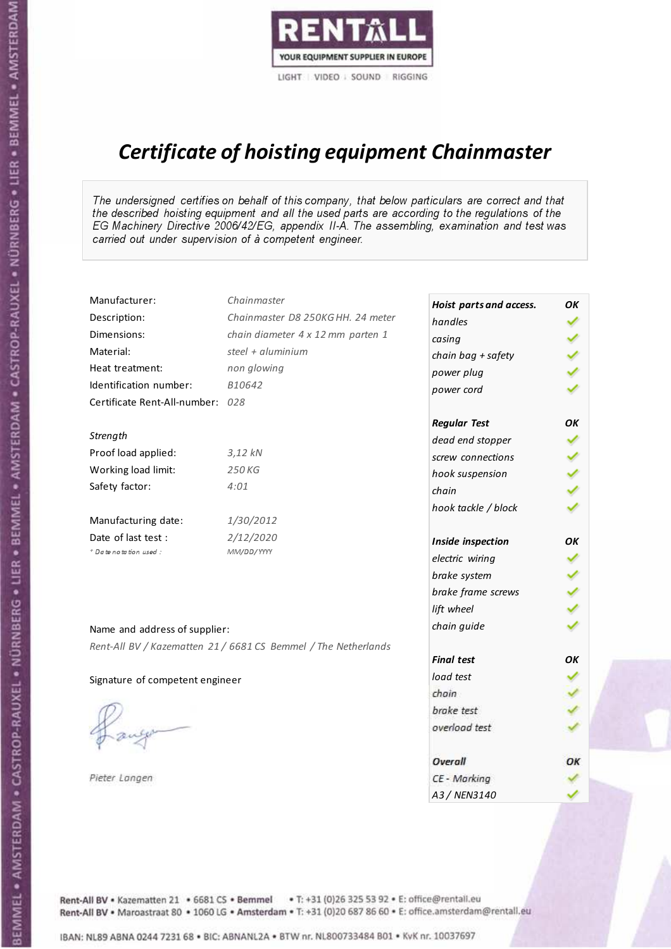

# Certificate of hoisting equipment Chainmaster

The undersigned certifies on behalf of this company, that below particulars are correct and that the described hoisting equipment and all the used parts are according to the regulations of the EG Machinery Directive 2006/42/EG, appendix II-A. The assembling, examination and test was carried out under supervision of à competent engineer.

| Manufacturer:                    | Chainmaster                                                    | Hoist parts and access. | OΚ  |
|----------------------------------|----------------------------------------------------------------|-------------------------|-----|
| Description:                     | Chainmaster D8 250KG HH. 24 meter                              | handles                 |     |
| Dimensions:                      | chain diameter 4 x 12 mm parten 1                              | casing                  |     |
| Material:                        | steel + aluminium                                              | chain bag + safety      | くりょ |
| Heat treatment:                  | non glowing                                                    | power plug              |     |
| Identification number:           | B10642                                                         | power cord              |     |
| Certificate Rent-All-number: 028 |                                                                |                         |     |
|                                  |                                                                | <b>Regular Test</b>     | OK  |
| Strength                         |                                                                | dead end stopper        | ✔   |
| Proof load applied:              | 3,12 kN                                                        | screw connections       |     |
| Working load limit:              | 250 KG                                                         | hook suspension         |     |
| Safety factor:                   | 4:01                                                           | chain                   | りょ  |
|                                  |                                                                | hook tackle / block     |     |
| Manufacturing date:              | 1/30/2012                                                      |                         |     |
| Date of last test :              | 2/12/2020                                                      | Inside inspection       | ОΚ  |
| * Date notation used :           | MM/DD/YYYY                                                     | electric wiring         | ✓   |
|                                  |                                                                | brake system            |     |
|                                  |                                                                | brake frame screws      |     |
|                                  |                                                                | lift wheel              |     |
| Name and address of supplier:    |                                                                | chain guide             |     |
|                                  | Rent-All BV / Kazematten 21 / 6681 CS Bemmel / The Netherlands |                         |     |
|                                  |                                                                | <b>Final test</b>       | OK  |
| Signature of competent engineer  |                                                                | load test               |     |
|                                  |                                                                | chain                   |     |
|                                  |                                                                | brake test              |     |
|                                  |                                                                | overload test           |     |
|                                  |                                                                | <b>Overall</b>          | ОК  |
| Pieter Langen                    |                                                                | CE - Marking            |     |
|                                  |                                                                | A3 / NEN3140            |     |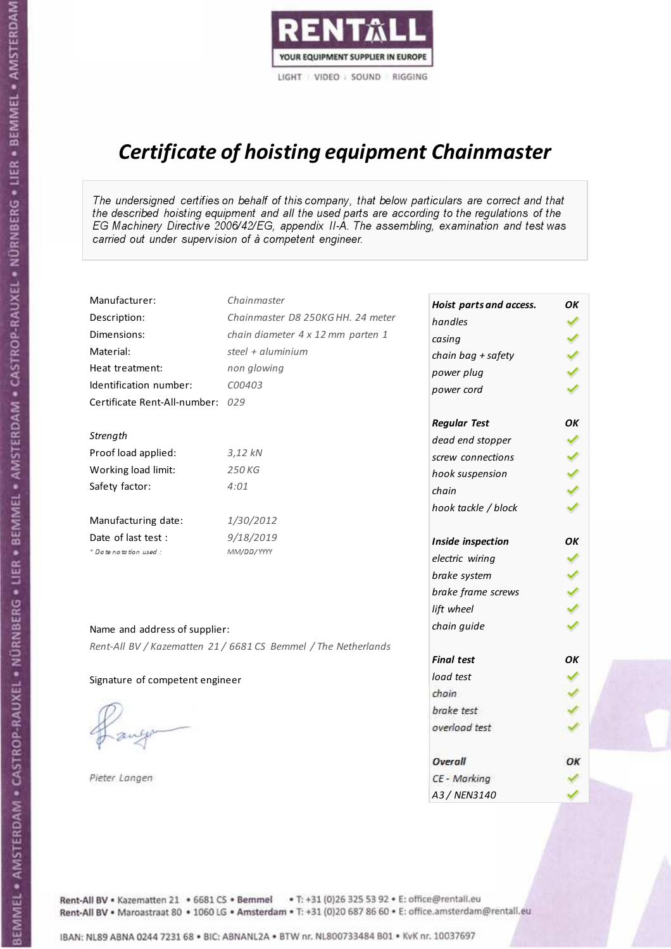

# Certificate of hoisting equipment Chainmaster

The undersigned certifies on behalf of this company, that below particulars are correct and that the described hoisting equipment and all the used parts are according to the regulations of the EG Machinery Directive 2006/42/EG, appendix II-A. The assembling, examination and test was carried out under supervision of à competent engineer.

| Manufacturer:                    | Chainmaster                                                    | Hoist parts and access. | OΚ  |
|----------------------------------|----------------------------------------------------------------|-------------------------|-----|
| Description:                     | Chainmaster D8 250KG HH. 24 meter                              | handles                 | ✓   |
| Dimensions:                      | chain diameter 4 x 12 mm parten 1                              | casing                  |     |
| Material:                        | steel + aluminium                                              | chain bag + safety      |     |
| Heat treatment:                  | non glowing                                                    | power plug              |     |
| Identification number:           | C00403                                                         | power cord              |     |
| Certificate Rent-All-number: 029 |                                                                |                         |     |
|                                  |                                                                | <b>Regular Test</b>     | OK  |
| Strength                         |                                                                | dead end stopper        | ✔   |
| Proof load applied:              | $3,12$ $kN$                                                    | screw connections       |     |
| Working load limit:              | 250KG                                                          | hook suspension         |     |
| Safety factor:                   | 4:01                                                           | chain                   | くくく |
|                                  |                                                                | hook tackle / block     |     |
| Manufacturing date:              | 1/30/2012                                                      |                         |     |
| Date of last test :              | 9/18/2019                                                      | Inside inspection       | OK  |
| * Date notation used :           | MM/DD/YYYY                                                     | electric wiring         | ✔   |
|                                  |                                                                | brake system            | ✔   |
|                                  |                                                                | brake frame screws      |     |
|                                  |                                                                | lift wheel              |     |
| Name and address of supplier:    |                                                                | chain guide             |     |
|                                  | Rent-All BV / Kazematten 21 / 6681 CS Bemmel / The Netherlands |                         |     |
|                                  |                                                                | <b>Final test</b>       | OK  |
| Signature of competent engineer  |                                                                | load test               |     |
|                                  |                                                                | chain                   |     |
|                                  |                                                                | brake test              |     |
|                                  |                                                                | overload test           |     |
|                                  |                                                                | Overall                 | ОК  |
| Pieter Langen                    |                                                                | CE - Marking            |     |
|                                  |                                                                | A3 / NEN3140            |     |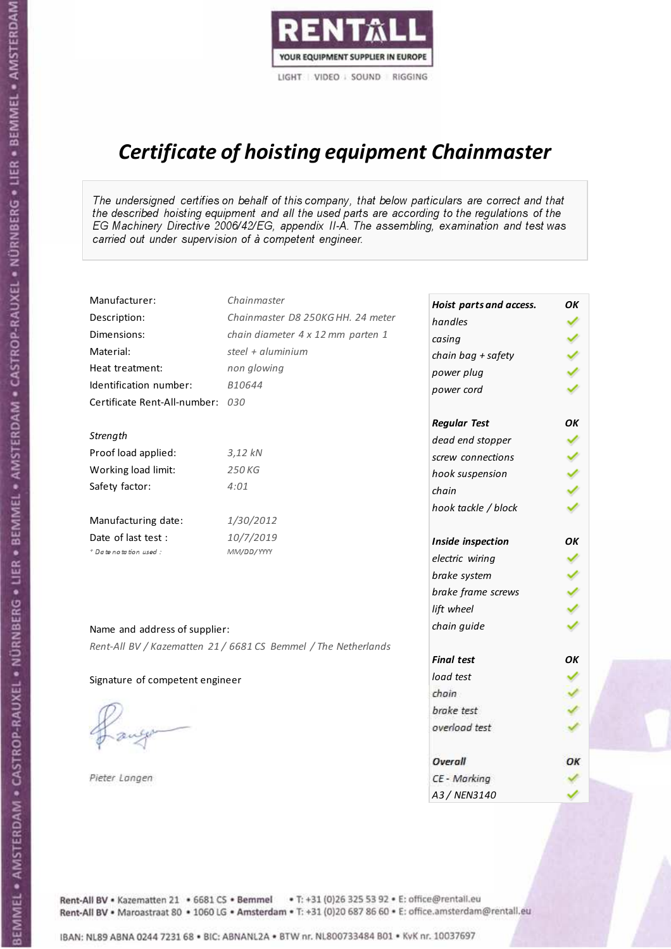

# Certificate of hoisting equipment Chainmaster

The undersigned certifies on behalf of this company, that below particulars are correct and that the described hoisting equipment and all the used parts are according to the regulations of the EG Machinery Directive 2006/42/EG, appendix II-A. The assembling, examination and test was carried out under supervision of à competent engineer.

| Manufacturer:                    | Chainmaster                                                    | Hoist parts and access. | OΚ  |
|----------------------------------|----------------------------------------------------------------|-------------------------|-----|
| Description:                     | Chainmaster D8 250KG HH. 24 meter                              | handles                 |     |
| Dimensions:                      | chain diameter 4 x 12 mm parten 1                              | casing                  |     |
| Material:                        | steel + aluminium                                              | chain bag + safety      | くりょ |
| Heat treatment:                  | non glowing                                                    | power plug              |     |
| Identification number:           | B10644                                                         | power cord              |     |
| Certificate Rent-All-number: 030 |                                                                |                         |     |
|                                  |                                                                | <b>Regular Test</b>     | OK  |
| Strength                         |                                                                | dead end stopper        | ✔   |
| Proof load applied:              | 3,12 kN                                                        | screw connections       |     |
| Working load limit:              | 250 KG                                                         | hook suspension         |     |
| Safety factor:                   | 4:01                                                           | chain                   | りょ  |
|                                  |                                                                | hook tackle / block     |     |
| Manufacturing date:              | 1/30/2012                                                      |                         |     |
| Date of last test :              | 10/7/2019                                                      | Inside inspection       | ОΚ  |
| * Date notation used :           | MM/DD/YYYY                                                     | electric wiring         | ✓   |
|                                  |                                                                | brake system            |     |
|                                  |                                                                | brake frame screws      |     |
|                                  |                                                                | lift wheel              |     |
| Name and address of supplier:    |                                                                | chain guide             |     |
|                                  | Rent-All BV / Kazematten 21 / 6681 CS Bemmel / The Netherlands |                         |     |
|                                  |                                                                | <b>Final test</b>       | OK  |
| Signature of competent engineer  |                                                                | load test               |     |
|                                  |                                                                | chain                   |     |
|                                  |                                                                | brake test              |     |
|                                  |                                                                | overload test           |     |
|                                  |                                                                | <b>Overall</b>          | ОК  |
| Pieter Langen                    |                                                                | CE - Marking            |     |
|                                  |                                                                | A3 / NEN3140            |     |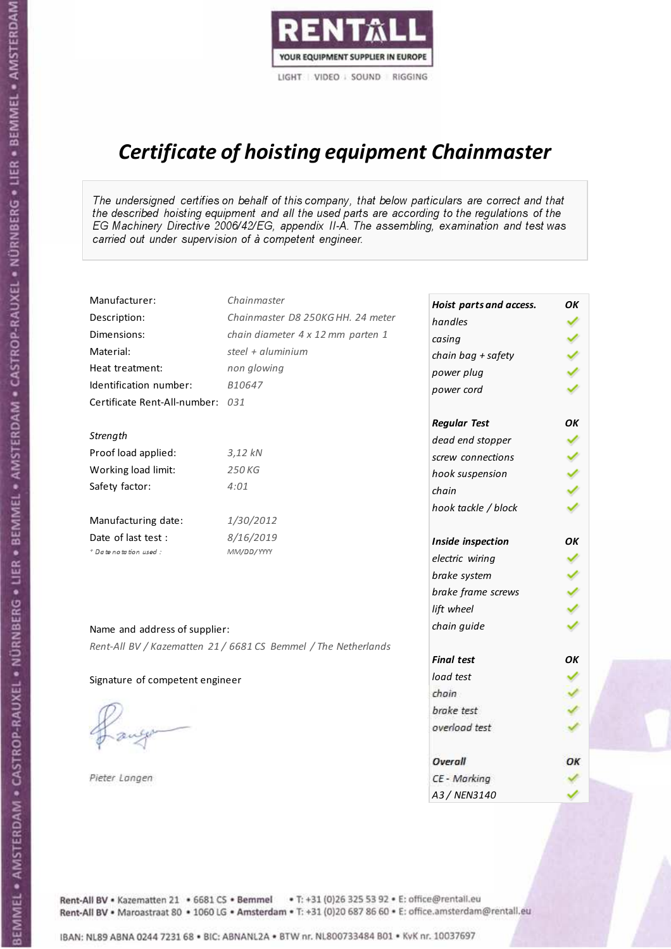

# Certificate of hoisting equipment Chainmaster

The undersigned certifies on behalf of this company, that below particulars are correct and that the described hoisting equipment and all the used parts are according to the regulations of the EG Machinery Directive 2006/42/EG, appendix II-A. The assembling, examination and test was carried out under supervision of à competent engineer.

| Manufacturer:                    | Chainmaster                                                    | Hoist parts and access. | OK  |
|----------------------------------|----------------------------------------------------------------|-------------------------|-----|
| Description:                     | Chainmaster D8 250KG HH. 24 meter                              | handles                 |     |
| Dimensions:                      | chain diameter 4 x 12 mm parten 1                              | casing                  |     |
| Material:                        | steel $+$ aluminium                                            | chain bag + safety      |     |
| Heat treatment:                  | non glowing                                                    | power plug              |     |
| Identification number:           | B10647                                                         | power cord              |     |
| Certificate Rent-All-number: 031 |                                                                |                         |     |
|                                  |                                                                | <b>Regular Test</b>     | OK  |
| Strength                         |                                                                | dead end stopper        | ✔   |
| Proof load applied:              | 3,12 kN                                                        | screw connections       |     |
| Working load limit:              | 250 KG                                                         | hook suspension         |     |
| Safety factor:                   | 4:01                                                           | chain                   | くりょ |
|                                  |                                                                | hook tackle / block     |     |
| Manufacturing date:              | 1/30/2012                                                      |                         |     |
| Date of last test :              | 8/16/2019                                                      | Inside inspection       | ОΚ  |
| * Date notation used :           | MM/DD/YYYY                                                     | electric wiring         | ✓   |
|                                  |                                                                | brake system            |     |
|                                  |                                                                | brake frame screws      |     |
|                                  |                                                                | lift wheel              |     |
| Name and address of supplier:    |                                                                | chain guide             |     |
|                                  | Rent-All BV / Kazematten 21 / 6681 CS Bemmel / The Netherlands |                         |     |
|                                  |                                                                | <b>Final test</b>       | OK  |
| Signature of competent engineer  |                                                                | load test               |     |
|                                  |                                                                | chain                   |     |
|                                  |                                                                | brake test              |     |
|                                  |                                                                | overload test           |     |
|                                  |                                                                | Overall                 | OK  |
| Pieter Langen                    |                                                                | CE - Marking            |     |
|                                  |                                                                | A3 / NEN3140            |     |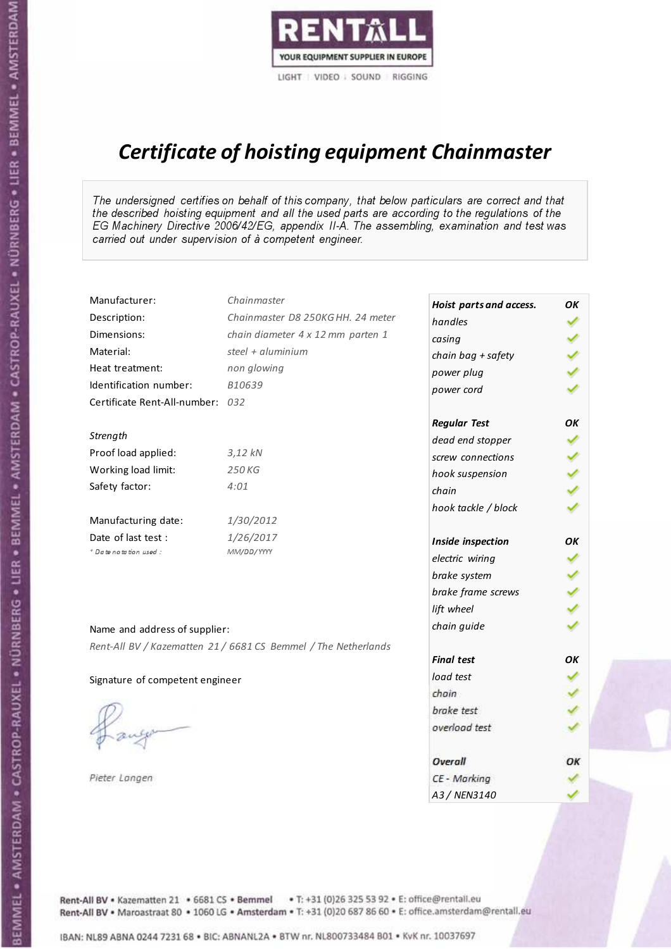

# Certificate of hoisting equipment Chainmaster

The undersigned certifies on behalf of this company, that below particulars are correct and that the described hoisting equipment and all the used parts are according to the regulations of the EG Machinery Directive 2006/42/EG, appendix II-A. The assembling, examination and test was carried out under supervision of à competent engineer.

| Manufacturer:                    | Chainmaster                                                    | Hoist parts and access. | OΚ  |
|----------------------------------|----------------------------------------------------------------|-------------------------|-----|
| Description:                     | Chainmaster D8 250KG HH. 24 meter                              | handles                 |     |
| Dimensions:                      | chain diameter 4 x 12 mm parten 1                              | casing                  |     |
| Material:                        | steel + $aluminim$                                             | chain bag + safety      |     |
| Heat treatment:                  | non glowing                                                    | power plug              |     |
| Identification number:           | B10639                                                         | power cord              |     |
| Certificate Rent-All-number: 032 |                                                                |                         |     |
|                                  |                                                                | <b>Regular Test</b>     | OK  |
| Strength                         |                                                                | dead end stopper        | ✔   |
| Proof load applied:              | 3,12 kN                                                        | screw connections       |     |
| Working load limit:              | 250 KG                                                         | hook suspension         |     |
| Safety factor:                   | 4:01                                                           | chain                   | くくく |
|                                  |                                                                | hook tackle / block     |     |
| Manufacturing date:              | 1/30/2012                                                      |                         |     |
| Date of last test :              | 1/26/2017                                                      | Inside inspection       | OK  |
| + Date notation used:            | MM/DD/YYYY                                                     | electric wiring         | ✓   |
|                                  |                                                                | brake system            |     |
|                                  |                                                                | brake frame screws      |     |
|                                  |                                                                | lift wheel              | くくく |
| Name and address of supplier:    |                                                                | chain guide             |     |
|                                  | Rent-All BV / Kazematten 21 / 6681 CS Bemmel / The Netherlands |                         |     |
|                                  |                                                                | <b>Final test</b>       | OK  |
| Signature of competent engineer  |                                                                | load test               |     |
|                                  |                                                                | chain                   |     |
|                                  |                                                                | brake test              |     |
|                                  |                                                                | overload test           |     |
|                                  |                                                                | Overall                 | ОК  |
| Pieter Langen                    |                                                                | CE - Marking            |     |
|                                  |                                                                | A3 / NEN3140            |     |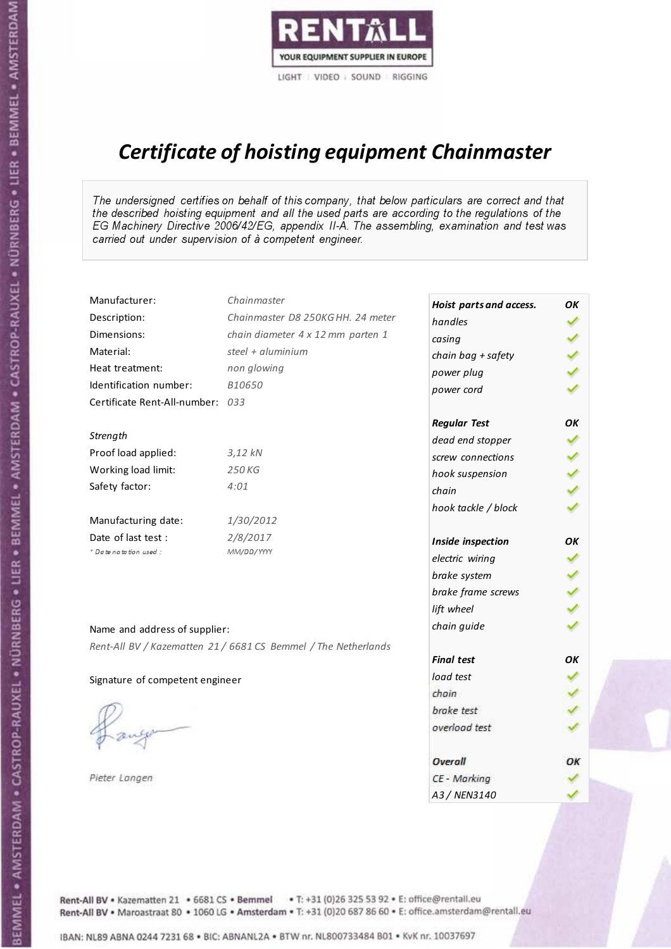

# Certificate of hoisting equipment Chainmaster

The undersigned certifies on behalf of this company, that below particulars are correct and that the described hoisting equipment and all the used parts are according to the regulations of the EG Machinery Directive 2006/42/EG, appendix II-A. The assembling, examination and test was carried out under supervision of à competent engineer.

| Manufacturer:                    | Chainmaster                                                    | Hoist parts and access. | OK  |
|----------------------------------|----------------------------------------------------------------|-------------------------|-----|
| Description:                     | Chainmaster D8 250KG HH. 24 meter                              | handles                 |     |
| Dimensions:                      | chain diameter 4 x 12 mm parten 1                              | casing                  |     |
| Material:                        | steel + $aluminim$                                             | chain bag + safety      |     |
| Heat treatment:                  | non glowing                                                    | power plug              |     |
| Identification number:           | B10650                                                         | power cord              |     |
| Certificate Rent-All-number: 033 |                                                                |                         |     |
|                                  |                                                                | <b>Regular Test</b>     | OK  |
| Strength                         |                                                                | dead end stopper        |     |
| Proof load applied:              | $3,12$ kN                                                      | screw connections       |     |
| Working load limit:              | 250 KG                                                         | hook suspension         |     |
| Safety factor:                   | 4:01                                                           | chain                   | くくく |
|                                  |                                                                | hook tackle / block     |     |
| Manufacturing date:              | 1/30/2012                                                      |                         |     |
| Date of last test :              | 2/8/2017                                                       | Inside inspection       | OK  |
| + Date notation used:            | MM/DD/YYYY                                                     | electric wiring         | ✓   |
|                                  |                                                                | brake system            |     |
|                                  |                                                                | brake frame screws      |     |
|                                  |                                                                | lift wheel              |     |
| Name and address of supplier:    |                                                                | chain guide             |     |
|                                  | Rent-All BV / Kazematten 21 / 6681 CS Bemmel / The Netherlands |                         |     |
|                                  |                                                                | <b>Final test</b>       | OK  |
| Signature of competent engineer  |                                                                | load test               |     |
|                                  |                                                                | chain                   |     |
|                                  |                                                                | brake test              |     |
|                                  |                                                                | overload test           |     |
|                                  |                                                                | Overall                 | ОК  |
| Pieter Langen                    |                                                                | CE - Marking            |     |
|                                  |                                                                | A3 / NEN3140            |     |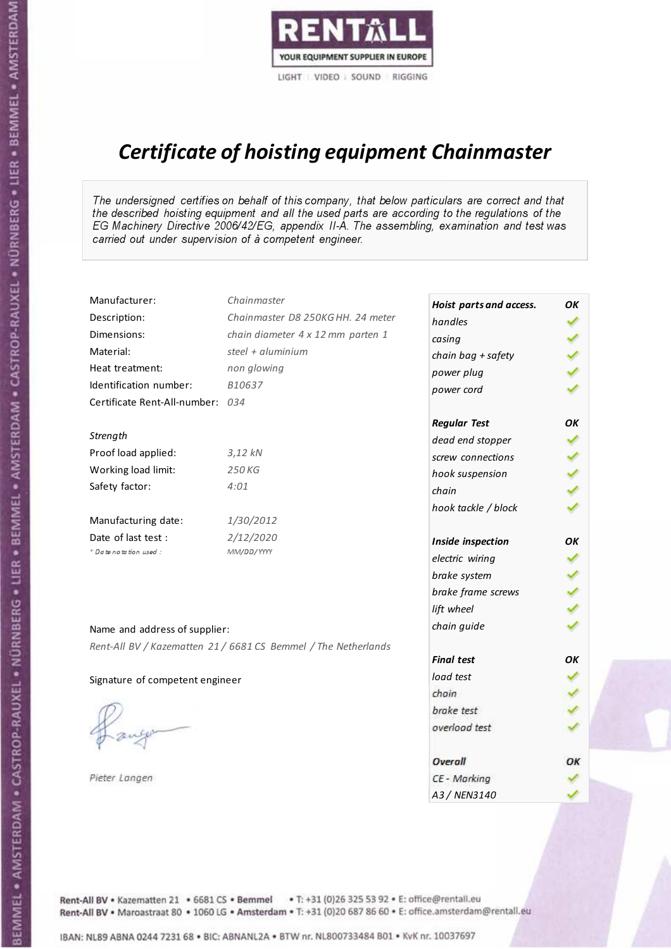

# Certificate of hoisting equipment Chainmaster

The undersigned certifies on behalf of this company, that below particulars are correct and that the described hoisting equipment and all the used parts are according to the regulations of the EG Machinery Directive 2006/42/EG, appendix II-A. The assembling, examination and test was carried out under supervision of à competent engineer.

| Manufacturer:                    | Chainmaster                                                    | Hoist parts and access. | OK  |
|----------------------------------|----------------------------------------------------------------|-------------------------|-----|
| Description:                     | Chainmaster D8 250KG HH. 24 meter                              | handles                 |     |
| Dimensions:                      | chain diameter 4 x 12 mm parten 1                              | casing                  |     |
| Material:                        | steel + aluminium                                              | chain bag + safety      |     |
| Heat treatment:                  | non glowing                                                    | power plug              |     |
| Identification number:           | B10637                                                         | power cord              |     |
| Certificate Rent-All-number: 034 |                                                                |                         |     |
|                                  |                                                                | <b>Regular Test</b>     | ОΚ  |
| Strength                         |                                                                | dead end stopper        | ✔   |
| Proof load applied:              | $3,12$ $kN$                                                    | screw connections       |     |
| Working load limit:              | 250 KG                                                         | hook suspension         |     |
| Safety factor:                   | 4:01                                                           | chain                   | くくく |
|                                  |                                                                | hook tackle / block     |     |
| Manufacturing date:              | 1/30/2012                                                      |                         |     |
| Date of last test :              | 2/12/2020                                                      | Inside inspection       | ОΚ  |
| * Date notation used :           | MM/DD/YYYY                                                     | electric wiring         | ✔   |
|                                  |                                                                | brake system            |     |
|                                  |                                                                | brake frame screws      |     |
|                                  |                                                                | lift wheel              |     |
| Name and address of supplier:    |                                                                | chain guide             |     |
|                                  | Rent-All BV / Kazematten 21 / 6681 CS Bemmel / The Netherlands |                         |     |
|                                  |                                                                | <b>Final test</b>       | OK  |
| Signature of competent engineer  |                                                                | load test               |     |
|                                  |                                                                | chain                   |     |
|                                  |                                                                | brake test              |     |
|                                  |                                                                | overload test           |     |
|                                  |                                                                | Overall                 | ОК  |
| Pieter Langen                    |                                                                | CE - Marking            |     |
|                                  |                                                                | A3 / NEN3140            |     |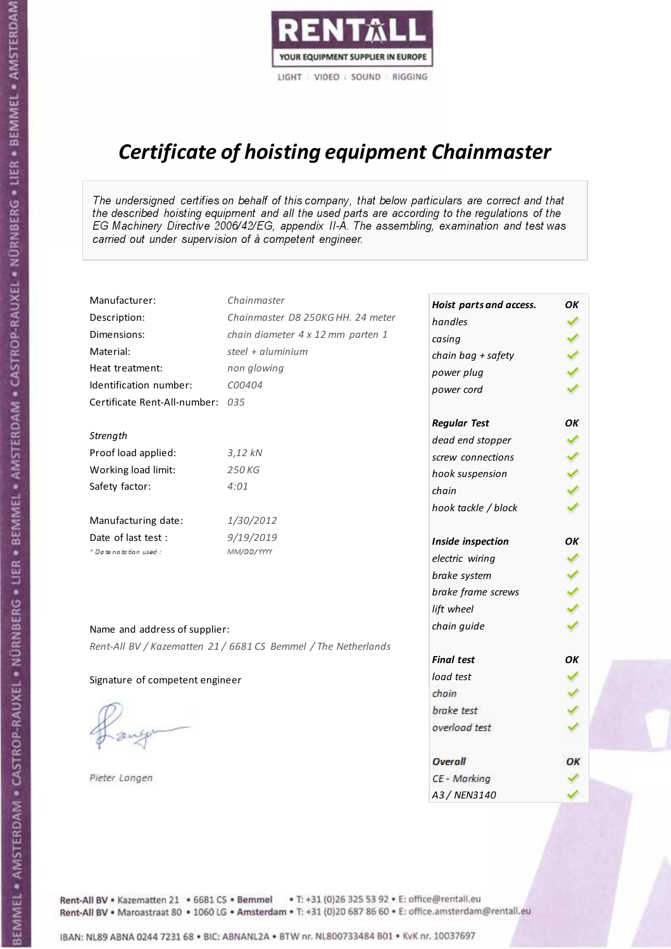

# Certificate of hoisting equipment Chainmaster

The undersigned certifies on behalf of this company, that below particulars are correct and that the described hoisting equipment and all the used parts are according to the regulations of the EG Machinery Directive 2006/42/EG, appendix II-A. The assembling, examination and test was carried out under supervision of à competent engineer.

| Manufacturer:                    | Chainmaster                                                    | Hoist parts and access. | OΚ |
|----------------------------------|----------------------------------------------------------------|-------------------------|----|
| Description:                     | Chainmaster D8 250KG HH. 24 meter                              | handles                 | ✓  |
| Dimensions:                      | chain diameter 4 x 12 mm parten 1                              | casing                  |    |
| Material:                        | steel + $aluminim$                                             | chain bag + safety      |    |
| Heat treatment:                  | non glowing                                                    | power plug              |    |
| Identification number:           | C00404                                                         | power cord              |    |
| Certificate Rent-All-number: 035 |                                                                |                         |    |
|                                  |                                                                | <b>Regular Test</b>     | OK |
| Strength                         |                                                                | dead end stopper        | ✔  |
| Proof load applied:              | 3,12 kN                                                        | screw connections       |    |
| Working load limit:              | 250 KG                                                         | hook suspension         |    |
| Safety factor:                   | 4:01                                                           | chain                   | りょ |
|                                  |                                                                | hook tackle / block     |    |
| Manufacturing date:              | 1/30/2012                                                      |                         |    |
| Date of last test:               | 9/19/2019                                                      | Inside inspection       | ΟK |
| * Date notation used :           | MM/DD/YYYY                                                     | electric wiring         | ✓  |
|                                  |                                                                | brake system            |    |
|                                  |                                                                | brake frame screws      |    |
|                                  |                                                                | lift wheel              |    |
| Name and address of supplier:    |                                                                | chain guide             |    |
|                                  | Rent-All BV / Kazematten 21 / 6681 CS Bemmel / The Netherlands |                         |    |
|                                  |                                                                | <b>Final test</b>       | OK |
| Signature of competent engineer  |                                                                | load test               |    |
|                                  |                                                                | chain                   |    |
|                                  |                                                                | brake test              |    |
|                                  |                                                                | overload test           |    |
|                                  |                                                                | <b>Overall</b>          | ОК |
| Pieter Langen                    |                                                                | CE - Marking            |    |
|                                  |                                                                | A3 / NEN3140            |    |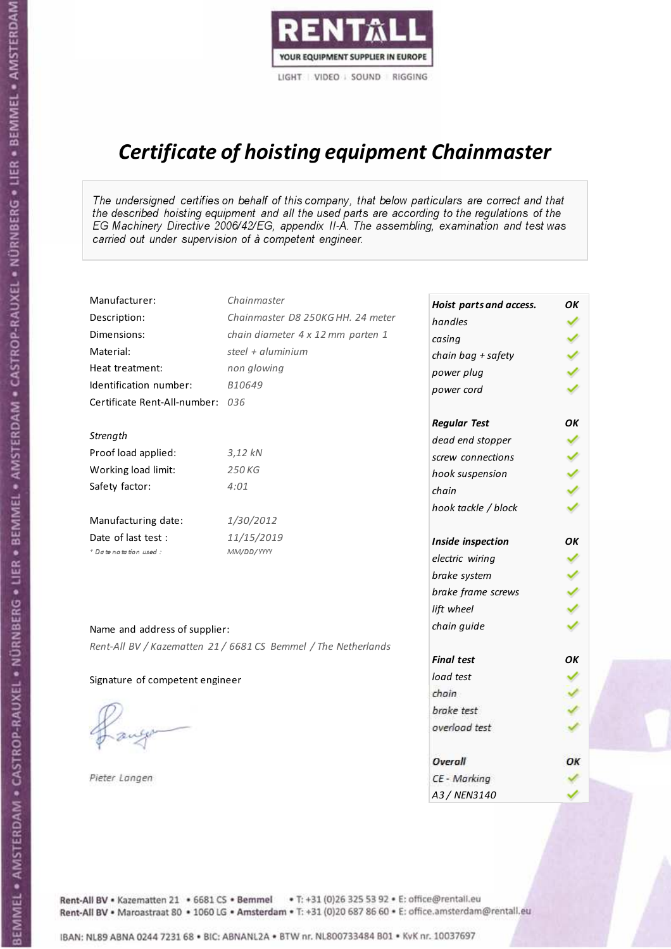

# Certificate of hoisting equipment Chainmaster

The undersigned certifies on behalf of this company, that below particulars are correct and that the described hoisting equipment and all the used parts are according to the regulations of the EG Machinery Directive 2006/42/EG, appendix II-A. The assembling, examination and test was carried out under supervision of à competent engineer.

| Manufacturer:                    | Chainmaster                                                    | Hoist parts and access. | OK  |
|----------------------------------|----------------------------------------------------------------|-------------------------|-----|
| Description:                     | Chainmaster D8 250KG HH. 24 meter                              | handles                 |     |
| Dimensions:                      | chain diameter 4 x 12 mm parten 1                              | casing                  |     |
| Material:                        | steel + $aluminim$                                             | chain bag + safety      |     |
| Heat treatment:                  | non glowing                                                    | power plug              |     |
| Identification number:           | B10649                                                         | power cord              |     |
| Certificate Rent-All-number: 036 |                                                                |                         |     |
|                                  |                                                                | <b>Regular Test</b>     | OK  |
| Strength                         |                                                                | dead end stopper        | ✔   |
| Proof load applied:              | $3,12$ $kN$                                                    | screw connections       |     |
| Working load limit:              | 250KG                                                          | hook suspension         |     |
| Safety factor:                   | 4:01                                                           | chain                   | くくく |
|                                  |                                                                | hook tackle / block     |     |
| Manufacturing date:              | 1/30/2012                                                      |                         |     |
| Date of last test :              | 11/15/2019                                                     | Inside inspection       | ΟK  |
| * Date notation used :           | MM/DD/YYYY                                                     | electric wiring         | ✓   |
|                                  |                                                                | brake system            |     |
|                                  |                                                                | brake frame screws      |     |
|                                  |                                                                | lift wheel              |     |
| Name and address of supplier:    |                                                                | chain guide             |     |
|                                  | Rent-All BV / Kazematten 21 / 6681 CS Bemmel / The Netherlands |                         |     |
|                                  |                                                                | <b>Final test</b>       | OK  |
| Signature of competent engineer  |                                                                | load test               |     |
|                                  |                                                                | chain                   |     |
|                                  |                                                                | brake test              |     |
|                                  |                                                                | overload test           |     |
|                                  |                                                                | Overall                 | ОК  |
| Pieter Langen                    |                                                                | CE - Marking            |     |
|                                  |                                                                | A3 / NEN3140            |     |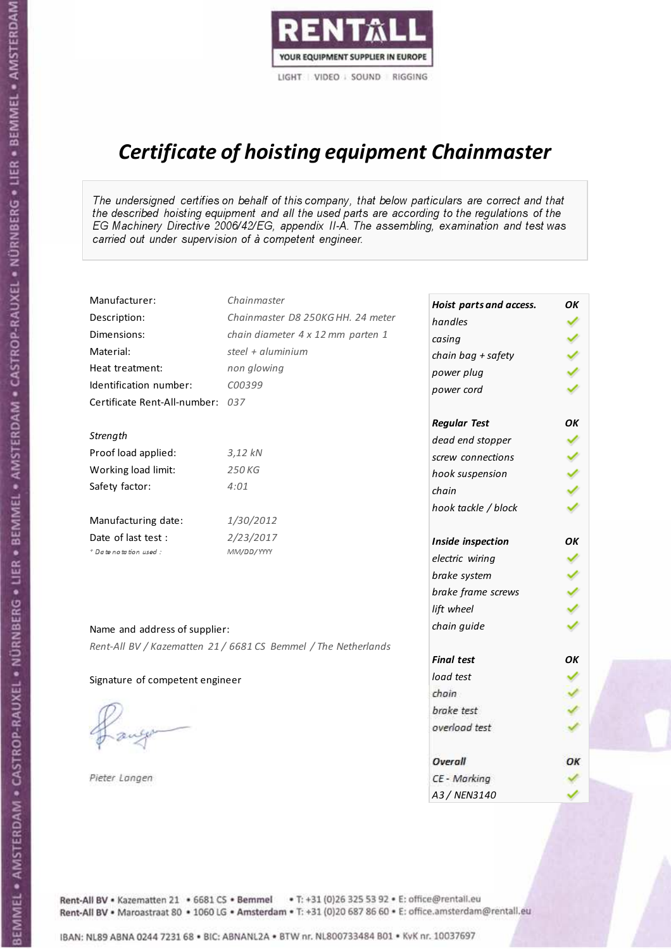

# Certificate of hoisting equipment Chainmaster

The undersigned certifies on behalf of this company, that below particulars are correct and that the described hoisting equipment and all the used parts are according to the regulations of the EG Machinery Directive 2006/42/EG, appendix II-A. The assembling, examination and test was carried out under supervision of à competent engineer.

| Manufacturer:                    | Chainmaster                                                    | Hoist parts and access. | OK  |
|----------------------------------|----------------------------------------------------------------|-------------------------|-----|
| Description:                     | Chainmaster D8 250KG HH. 24 meter                              | handles                 |     |
| Dimensions:                      | chain diameter 4 x 12 mm parten 1                              | casing                  |     |
| Material:                        | steel + aluminium                                              | chain bag + safety      |     |
| Heat treatment:                  | non glowing                                                    | power plug              |     |
| Identification number:           | C00399                                                         | power cord              |     |
| Certificate Rent-All-number: 037 |                                                                |                         |     |
|                                  |                                                                | <b>Regular Test</b>     | ОΚ  |
| Strength                         |                                                                | dead end stopper        |     |
| Proof load applied:              | $3,12$ $kN$                                                    | screw connections       |     |
| Working load limit:              | 250 KG                                                         | hook suspension         |     |
| Safety factor:                   | 4:01                                                           | chain                   | くくく |
|                                  |                                                                | hook tackle / block     |     |
| Manufacturing date:              | 1/30/2012                                                      |                         |     |
| Date of last test :              | 2/23/2017                                                      | Inside inspection       | OK  |
| + Date notation used:            | MM/DD/YYYY                                                     | electric wiring         | ✓   |
|                                  |                                                                | brake system            |     |
|                                  |                                                                | brake frame screws      |     |
|                                  |                                                                | lift wheel              |     |
| Name and address of supplier:    |                                                                | chain guide             |     |
|                                  | Rent-All BV / Kazematten 21 / 6681 CS Bemmel / The Netherlands |                         |     |
|                                  |                                                                | <b>Final test</b>       | OK  |
| Signature of competent engineer  |                                                                | load test               |     |
|                                  |                                                                | chain                   |     |
|                                  |                                                                | brake test              |     |
|                                  |                                                                | overload test           |     |
|                                  |                                                                | Overall                 | ОК  |
| Pieter Langen                    |                                                                | CE - Marking            |     |
|                                  |                                                                | A3 / NEN3140            |     |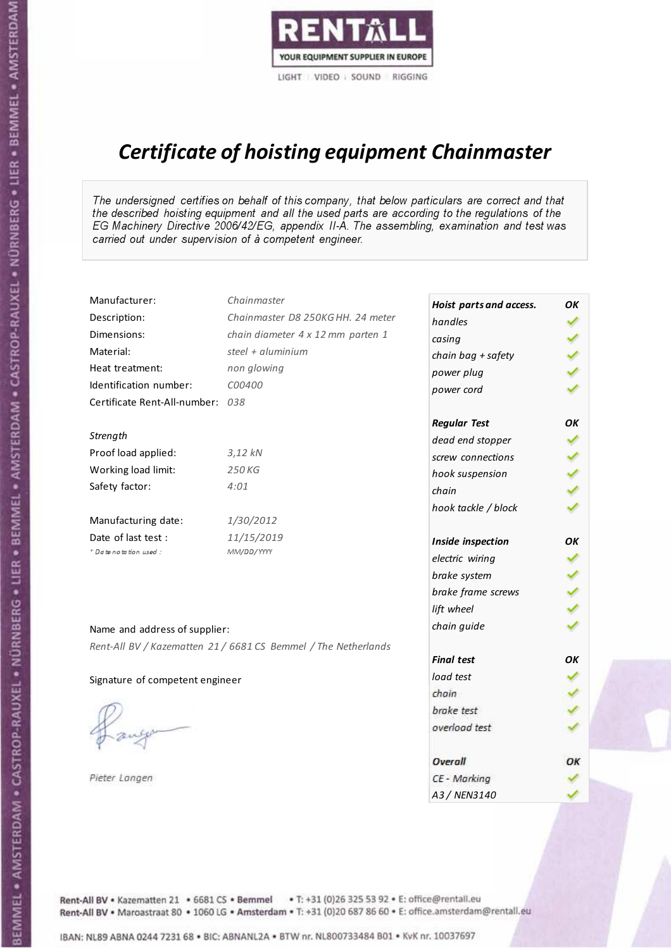

# Certificate of hoisting equipment Chainmaster

The undersigned certifies on behalf of this company, that below particulars are correct and that the described hoisting equipment and all the used parts are according to the regulations of the EG Machinery Directive 2006/42/EG, appendix II-A. The assembling, examination and test was carried out under supervision of à competent engineer.

| Manufacturer:                    | Chainmaster                                                    | Hoist parts and access. | OK  |
|----------------------------------|----------------------------------------------------------------|-------------------------|-----|
| Description:                     | Chainmaster D8 250KG HH. 24 meter                              | handles                 |     |
| Dimensions:                      | chain diameter 4 x 12 mm parten 1                              | casing                  |     |
| Material:                        | steel + $aluminim$                                             | chain bag + safety      |     |
| Heat treatment:                  | non glowing                                                    | power plug              |     |
| Identification number:           | C00400                                                         | power cord              |     |
| Certificate Rent-All-number: 038 |                                                                |                         |     |
|                                  |                                                                | <b>Regular Test</b>     | OK  |
| Strength                         |                                                                | dead end stopper        | ✔   |
| Proof load applied:              | $3,12$ $kN$                                                    | screw connections       |     |
| Working load limit:              | 250KG                                                          | hook suspension         |     |
| Safety factor:                   | 4:01                                                           | chain                   | くくく |
|                                  |                                                                | hook tackle / block     |     |
| Manufacturing date:              | 1/30/2012                                                      |                         |     |
| Date of last test :              | 11/15/2019                                                     | Inside inspection       | ΟK  |
| * Date notation used :           | MM/DD/YYYY                                                     | electric wiring         | ✓   |
|                                  |                                                                | brake system            |     |
|                                  |                                                                | brake frame screws      |     |
|                                  |                                                                | lift wheel              |     |
| Name and address of supplier:    |                                                                | chain guide             |     |
|                                  | Rent-All BV / Kazematten 21 / 6681 CS Bemmel / The Netherlands |                         |     |
|                                  |                                                                | <b>Final test</b>       | OK  |
| Signature of competent engineer  |                                                                | load test               |     |
|                                  |                                                                | chain                   |     |
|                                  |                                                                | brake test              |     |
|                                  |                                                                | overload test           |     |
|                                  |                                                                | Overall                 | ОК  |
| Pieter Langen                    |                                                                | CE - Marking            |     |
|                                  |                                                                | A3 / NEN3140            |     |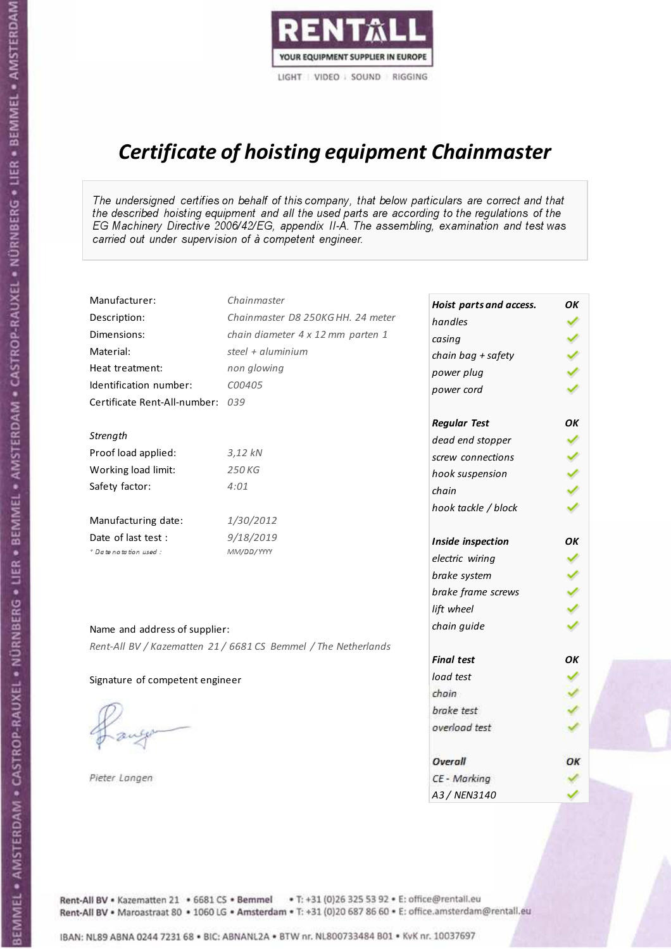

# Certificate of hoisting equipment Chainmaster

The undersigned certifies on behalf of this company, that below particulars are correct and that the described hoisting equipment and all the used parts are according to the regulations of the EG Machinery Directive 2006/42/EG, appendix II-A. The assembling, examination and test was carried out under supervision of à competent engineer.

| Manufacturer:                    | Chainmaster                                                    | Hoist parts and access. | OΚ  |
|----------------------------------|----------------------------------------------------------------|-------------------------|-----|
| Description:                     | Chainmaster D8 250KG HH. 24 meter                              | handles                 | ✓   |
| Dimensions:                      | chain diameter 4 x 12 mm parten 1                              | casing                  |     |
| Material:                        | steel + aluminium                                              | chain bag + safety      |     |
| Heat treatment:                  | non glowing                                                    | power plug              |     |
| Identification number:           | C00405                                                         | power cord              |     |
| Certificate Rent-All-number: 039 |                                                                |                         |     |
|                                  |                                                                | <b>Regular Test</b>     | OK  |
| Strength                         |                                                                | dead end stopper        | ✔   |
| Proof load applied:              | $3,12$ $kN$                                                    | screw connections       |     |
| Working load limit:              | 250KG                                                          | hook suspension         |     |
| Safety factor:                   | 4:01                                                           | chain                   | くくく |
|                                  |                                                                | hook tackle / block     |     |
| Manufacturing date:              | 1/30/2012                                                      |                         |     |
| Date of last test :              | 9/18/2019                                                      | Inside inspection       | OK  |
| * Date notation used :           | MM/DD/YYYY                                                     | electric wiring         | ✔   |
|                                  |                                                                | brake system            | ✔   |
|                                  |                                                                | brake frame screws      |     |
|                                  |                                                                | lift wheel              |     |
| Name and address of supplier:    |                                                                | chain guide             |     |
|                                  | Rent-All BV / Kazematten 21 / 6681 CS Bemmel / The Netherlands |                         |     |
|                                  |                                                                | <b>Final test</b>       | OK  |
| Signature of competent engineer  |                                                                | load test               |     |
|                                  |                                                                | chain                   |     |
|                                  |                                                                | brake test              |     |
|                                  |                                                                | overload test           |     |
|                                  |                                                                | Overall                 | ОК  |
| Pieter Langen                    |                                                                | CE - Marking            |     |
|                                  |                                                                | A3 / NEN3140            |     |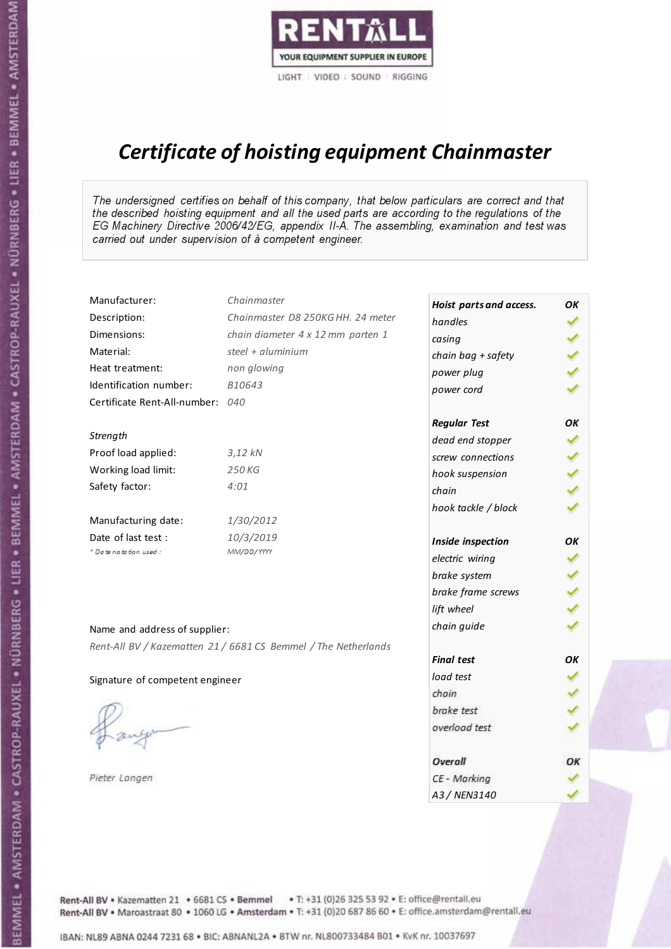

# Certificate of hoisting equipment Chainmaster

The undersigned certifies on behalf of this company, that below particulars are correct and that the described hoisting equipment and all the used parts are according to the regulations of the EG Machinery Directive 2006/42/EG, appendix II-A. The assembling, examination and test was carried out under supervision of à competent engineer.

| Manufacturer:                    | Chainmaster                                                    | Hoist parts and access. | OΚ  |
|----------------------------------|----------------------------------------------------------------|-------------------------|-----|
| Description:                     | Chainmaster D8 250KG HH. 24 meter                              | handles                 |     |
| Dimensions:                      | chain diameter 4 x 12 mm parten 1                              | casing                  |     |
| Material:                        | steel + aluminium                                              | chain bag + safety      | くくく |
| Heat treatment:                  | non glowing                                                    | power plug              |     |
| Identification number:           | B10643                                                         | power cord              |     |
| Certificate Rent-All-number: 040 |                                                                |                         |     |
|                                  |                                                                | <b>Regular Test</b>     | OK  |
| Strength                         |                                                                | dead end stopper        | ✔   |
| Proof load applied:              | $3,12$ $kN$                                                    | screw connections       |     |
| Working load limit:              | 250 KG                                                         | hook suspension         |     |
| Safety factor:                   | 4:01                                                           | chain                   | りょ  |
|                                  |                                                                | hook tackle / block     |     |
| Manufacturing date:              | 1/30/2012                                                      |                         |     |
| Date of last test :              | 10/3/2019                                                      | Inside inspection       | ОΚ  |
| + Date notation used :           | MM/DD/YYYY                                                     | electric wiring         |     |
|                                  |                                                                | brake system            |     |
|                                  |                                                                | brake frame screws      |     |
|                                  |                                                                | lift wheel              |     |
| Name and address of supplier:    |                                                                | chain guide             |     |
|                                  | Rent-All BV / Kazematten 21 / 6681 CS Bemmel / The Netherlands |                         |     |
|                                  |                                                                | <b>Final test</b>       | OK  |
| Signature of competent engineer  |                                                                | load test               |     |
|                                  |                                                                | chain                   |     |
|                                  |                                                                | brake test              |     |
|                                  |                                                                | overload test           |     |
|                                  |                                                                | Overall                 | ОК  |
| Pieter Langen                    |                                                                | CE - Marking            |     |
|                                  |                                                                | A3 / NEN3140            |     |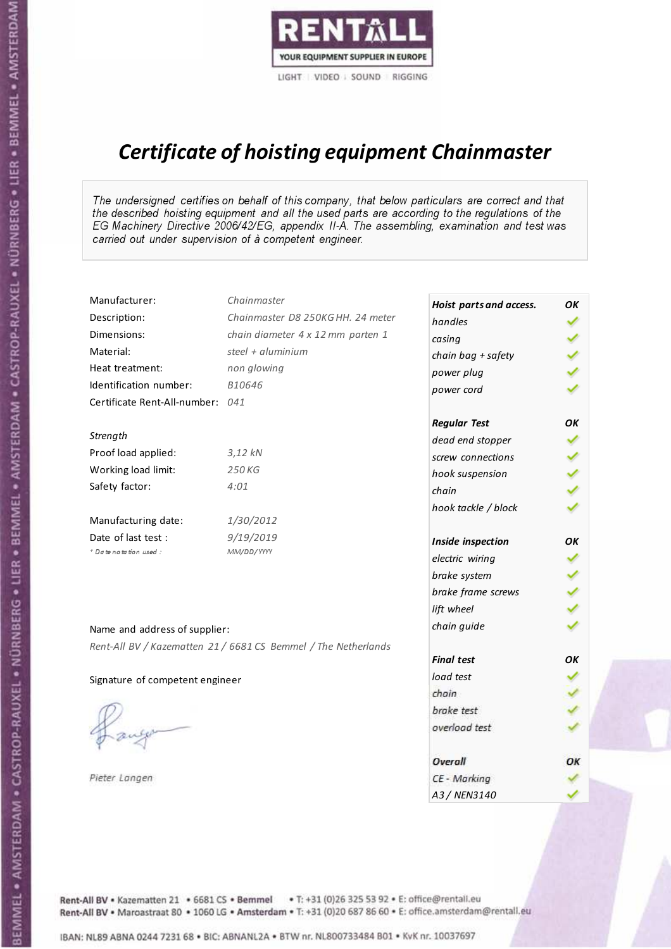

# Certificate of hoisting equipment Chainmaster

The undersigned certifies on behalf of this company, that below particulars are correct and that the described hoisting equipment and all the used parts are according to the regulations of the EG Machinery Directive 2006/42/EG, appendix II-A. The assembling, examination and test was carried out under supervision of à competent engineer.

| Manufacturer:                    | Chainmaster                                                    | Hoist parts and access. | OК            |
|----------------------------------|----------------------------------------------------------------|-------------------------|---------------|
| Description:                     | Chainmaster D8 250KG HH. 24 meter                              | handles                 |               |
| Dimensions:                      | chain diameter 4 x 12 mm parten 1                              | casing                  |               |
| Material:                        | steel + aluminium                                              | chain bag + safety      |               |
| Heat treatment:                  | non glowing                                                    | power plug              |               |
| Identification number:           | B10646                                                         | power cord              |               |
| Certificate Rent-All-number: 041 |                                                                |                         |               |
|                                  |                                                                | <b>Regular Test</b>     | OK            |
| Strength                         |                                                                | dead end stopper        | ✔             |
| Proof load applied:              | $3,12$ $kN$                                                    | screw connections       | ✔             |
| Working load limit:              | 250KG                                                          | hook suspension         |               |
| Safety factor:                   | 4:01                                                           | chain                   | $\frac{2}{3}$ |
|                                  |                                                                | hook tackle / block     |               |
| Manufacturing date:              | 1/30/2012                                                      |                         |               |
| Date of last test :              | 9/19/2019                                                      | Inside inspection       | ОΚ            |
| + Date notation used :           | MM/DD/YYYY                                                     | electric wiring         | ✓             |
|                                  |                                                                | brake system            |               |
|                                  |                                                                | brake frame screws      | くくく           |
|                                  |                                                                | lift wheel              |               |
| Name and address of supplier:    |                                                                | chain guide             |               |
|                                  | Rent-All BV / Kazematten 21 / 6681 CS Bemmel / The Netherlands |                         |               |
|                                  |                                                                | <b>Final test</b>       | OK            |
| Signature of competent engineer  |                                                                | load test               |               |
|                                  |                                                                | chain                   |               |
|                                  |                                                                | brake test              |               |
|                                  |                                                                | overload test           |               |
|                                  |                                                                | Overall                 | ОК            |
| Pieter Langen                    |                                                                | CE - Marking            |               |
|                                  |                                                                | A3 / NEN3140            |               |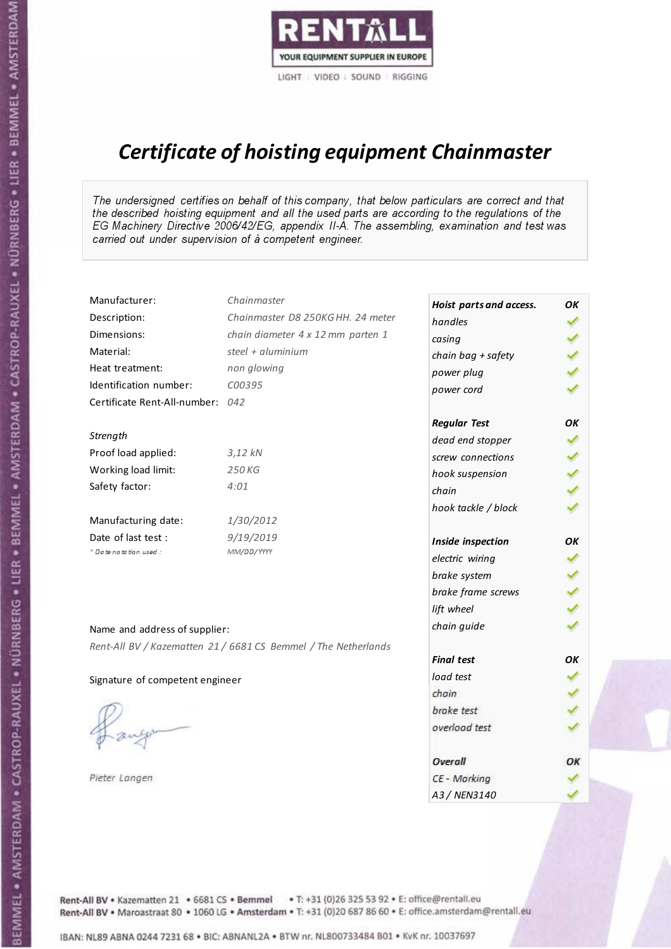

# Certificate of hoisting equipment Chainmaster

The undersigned certifies on behalf of this company, that below particulars are correct and that the described hoisting equipment and all the used parts are according to the regulations of the EG Machinery Directive 2006/42/EG, appendix II-A. The assembling, examination and test was carried out under supervision of à competent engineer.

| Manufacturer:                    | Chainmaster                                                    | Hoist parts and access. | OΚ  |
|----------------------------------|----------------------------------------------------------------|-------------------------|-----|
| Description:                     | Chainmaster D8 250KG HH. 24 meter                              | handles                 | ✓   |
| Dimensions:                      | chain diameter 4 x 12 mm parten 1                              | casing                  |     |
| Material:                        | steel + aluminium                                              | chain bag + safety      |     |
| Heat treatment:                  | non glowing                                                    | power plug              |     |
| Identification number:           | C00395                                                         | power cord              |     |
| Certificate Rent-All-number: 042 |                                                                |                         |     |
|                                  |                                                                | <b>Regular Test</b>     | OK  |
| Strength                         |                                                                | dead end stopper        | ✔   |
| Proof load applied:              | $3,12$ $kN$                                                    | screw connections       |     |
| Working load limit:              | 250 KG                                                         | hook suspension         |     |
| Safety factor:                   | 4:01                                                           | chain                   | くくく |
|                                  |                                                                | hook tackle / block     |     |
| Manufacturing date:              | 1/30/2012                                                      |                         |     |
| Date of last test :              | 9/19/2019                                                      | Inside inspection       | OK  |
| * Date notation used :           | MM/DD/YYYY                                                     | electric wiring         |     |
|                                  |                                                                | brake system            |     |
|                                  |                                                                | brake frame screws      |     |
|                                  |                                                                | lift wheel              |     |
| Name and address of supplier:    |                                                                | chain guide             |     |
|                                  | Rent-All BV / Kazematten 21 / 6681 CS Bemmel / The Netherlands |                         |     |
|                                  |                                                                | <b>Final test</b>       | OK  |
| Signature of competent engineer  |                                                                | load test               |     |
|                                  |                                                                | chain                   |     |
|                                  |                                                                | brake test              |     |
|                                  |                                                                | overload test           |     |
|                                  |                                                                | <b>Overall</b>          | ОК  |
| Pieter Langen                    |                                                                | CE - Marking            |     |
|                                  |                                                                | A3 / NEN3140            |     |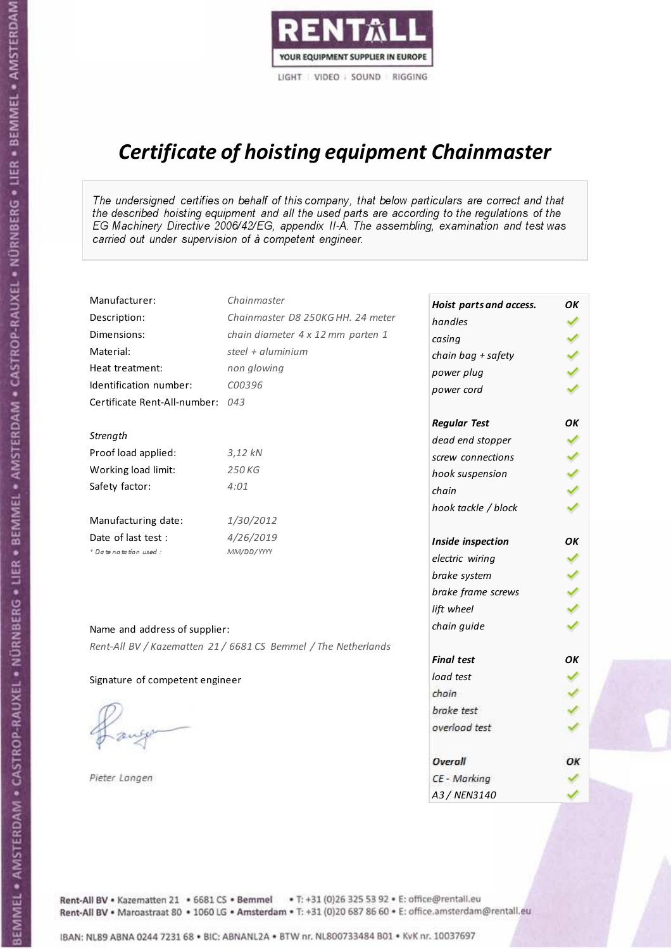

# Certificate of hoisting equipment Chainmaster

The undersigned certifies on behalf of this company, that below particulars are correct and that the described hoisting equipment and all the used parts are according to the regulations of the EG Machinery Directive 2006/42/EG, appendix II-A. The assembling, examination and test was carried out under supervision of à competent engineer.

| Manufacturer:                    | Chainmaster                                                    | Hoist parts and access. | OK  |
|----------------------------------|----------------------------------------------------------------|-------------------------|-----|
| Description:                     | Chainmaster D8 250KG HH. 24 meter                              | handles                 |     |
| Dimensions:                      | chain diameter 4 x 12 mm parten 1                              | casing                  |     |
| Material:                        | steel + aluminium                                              | chain bag + safety      |     |
| Heat treatment:                  | non glowing                                                    | power plug              |     |
| Identification number:           | C00396                                                         | power cord              |     |
| Certificate Rent-All-number: 043 |                                                                |                         |     |
|                                  |                                                                | <b>Regular Test</b>     | OK  |
| Strength                         |                                                                | dead end stopper        | ✔   |
| Proof load applied:              | $3,12$ $kN$                                                    | screw connections       |     |
| Working load limit:              | 250KG                                                          | hook suspension         |     |
| Safety factor:                   | 4:01                                                           | chain                   | くくく |
|                                  |                                                                | hook tackle / block     |     |
| Manufacturing date:              | 1/30/2012                                                      |                         |     |
| Date of last test :              | 4/26/2019                                                      | Inside inspection       | ОΚ  |
| * Date notation used :           | MM/DD/YYYY                                                     | electric wiring         | ✓   |
|                                  |                                                                | brake system            |     |
|                                  |                                                                | brake frame screws      |     |
|                                  |                                                                | lift wheel              |     |
| Name and address of supplier:    |                                                                | chain guide             |     |
|                                  | Rent-All BV / Kazematten 21 / 6681 CS Bemmel / The Netherlands |                         |     |
|                                  |                                                                | <b>Final test</b>       | OK  |
| Signature of competent engineer  |                                                                | load test               |     |
|                                  |                                                                | chain                   |     |
|                                  |                                                                | brake test              |     |
|                                  |                                                                | overload test           |     |
|                                  |                                                                | Overall                 | ОК  |
| Pieter Langen                    |                                                                | CE - Marking            |     |
|                                  |                                                                | A3 / NEN3140            |     |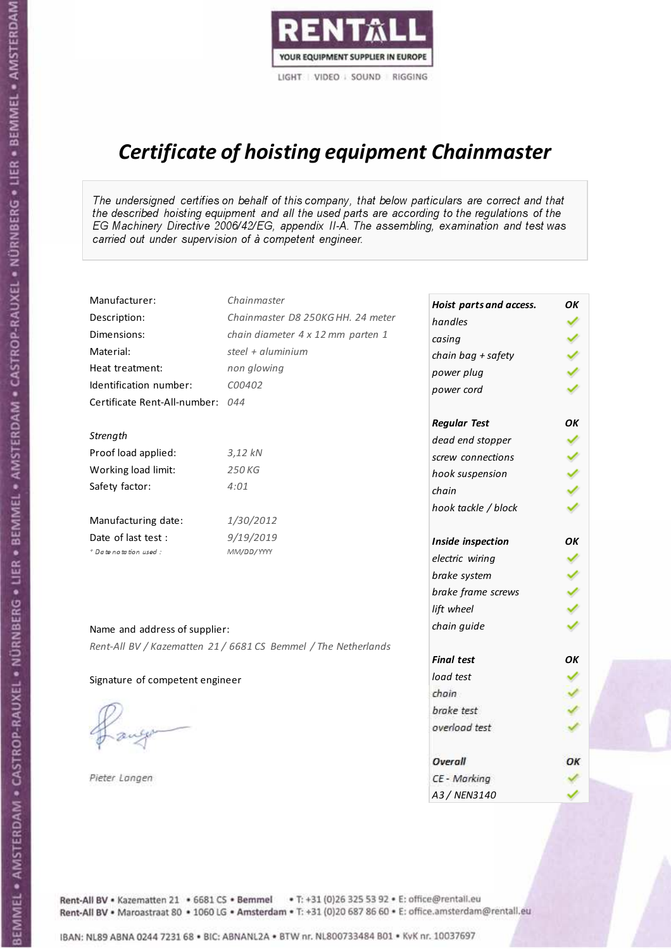

# Certificate of hoisting equipment Chainmaster

The undersigned certifies on behalf of this company, that below particulars are correct and that the described hoisting equipment and all the used parts are according to the regulations of the EG Machinery Directive 2006/42/EG, appendix II-A. The assembling, examination and test was carried out under supervision of à competent engineer.

| Manufacturer:                    | Chainmaster                                                    | Hoist parts and access. | OΚ  |
|----------------------------------|----------------------------------------------------------------|-------------------------|-----|
| Description:                     | Chainmaster D8 250KG HH. 24 meter                              | handles                 | ✓   |
| Dimensions:                      | chain diameter 4 x 12 mm parten 1                              | casing                  |     |
| Material:                        | steel + aluminium                                              | chain bag + safety      |     |
| Heat treatment:                  | non glowing                                                    | power plug              |     |
| Identification number:           | C00402                                                         | power cord              |     |
| Certificate Rent-All-number: 044 |                                                                |                         |     |
|                                  |                                                                | <b>Regular Test</b>     | OK  |
| Strength                         |                                                                | dead end stopper        | ✔   |
| Proof load applied:              | $3,12$ $kN$                                                    | screw connections       |     |
| Working load limit:              | 250 KG                                                         | hook suspension         |     |
| Safety factor:                   | 4:01                                                           | chain                   | くくく |
|                                  |                                                                | hook tackle / block     |     |
| Manufacturing date:              | 1/30/2012                                                      |                         |     |
| Date of last test :              | 9/19/2019                                                      | Inside inspection       | OK  |
| * Date notation used :           | MM/DD/YYYY                                                     | electric wiring         | ✔   |
|                                  |                                                                | brake system            | ✔   |
|                                  |                                                                | brake frame screws      |     |
|                                  |                                                                | lift wheel              |     |
| Name and address of supplier:    |                                                                | chain guide             |     |
|                                  | Rent-All BV / Kazematten 21 / 6681 CS Bemmel / The Netherlands |                         |     |
|                                  |                                                                | <b>Final test</b>       | OK  |
| Signature of competent engineer  |                                                                | load test               |     |
|                                  |                                                                | chain                   |     |
|                                  |                                                                | brake test              |     |
|                                  |                                                                | overload test           |     |
|                                  |                                                                | Overall                 | ОК  |
| Pieter Langen                    |                                                                | CE - Marking            |     |
|                                  |                                                                | A3 / NEN3140            |     |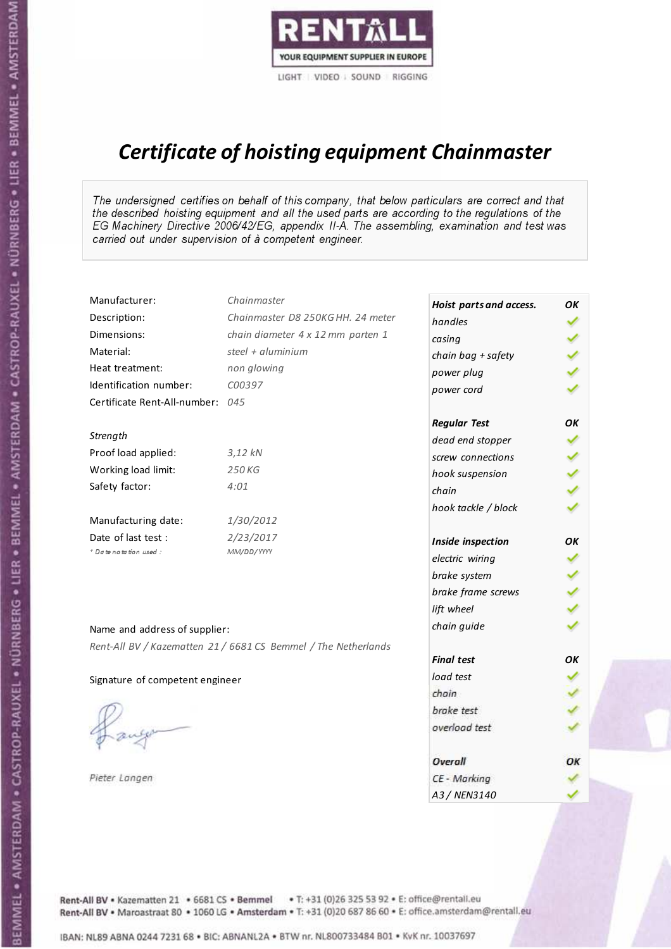

# Certificate of hoisting equipment Chainmaster

The undersigned certifies on behalf of this company, that below particulars are correct and that the described hoisting equipment and all the used parts are according to the regulations of the EG Machinery Directive 2006/42/EG, appendix II-A. The assembling, examination and test was carried out under supervision of à competent engineer.

| Manufacturer:                    | Chainmaster                                                    | Hoist parts and access. | OK  |
|----------------------------------|----------------------------------------------------------------|-------------------------|-----|
| Description:                     | Chainmaster D8 250KG HH. 24 meter                              | handles                 |     |
| Dimensions:                      | chain diameter 4 x 12 mm parten 1                              | casing                  |     |
| Material:                        | steel + $aluminim$                                             | chain bag + safety      |     |
| Heat treatment:                  | non glowing                                                    | power plug              |     |
| Identification number:           | C00397                                                         | power cord              |     |
| Certificate Rent-All-number: 045 |                                                                |                         |     |
|                                  |                                                                | <b>Regular Test</b>     | OK  |
| Strength                         |                                                                | dead end stopper        |     |
| Proof load applied:              | 3,12 kN                                                        | screw connections       |     |
| Working load limit:              | 250 KG                                                         | hook suspension         |     |
| Safety factor:                   | 4:01                                                           | chain                   | くくく |
|                                  |                                                                | hook tackle / block     |     |
| Manufacturing date:              | 1/30/2012                                                      |                         |     |
| Date of last test :              | 2/23/2017                                                      | Inside inspection       | OK  |
| + Date notation used:            | MM/DD/YYYY                                                     | electric wiring         | ✓   |
|                                  |                                                                | brake system            |     |
|                                  |                                                                | brake frame screws      |     |
|                                  |                                                                | lift wheel              |     |
| Name and address of supplier:    |                                                                | chain guide             |     |
|                                  | Rent-All BV / Kazematten 21 / 6681 CS Bemmel / The Netherlands |                         |     |
|                                  |                                                                | <b>Final test</b>       | OK  |
| Signature of competent engineer  |                                                                | load test               |     |
|                                  |                                                                | chain                   |     |
|                                  |                                                                | brake test              |     |
|                                  |                                                                | overload test           |     |
|                                  |                                                                | Overall                 | ОК  |
| Pieter Langen                    |                                                                | CE - Marking            |     |
|                                  |                                                                | A3 / NEN3140            |     |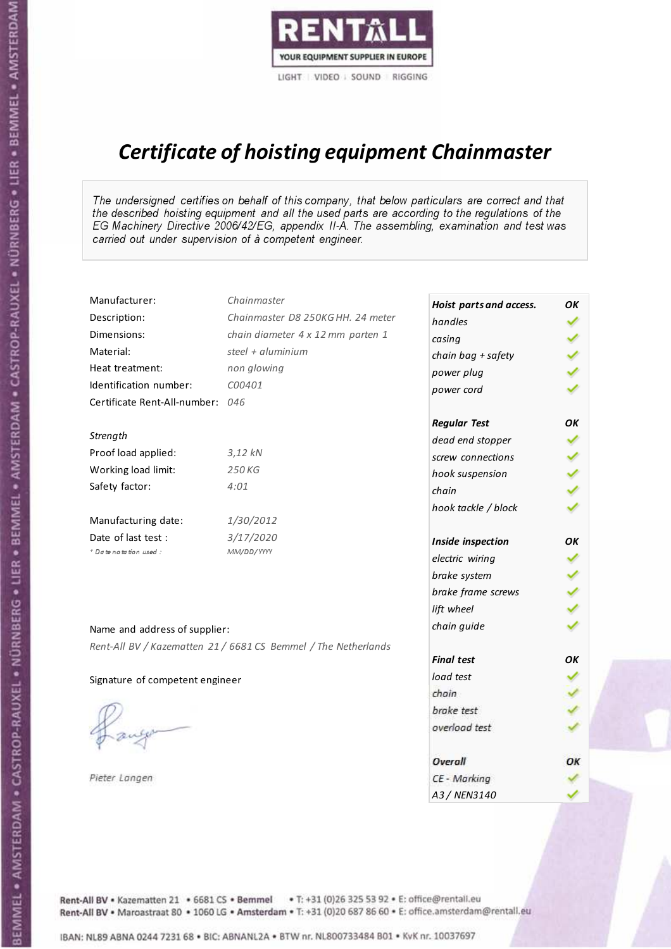

# Certificate of hoisting equipment Chainmaster

The undersigned certifies on behalf of this company, that below particulars are correct and that the described hoisting equipment and all the used parts are according to the regulations of the EG Machinery Directive 2006/42/EG, appendix II-A. The assembling, examination and test was carried out under supervision of à competent engineer.

| Manufacturer:                    | Chainmaster                                                    | Hoist parts and access. | OК            |
|----------------------------------|----------------------------------------------------------------|-------------------------|---------------|
| Description:                     | Chainmaster D8 250KG HH. 24 meter                              | handles                 |               |
| Dimensions:                      | chain diameter 4 x 12 mm parten 1                              | casing                  |               |
| Material:                        | steel + aluminium                                              | chain bag + safety      |               |
| Heat treatment:                  | non glowing                                                    | power plug              |               |
| Identification number:           | C00401                                                         | power cord              |               |
| Certificate Rent-All-number: 046 |                                                                |                         |               |
|                                  |                                                                | <b>Regular Test</b>     | OK            |
| Strength                         |                                                                | dead end stopper        | ✔             |
| Proof load applied:              | $3,12$ $kN$                                                    | screw connections       | ✔             |
| Working load limit:              | 250 KG                                                         | hook suspension         |               |
| Safety factor:                   | 4:01                                                           | chain                   | $\frac{2}{3}$ |
|                                  |                                                                | hook tackle / block     |               |
| Manufacturing date:              | 1/30/2012                                                      |                         |               |
| Date of last test :              | 3/17/2020                                                      | Inside inspection       | ОΚ            |
| + Date notation used :           | MM/DD/YYYY                                                     | electric wiring         | ✓             |
|                                  |                                                                | brake system            |               |
|                                  |                                                                | brake frame screws      | くくく           |
|                                  |                                                                | lift wheel              |               |
| Name and address of supplier:    |                                                                | chain guide             |               |
|                                  | Rent-All BV / Kazematten 21 / 6681 CS Bemmel / The Netherlands |                         |               |
|                                  |                                                                | <b>Final test</b>       | OK            |
| Signature of competent engineer  |                                                                | load test               |               |
|                                  |                                                                | chain                   |               |
|                                  |                                                                | brake test              |               |
|                                  |                                                                | overload test           |               |
|                                  |                                                                | Overall                 | ОК            |
| Pieter Langen                    |                                                                | CE - Marking            |               |
|                                  |                                                                | A3 / NEN3140            |               |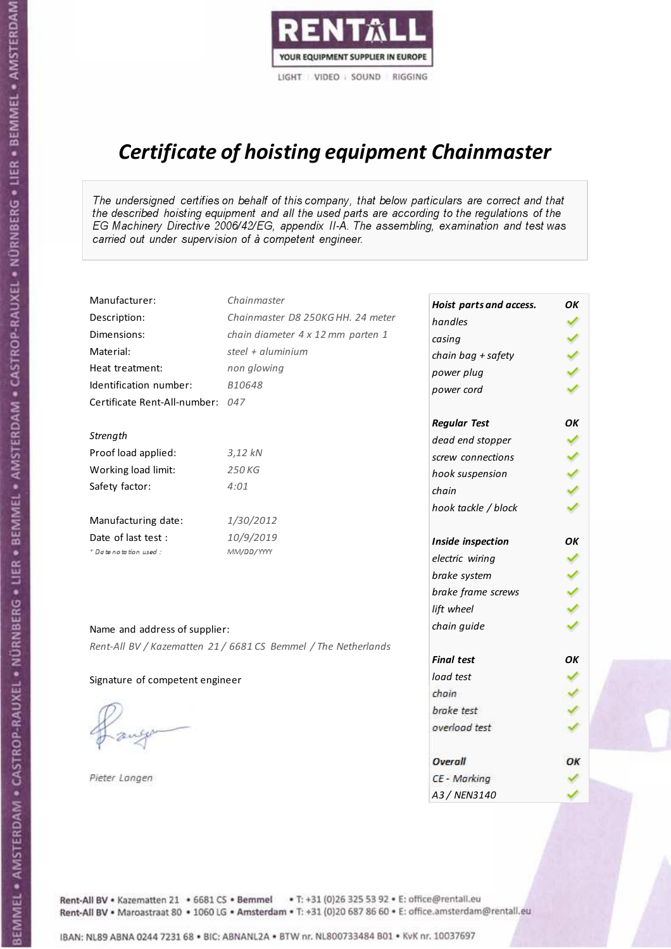

# Certificate of hoisting equipment Chainmaster

The undersigned certifies on behalf of this company, that below particulars are correct and that the described hoisting equipment and all the used parts are according to the regulations of the EG Machinery Directive 2006/42/EG, appendix II-A. The assembling, examination and test was carried out under supervision of à competent engineer.

| Manufacturer:                    | Chainmaster                                                    | Hoist parts and access. | OΚ  |
|----------------------------------|----------------------------------------------------------------|-------------------------|-----|
| Description:                     | Chainmaster D8 250KG HH. 24 meter                              | handles                 | ✓   |
| Dimensions:                      | chain diameter 4 x 12 mm parten 1                              | casing                  |     |
| Material:                        | steel + aluminium                                              | chain bag + safety      |     |
| Heat treatment:                  | non glowing                                                    | power plug              |     |
| Identification number:           | B10648                                                         | power cord              |     |
| Certificate Rent-All-number: 047 |                                                                |                         |     |
|                                  |                                                                | <b>Regular Test</b>     | OK  |
| Strength                         |                                                                | dead end stopper        | ✔   |
| Proof load applied:              | $3,12$ $kN$                                                    | screw connections       |     |
| Working load limit:              | 250 KG                                                         | hook suspension         |     |
| Safety factor:                   | 4:01                                                           | chain                   | くくく |
|                                  |                                                                | hook tackle / block     |     |
| Manufacturing date:              | 1/30/2012                                                      |                         |     |
| Date of last test:               | 10/9/2019                                                      | Inside inspection       | OK  |
| * Date notation used :           | MM/DD/YYYY                                                     | electric wiring         | ✓   |
|                                  |                                                                | brake system            | ✔   |
|                                  |                                                                | brake frame screws      |     |
|                                  |                                                                | lift wheel              |     |
| Name and address of supplier:    |                                                                | chain guide             |     |
|                                  | Rent-All BV / Kazematten 21 / 6681 CS Bemmel / The Netherlands |                         |     |
|                                  |                                                                | <b>Final test</b>       | OK  |
| Signature of competent engineer  |                                                                | load test               |     |
|                                  |                                                                | chain                   |     |
|                                  |                                                                | brake test              |     |
|                                  |                                                                | overload test           |     |
|                                  |                                                                | Overall                 | ОК  |
| Pieter Langen                    |                                                                | CE - Marking            |     |
|                                  |                                                                | A3 / NEN3140            |     |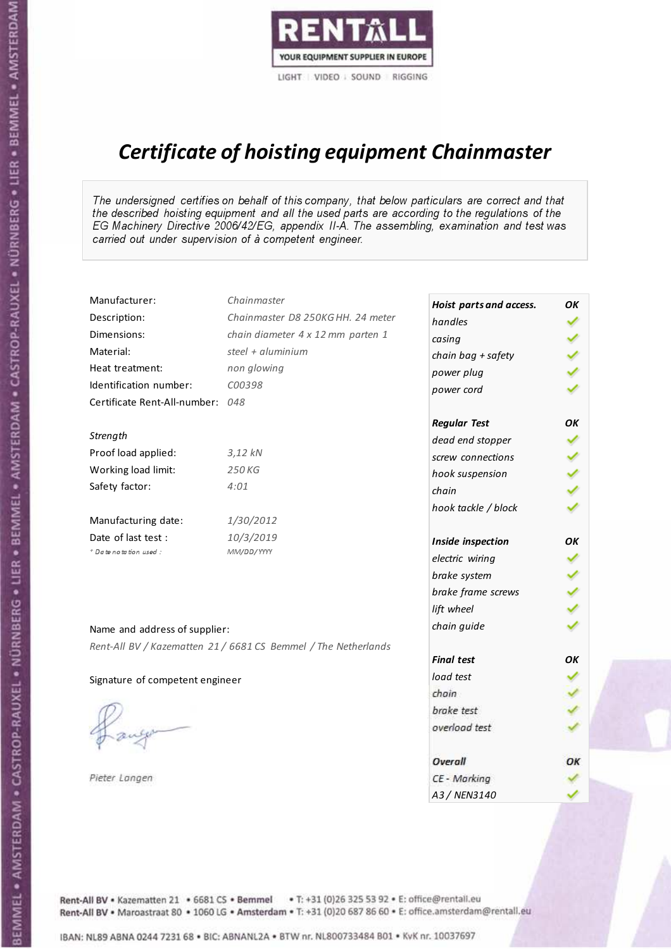

# Certificate of hoisting equipment Chainmaster

The undersigned certifies on behalf of this company, that below particulars are correct and that the described hoisting equipment and all the used parts are according to the regulations of the EG Machinery Directive 2006/42/EG, appendix II-A. The assembling, examination and test was carried out under supervision of à competent engineer.

| Manufacturer:                    | Chainmaster                                                    | Hoist parts and access. | OK  |
|----------------------------------|----------------------------------------------------------------|-------------------------|-----|
| Description:                     | Chainmaster D8 250KG HH. 24 meter                              | handles                 |     |
| Dimensions:                      | chain diameter 4 x 12 mm parten 1                              | casing                  |     |
| Material:                        | steel + $aluminium$                                            | chain bag + safety      |     |
| Heat treatment:                  | non glowing                                                    | power plug              |     |
| Identification number:           | C00398                                                         | power cord              |     |
| Certificate Rent-All-number: 048 |                                                                |                         |     |
|                                  |                                                                | <b>Regular Test</b>     | OK  |
| Strength                         |                                                                | dead end stopper        |     |
| Proof load applied:              | $3.12$ kN                                                      | screw connections       |     |
| Working load limit:              | 250 KG                                                         | hook suspension         |     |
| Safety factor:                   | 4:01                                                           | chain                   | くくく |
|                                  |                                                                | hook tackle / block     |     |
| Manufacturing date:              | 1/30/2012                                                      |                         |     |
| Date of last test :              | 10/3/2019                                                      | Inside inspection       | ОΚ  |
| + Date notation used :           | MM/DD/YYYY                                                     | electric wiring         | ✔   |
|                                  |                                                                | brake system            |     |
|                                  |                                                                | brake frame screws      |     |
|                                  |                                                                | lift wheel              |     |
| Name and address of supplier:    |                                                                | chain guide             |     |
|                                  | Rent-All BV / Kazematten 21 / 6681 CS Bemmel / The Netherlands |                         |     |
|                                  |                                                                | <b>Final test</b>       | OK  |
| Signature of competent engineer  |                                                                | load test               |     |
|                                  |                                                                | chain                   |     |
|                                  |                                                                | brake test              |     |
|                                  |                                                                | overload test           |     |
|                                  |                                                                | Overall                 | ОК  |
| Pieter Langen                    |                                                                | CE - Marking            |     |
|                                  |                                                                | A3 / NEN3140            |     |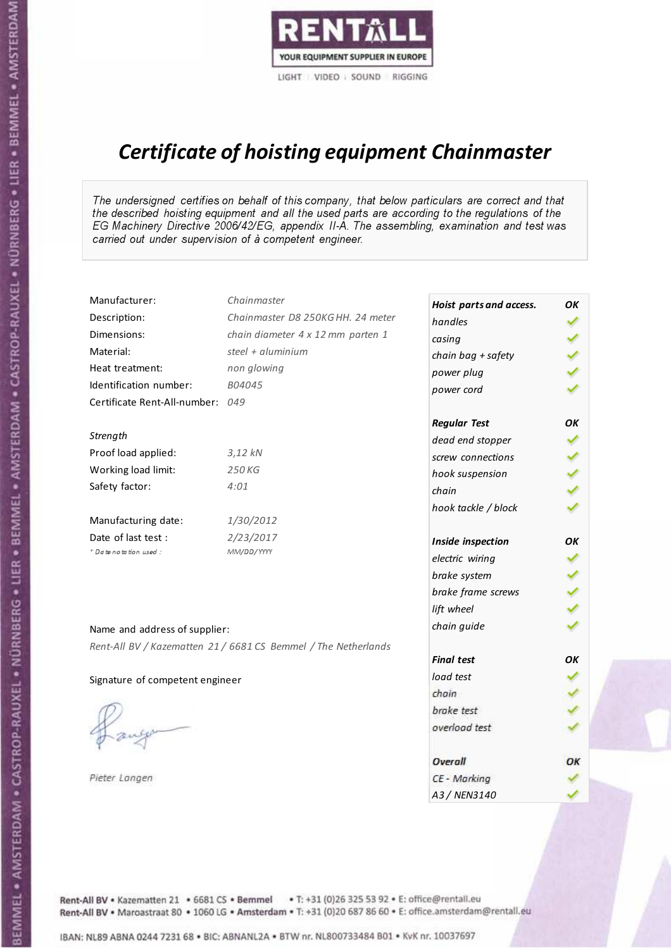

# Certificate of hoisting equipment Chainmaster

The undersigned certifies on behalf of this company, that below particulars are correct and that the described hoisting equipment and all the used parts are according to the regulations of the EG Machinery Directive 2006/42/EG, appendix II-A. The assembling, examination and test was carried out under supervision of à competent engineer.

| Manufacturer:                    | Chainmaster                                                    | Hoist parts and access. | OK  |
|----------------------------------|----------------------------------------------------------------|-------------------------|-----|
| Description:                     | Chainmaster D8 250KG HH. 24 meter                              | handles                 |     |
| Dimensions:                      | chain diameter 4 x 12 mm parten 1                              | casing                  |     |
| Material:                        | steel + aluminium                                              | chain bag + safety      |     |
| Heat treatment:                  | non glowing                                                    | power plug              |     |
| Identification number:           | B04045                                                         | power cord              |     |
| Certificate Rent-All-number: 049 |                                                                |                         |     |
|                                  |                                                                | <b>Regular Test</b>     | ОΚ  |
| Strength                         |                                                                | dead end stopper        |     |
| Proof load applied:              | $3,12$ $kN$                                                    | screw connections       |     |
| Working load limit:              | 250 KG                                                         | hook suspension         |     |
| Safety factor:                   | 4:01                                                           | chain                   | くくく |
|                                  |                                                                | hook tackle / block     |     |
| Manufacturing date:              | 1/30/2012                                                      |                         |     |
| Date of last test :              | 2/23/2017                                                      | Inside inspection       | OK  |
| + Date notation used:            | MM/DD/YYYY                                                     | electric wiring         | ✔   |
|                                  |                                                                | brake system            |     |
|                                  |                                                                | brake frame screws      |     |
|                                  |                                                                | lift wheel              |     |
| Name and address of supplier:    |                                                                | chain guide             |     |
|                                  | Rent-All BV / Kazematten 21 / 6681 CS Bemmel / The Netherlands |                         |     |
|                                  |                                                                | <b>Final test</b>       | OK  |
| Signature of competent engineer  |                                                                | load test               |     |
|                                  |                                                                | chain                   |     |
|                                  |                                                                | brake test              |     |
|                                  |                                                                | overload test           |     |
|                                  |                                                                | Overall                 | ОК  |
| Pieter Langen                    |                                                                | CE - Marking            |     |
|                                  |                                                                | A3 / NEN3140            |     |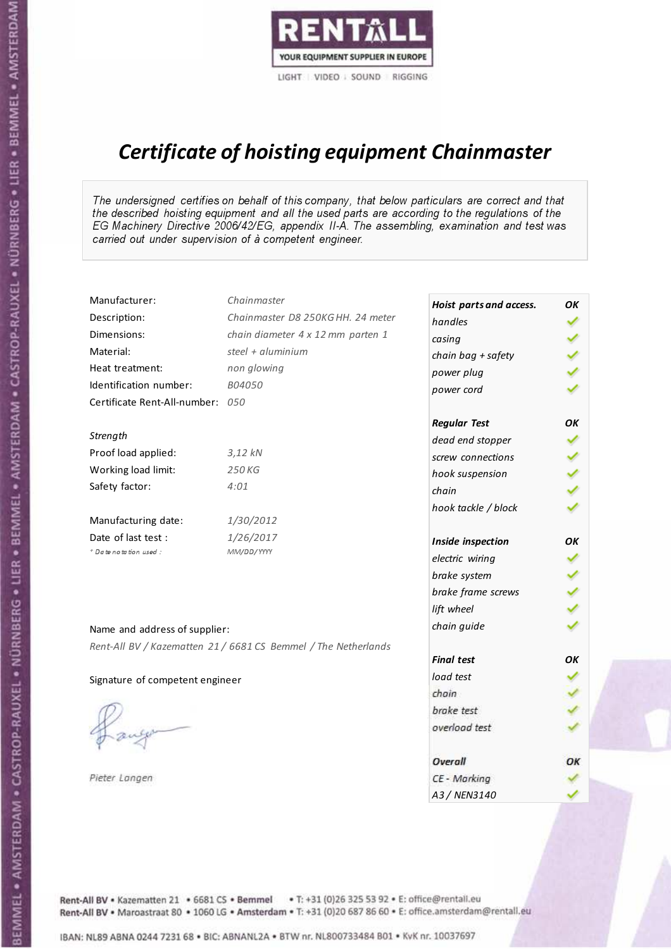

# Certificate of hoisting equipment Chainmaster

The undersigned certifies on behalf of this company, that below particulars are correct and that the described hoisting equipment and all the used parts are according to the regulations of the EG Machinery Directive 2006/42/EG, appendix II-A. The assembling, examination and test was carried out under supervision of à competent engineer.

| Manufacturer:                    | Chainmaster                                                    | Hoist parts and access. | OK  |
|----------------------------------|----------------------------------------------------------------|-------------------------|-----|
| Description:                     | Chainmaster D8 250KG HH. 24 meter                              | handles                 |     |
| Dimensions:                      | chain diameter 4 x 12 mm parten 1                              | casing                  |     |
| Material:                        | steel + $aluminium$                                            | chain bag + safety      |     |
| Heat treatment:                  | non glowing                                                    | power plug              |     |
| Identification number:           | B04050                                                         | power cord              |     |
| Certificate Rent-All-number: 050 |                                                                |                         |     |
|                                  |                                                                | <b>Regular Test</b>     | OK  |
| Strength                         |                                                                | dead end stopper        |     |
| Proof load applied:              | $3.12$ kN                                                      | screw connections       |     |
| Working load limit:              | 250 KG                                                         | hook suspension         |     |
| Safety factor:                   | 4:01                                                           | chain                   | くくく |
|                                  |                                                                | hook tackle / block     |     |
| Manufacturing date:              | 1/30/2012                                                      |                         |     |
| Date of last test :              | 1/26/2017                                                      | Inside inspection       | ОΚ  |
| + Date notation used :           | MM/DD/YYYY                                                     | electric wiring         | ✔   |
|                                  |                                                                | brake system            |     |
|                                  |                                                                | brake frame screws      |     |
|                                  |                                                                | lift wheel              |     |
| Name and address of supplier:    |                                                                | chain guide             |     |
|                                  | Rent-All BV / Kazematten 21 / 6681 CS Bemmel / The Netherlands |                         |     |
|                                  |                                                                | <b>Final test</b>       | OK  |
| Signature of competent engineer  |                                                                | load test               |     |
|                                  |                                                                | chain                   |     |
|                                  |                                                                | brake test              |     |
|                                  |                                                                | overload test           |     |
|                                  |                                                                | Overall                 | ОК  |
| Pieter Langen                    |                                                                | CE - Marking            |     |
|                                  |                                                                | A3 / NEN3140            |     |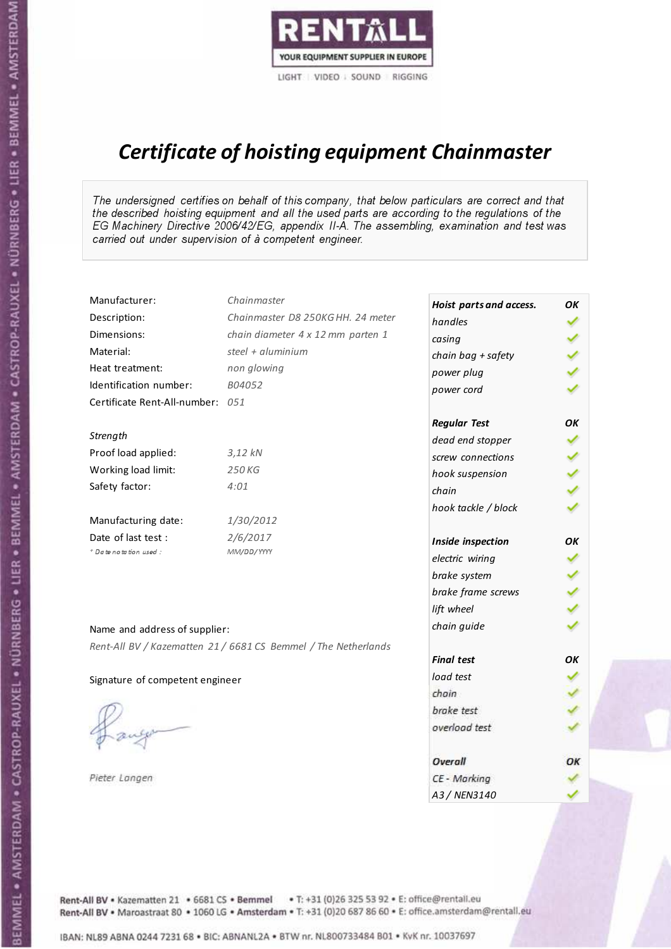

# Certificate of hoisting equipment Chainmaster

The undersigned certifies on behalf of this company, that below particulars are correct and that the described hoisting equipment and all the used parts are according to the regulations of the EG Machinery Directive 2006/42/EG, appendix II-A. The assembling, examination and test was carried out under supervision of à competent engineer.

| Manufacturer:                    | Chainmaster                                                    | Hoist parts and access. | OK  |
|----------------------------------|----------------------------------------------------------------|-------------------------|-----|
| Description:                     | Chainmaster D8 250KG HH. 24 meter                              | handles                 |     |
| Dimensions:                      | chain diameter 4 x 12 mm parten 1                              | casing                  |     |
| Material:                        | steel + aluminium                                              | chain bag + safety      |     |
| Heat treatment:                  | non glowing                                                    | power plug              |     |
| Identification number:           | B04052                                                         | power cord              |     |
| Certificate Rent-All-number: 051 |                                                                |                         |     |
|                                  |                                                                | <b>Regular Test</b>     | ОΚ  |
| Strength                         |                                                                | dead end stopper        | ✔   |
| Proof load applied:              | $3,12$ kN                                                      | screw connections       |     |
| Working load limit:              | 250 KG                                                         | hook suspension         |     |
| Safety factor:                   | 4:01                                                           | chain                   | くくく |
|                                  |                                                                | hook tackle / block     |     |
| Manufacturing date:              | 1/30/2012                                                      |                         |     |
| Date of last test :              | 2/6/2017                                                       | Inside inspection       | ОΚ  |
| * Date notation used :           | MM/DD/YYYY                                                     | electric wiring         | ✔   |
|                                  |                                                                | brake system            |     |
|                                  |                                                                | brake frame screws      |     |
|                                  |                                                                | lift wheel              |     |
| Name and address of supplier:    |                                                                | chain guide             |     |
|                                  | Rent-All BV / Kazematten 21 / 6681 CS Bemmel / The Netherlands |                         |     |
|                                  |                                                                | <b>Final test</b>       | OK  |
| Signature of competent engineer  |                                                                | load test               |     |
|                                  |                                                                | chain                   |     |
|                                  |                                                                | brake test              |     |
|                                  |                                                                | overload test           |     |
|                                  |                                                                | Overall                 | ОК  |
| Pieter Langen                    |                                                                | CE - Marking            |     |
|                                  |                                                                | A3 / NEN3140            |     |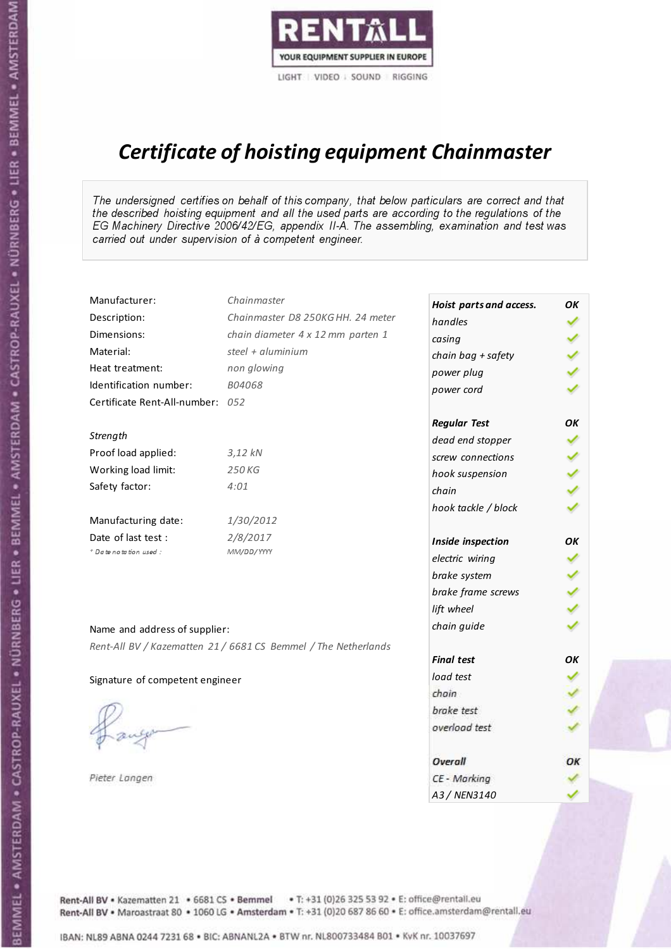

# Certificate of hoisting equipment Chainmaster

The undersigned certifies on behalf of this company, that below particulars are correct and that the described hoisting equipment and all the used parts are according to the regulations of the EG Machinery Directive 2006/42/EG, appendix II-A. The assembling, examination and test was carried out under supervision of à competent engineer.

| Manufacturer:                    | Chainmaster                                                    | Hoist parts and access. | OK  |
|----------------------------------|----------------------------------------------------------------|-------------------------|-----|
| Description:                     | Chainmaster D8 250KG HH. 24 meter                              | handles                 |     |
| Dimensions:                      | chain diameter 4 x 12 mm parten 1                              | casing                  |     |
| Material:                        | steel + aluminium                                              | chain bag + safety      |     |
| Heat treatment:                  | non glowing                                                    | power plug              |     |
| Identification number:           | B04068                                                         | power cord              |     |
| Certificate Rent-All-number: 052 |                                                                |                         |     |
|                                  |                                                                | <b>Regular Test</b>     | ОΚ  |
| Strength                         |                                                                | dead end stopper        |     |
| Proof load applied:              | $3,12$ $kN$                                                    | screw connections       |     |
| Working load limit:              | 250 KG                                                         | hook suspension         |     |
| Safety factor:                   | 4:01                                                           | chain                   | くくく |
|                                  |                                                                | hook tackle / block     |     |
| Manufacturing date:              | 1/30/2012                                                      |                         |     |
| Date of last test :              | 2/8/2017                                                       | Inside inspection       | OK  |
| + Date notation used:            | MM/DD/YYYY                                                     | electric wiring         | ✔   |
|                                  |                                                                | brake system            |     |
|                                  |                                                                | brake frame screws      |     |
|                                  |                                                                | lift wheel              | くくく |
| Name and address of supplier:    |                                                                | chain guide             |     |
|                                  | Rent-All BV / Kazematten 21 / 6681 CS Bemmel / The Netherlands |                         |     |
|                                  |                                                                | <b>Final test</b>       | OK  |
| Signature of competent engineer  |                                                                | load test               |     |
|                                  |                                                                | chain                   |     |
|                                  |                                                                | brake test              |     |
|                                  |                                                                | overload test           |     |
|                                  |                                                                |                         |     |
|                                  |                                                                | Overall                 | ОК  |
| Pieter Langen                    |                                                                | CE - Marking            |     |
|                                  |                                                                | A3 / NEN3140            |     |

Rent-All BV . Kazematten 21 . 6681 CS . Bemmel . T: +31 (0)26 325 53 92 . E: office@rentall.eu Rent-All BV · Maroastraat 80 · 1060 LG · Amsterdam · T: +31 (0)20 687 86 60 · E: office.amsterdam@rentall.eu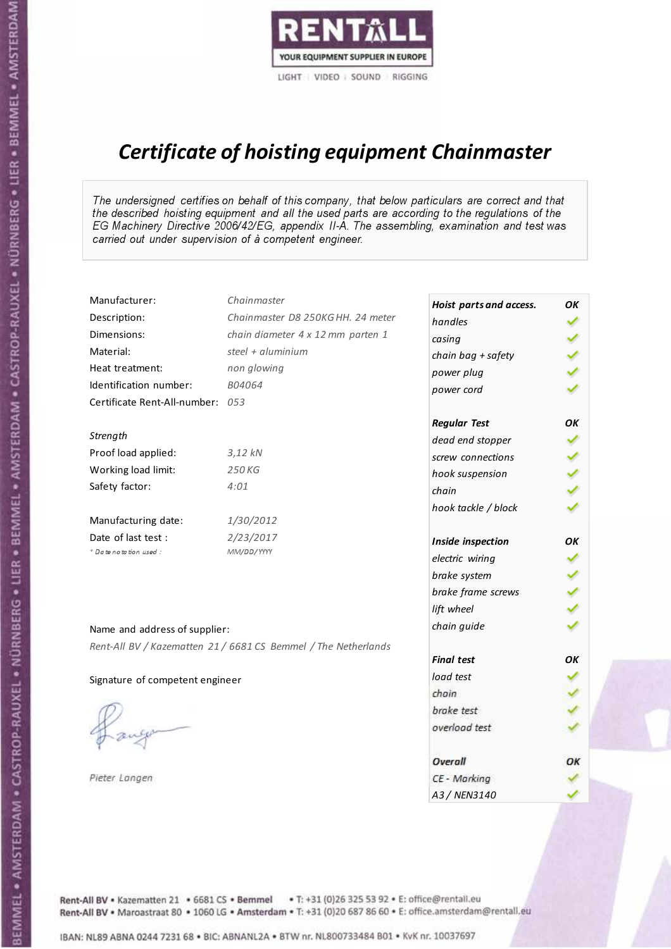

# Certificate of hoisting equipment Chainmaster

The undersigned certifies on behalf of this company, that below particulars are correct and that the described hoisting equipment and all the used parts are according to the regulations of the EG Machinery Directive 2006/42/EG, appendix II-A. The assembling, examination and test was carried out under supervision of à competent engineer.

| Manufacturer:                    | Chainmaster                                                    | Hoist parts and access. | OK  |
|----------------------------------|----------------------------------------------------------------|-------------------------|-----|
| Description:                     | Chainmaster D8 250KG HH. 24 meter                              | handles                 |     |
| Dimensions:                      | chain diameter 4 x 12 mm parten 1                              | casing                  |     |
| Material:                        | steel + $aluminim$                                             | chain bag + safety      |     |
| Heat treatment:                  | non glowing                                                    | power plug              |     |
| Identification number:           | B04064                                                         | power cord              |     |
| Certificate Rent-All-number: 053 |                                                                |                         |     |
|                                  |                                                                | <b>Regular Test</b>     | OK  |
| Strength                         |                                                                | dead end stopper        |     |
| Proof load applied:              | 3,12 kN                                                        | screw connections       |     |
| Working load limit:              | 250 KG                                                         | hook suspension         |     |
| Safety factor:                   | 4:01                                                           | chain                   | くくく |
|                                  |                                                                | hook tackle / block     |     |
| Manufacturing date:              | 1/30/2012                                                      |                         |     |
| Date of last test :              | 2/23/2017                                                      | Inside inspection       | OK  |
| + Date notation used:            | MM/DD/YYYY                                                     | electric wiring         | ✓   |
|                                  |                                                                | brake system            |     |
|                                  |                                                                | brake frame screws      |     |
|                                  |                                                                | lift wheel              |     |
| Name and address of supplier:    |                                                                | chain guide             |     |
|                                  | Rent-All BV / Kazematten 21 / 6681 CS Bemmel / The Netherlands |                         |     |
|                                  |                                                                | <b>Final test</b>       | OK  |
| Signature of competent engineer  |                                                                | load test               |     |
|                                  |                                                                | chain                   |     |
|                                  |                                                                | brake test              |     |
|                                  |                                                                | overload test           |     |
|                                  |                                                                | Overall                 | ОК  |
| Pieter Langen                    |                                                                | CE - Marking            |     |
|                                  |                                                                | A3 / NEN3140            |     |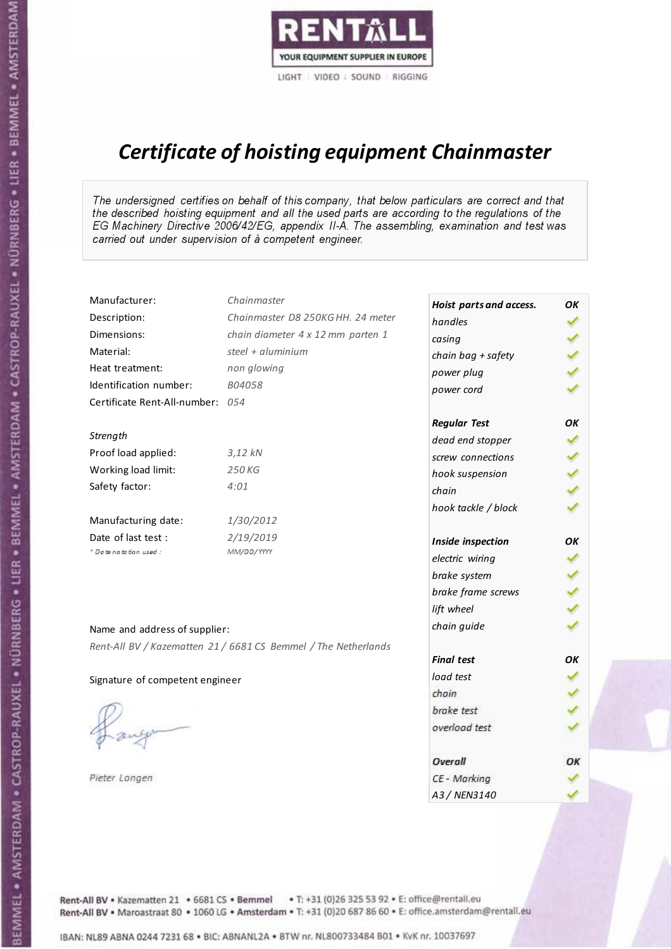

# Certificate of hoisting equipment Chainmaster

The undersigned certifies on behalf of this company, that below particulars are correct and that the described hoisting equipment and all the used parts are according to the regulations of the EG Machinery Directive 2006/42/EG, appendix II-A. The assembling, examination and test was carried out under supervision of à competent engineer.

| Manufacturer:                    | Chainmaster                                                    | Hoist parts and access. | OK  |
|----------------------------------|----------------------------------------------------------------|-------------------------|-----|
| Description:                     | Chainmaster D8 250KG HH. 24 meter                              | handles                 |     |
| Dimensions:                      | chain diameter 4 x 12 mm parten 1                              | casing                  |     |
| Material:                        | steel + aluminium                                              | chain bag + safety      |     |
| Heat treatment:                  | non glowing                                                    | power plug              |     |
| Identification number:           | B04058                                                         | power cord              |     |
| Certificate Rent-All-number: 054 |                                                                |                         |     |
|                                  |                                                                | <b>Regular Test</b>     | ОΚ  |
| Strength                         |                                                                | dead end stopper        | ✔   |
| Proof load applied:              | $3,12$ $kN$                                                    | screw connections       |     |
| Working load limit:              | 250 KG                                                         | hook suspension         |     |
| Safety factor:                   | 4:01                                                           | chain                   | くくく |
|                                  |                                                                | hook tackle / block     |     |
| Manufacturing date:              | 1/30/2012                                                      |                         |     |
| Date of last test :              | 2/19/2019                                                      | Inside inspection       | ОΚ  |
| * Date notation used :           | MM/DD/YYYY                                                     | electric wiring         | ✔   |
|                                  |                                                                | brake system            |     |
|                                  |                                                                | brake frame screws      |     |
|                                  |                                                                | lift wheel              |     |
| Name and address of supplier:    |                                                                | chain guide             |     |
|                                  | Rent-All BV / Kazematten 21 / 6681 CS Bemmel / The Netherlands |                         |     |
|                                  |                                                                | <b>Final test</b>       | OK  |
| Signature of competent engineer  |                                                                | load test               |     |
|                                  |                                                                | chain                   |     |
|                                  |                                                                | brake test              |     |
|                                  |                                                                | overload test           |     |
|                                  |                                                                | Overall                 | ОК  |
| Pieter Langen                    |                                                                | CE - Marking            |     |
|                                  |                                                                | A3 / NEN3140            |     |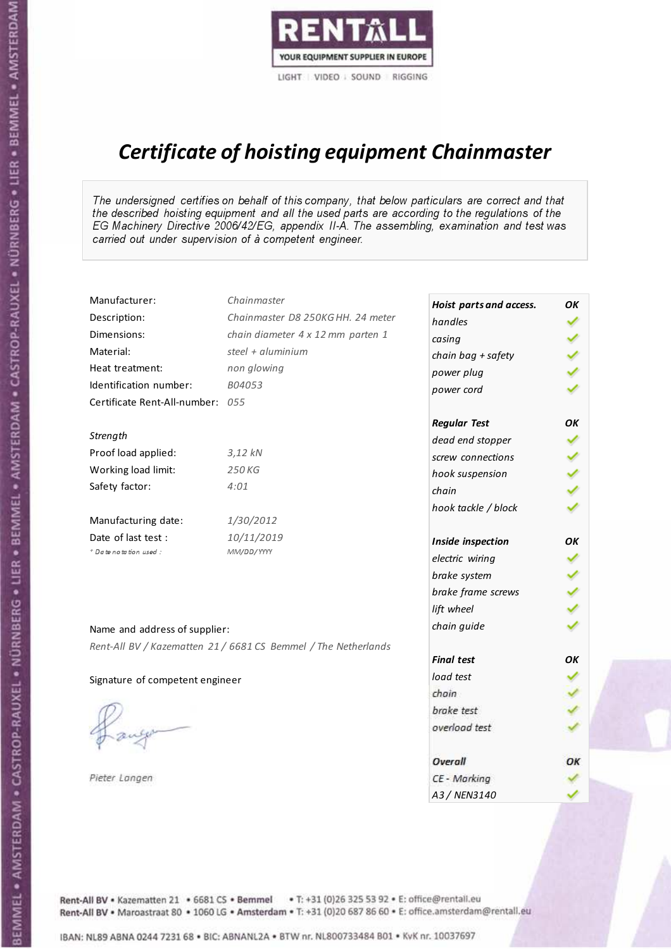

# Certificate of hoisting equipment Chainmaster

The undersigned certifies on behalf of this company, that below particulars are correct and that the described hoisting equipment and all the used parts are according to the regulations of the EG Machinery Directive 2006/42/EG, appendix II-A. The assembling, examination and test was carried out under supervision of à competent engineer.

| Manufacturer:                    | Chainmaster                                                    | Hoist parts and access. | OK  |
|----------------------------------|----------------------------------------------------------------|-------------------------|-----|
| Description:                     | Chainmaster D8 250KG HH. 24 meter                              | handles                 |     |
| Dimensions:                      | chain diameter 4 x 12 mm parten 1                              | casing                  |     |
| Material:                        | steel + aluminium                                              | chain bag + safety      |     |
| Heat treatment:                  | non glowing                                                    | power plug              |     |
| Identification number:           | B04053                                                         | power cord              |     |
| Certificate Rent-All-number: 055 |                                                                |                         |     |
|                                  |                                                                | <b>Regular Test</b>     | OK  |
| Strength                         |                                                                | dead end stopper        | ✔   |
| Proof load applied:              | $3,12$ kN                                                      | screw connections       |     |
| Working load limit:              | 250 KG                                                         | hook suspension         |     |
| Safety factor:                   | 4:01                                                           | chain                   | くくく |
|                                  |                                                                | hook tackle / block     |     |
| Manufacturing date:              | 1/30/2012                                                      |                         |     |
| Date of last test :              | 10/11/2019                                                     | Inside inspection       | ОΚ  |
| + Date notation used :           | MM/DD/YYYY                                                     | electric wiring         | ✓   |
|                                  |                                                                | brake system            |     |
|                                  |                                                                | brake frame screws      |     |
|                                  |                                                                | lift wheel              |     |
| Name and address of supplier:    |                                                                | chain guide             |     |
|                                  | Rent-All BV / Kazematten 21 / 6681 CS Bemmel / The Netherlands |                         |     |
|                                  |                                                                | <b>Final test</b>       | OK  |
| Signature of competent engineer  |                                                                | load test               |     |
|                                  |                                                                | chain                   |     |
|                                  |                                                                | brake test              |     |
|                                  |                                                                | overload test           |     |
|                                  |                                                                | Overall                 | ОК  |
| Pieter Langen                    |                                                                | CE - Marking            |     |
|                                  |                                                                | A3 / NEN3140            |     |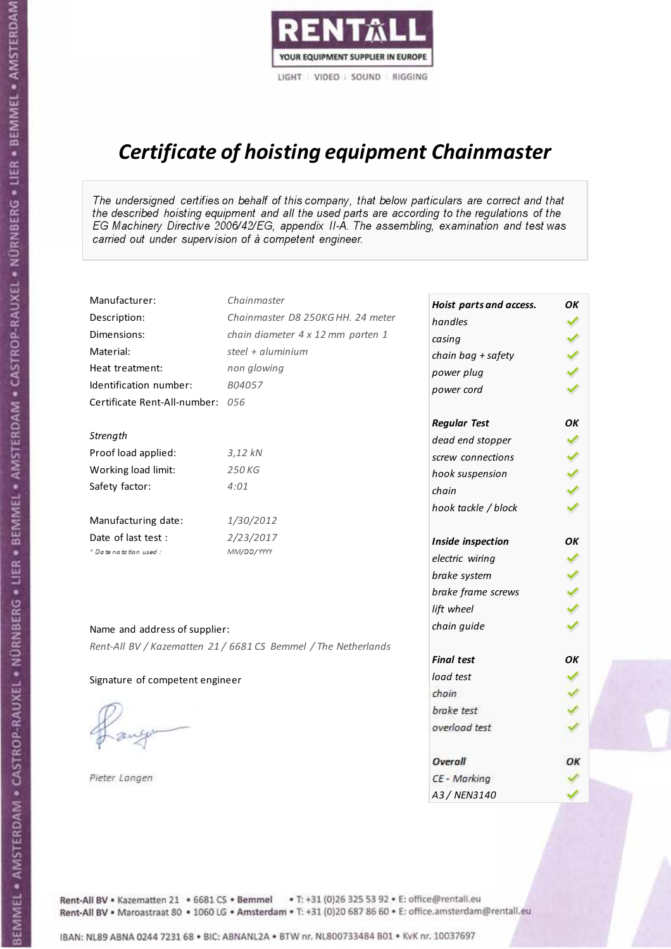

# Certificate of hoisting equipment Chainmaster

The undersigned certifies on behalf of this company, that below particulars are correct and that the described hoisting equipment and all the used parts are according to the regulations of the EG Machinery Directive 2006/42/EG, appendix II-A. The assembling, examination and test was carried out under supervision of à competent engineer.

| Manufacturer:                    | Chainmaster                                                    | Hoist parts and access. | OK                   |
|----------------------------------|----------------------------------------------------------------|-------------------------|----------------------|
| Description:                     | Chainmaster D8 250KG HH. 24 meter                              | handles                 |                      |
| Dimensions:                      | chain diameter 4 x 12 mm parten 1                              | casing                  |                      |
| Material:                        | steel $+$ aluminium                                            | chain bag + safety      |                      |
| Heat treatment:                  | non glowing                                                    | power plug              |                      |
| Identification number:           | B04057                                                         | power cord              |                      |
| Certificate Rent-All-number: 056 |                                                                |                         |                      |
|                                  |                                                                | <b>Regular Test</b>     | OK                   |
| Strength                         |                                                                | dead end stopper        | ✔                    |
| Proof load applied:              | 3,12 kN                                                        | screw connections       |                      |
| Working load limit:              | 250 KG                                                         | hook suspension         |                      |
| Safety factor:                   | 4:01                                                           | chain                   | くくく                  |
|                                  |                                                                | hook tackle / block     |                      |
| Manufacturing date:              | 1/30/2012                                                      |                         |                      |
| Date of last test:               | 2/23/2017                                                      | Inside inspection       | OΚ                   |
| * Date notation used :           | MM/DD/YYYY                                                     | electric wiring         | ✔                    |
|                                  |                                                                | brake system            |                      |
|                                  |                                                                | brake frame screws      |                      |
|                                  |                                                                | lift wheel              | $\sim$ $\sim$ $\sim$ |
| Name and address of supplier:    |                                                                | chain guide             |                      |
|                                  | Rent-All BV / Kazematten 21 / 6681 CS Bemmel / The Netherlands |                         |                      |
|                                  |                                                                | <b>Final test</b>       | OK                   |
| Signature of competent engineer  |                                                                | load test               |                      |
|                                  |                                                                | chain                   |                      |
|                                  |                                                                | brake test              |                      |
|                                  |                                                                | overload test           |                      |
|                                  |                                                                | Overall                 | ОК                   |
| Pieter Langen                    |                                                                | CE - Marking            |                      |
|                                  |                                                                | A3 / NEN3140            |                      |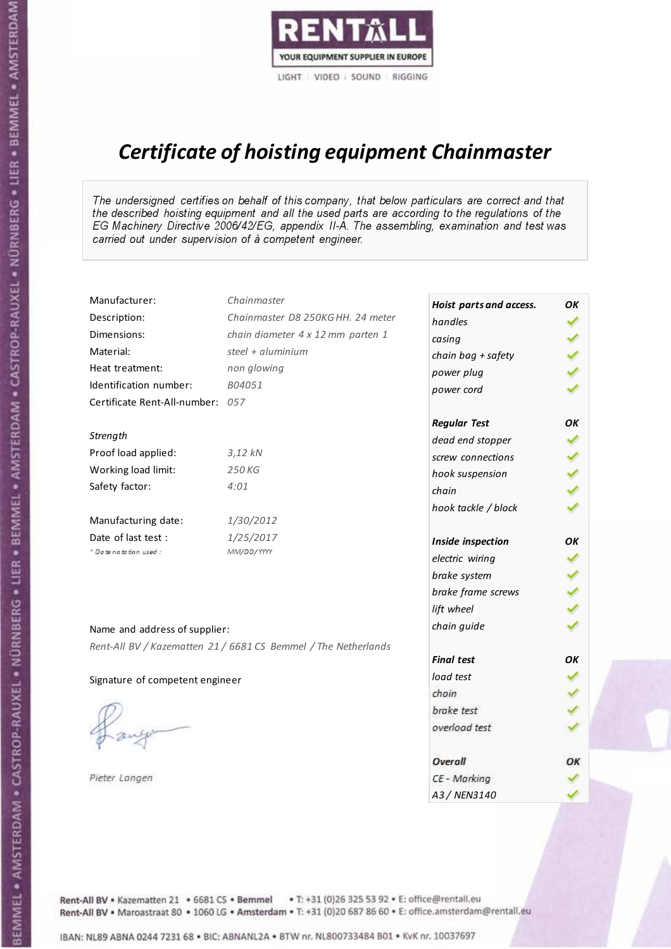

# Certificate of hoisting equipment Chainmaster

The undersigned certifies on behalf of this company, that below particulars are correct and that the described hoisting equipment and all the used parts are according to the regulations of the EG Machinery Directive 2006/42/EG, appendix II-A. The assembling, examination and test was carried out under supervision of à competent engineer.

| Manufacturer:                    | Chainmaster                                                    | Hoist parts and access. | OK  |
|----------------------------------|----------------------------------------------------------------|-------------------------|-----|
| Description:                     | Chainmaster D8 250KG HH. 24 meter                              | handles                 |     |
| Dimensions:                      | chain diameter 4 x 12 mm parten 1                              | casing                  |     |
| Material:                        | steel $+$ aluminium                                            | chain bag + safety      |     |
| Heat treatment:                  | non glowing                                                    | power plug              |     |
| Identification number:           | B04051                                                         | power cord              |     |
| Certificate Rent-All-number: 057 |                                                                |                         |     |
|                                  |                                                                | <b>Regular Test</b>     | OK  |
| Strength                         |                                                                | dead end stopper        | ✔   |
| Proof load applied:              | $3,12$ $kN$                                                    | screw connections       |     |
| Working load limit:              | 250 KG                                                         | hook suspension         |     |
| Safety factor:                   | 4:01                                                           | chain                   | くくく |
|                                  |                                                                | hook tackle / block     |     |
| Manufacturing date:              | 1/30/2012                                                      |                         |     |
| Date of last test :              | 1/25/2017                                                      | Inside inspection       | ОΚ  |
| * Date notation used :           | MM/DD/YYYY                                                     | electric wiring         | ✓   |
|                                  |                                                                | brake system            |     |
|                                  |                                                                | brake frame screws      |     |
|                                  |                                                                | lift wheel              | くくく |
| Name and address of supplier:    |                                                                | chain guide             |     |
|                                  | Rent-All BV / Kazematten 21 / 6681 CS Bemmel / The Netherlands |                         |     |
|                                  |                                                                | <b>Final test</b>       | OK  |
| Signature of competent engineer  |                                                                | load test               |     |
|                                  |                                                                | chain                   |     |
|                                  |                                                                | brake test              |     |
|                                  |                                                                | overload test           |     |
|                                  |                                                                | Overall                 | OK  |
| Pieter Langen                    |                                                                | CE - Marking            |     |
|                                  |                                                                | A3 / NEN3140            |     |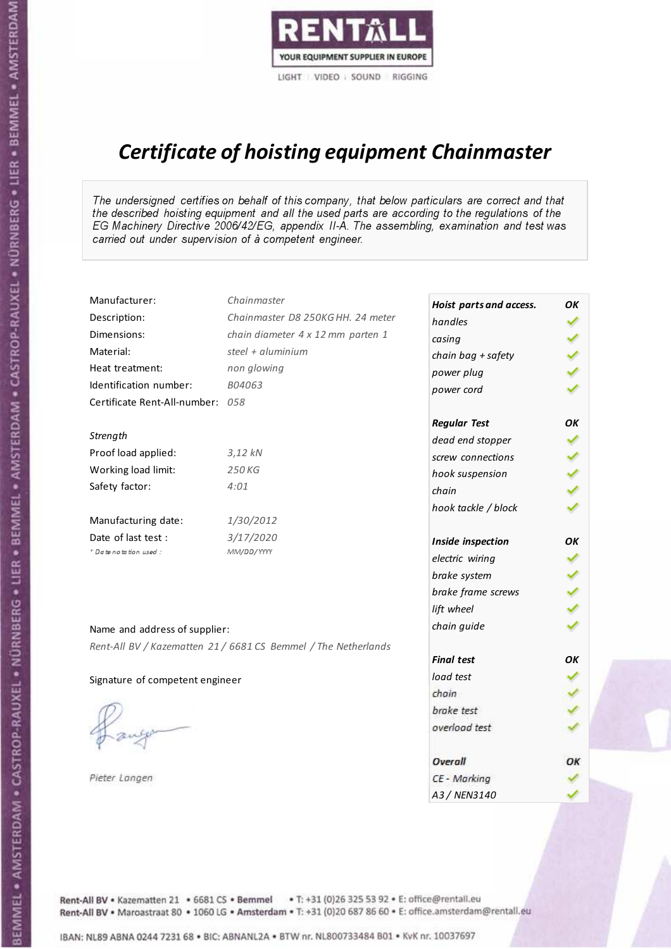

# Certificate of hoisting equipment Chainmaster

The undersigned certifies on behalf of this company, that below particulars are correct and that the described hoisting equipment and all the used parts are according to the regulations of the EG Machinery Directive 2006/42/EG, appendix II-A. The assembling, examination and test was carried out under supervision of à competent engineer.

| Manufacturer:                    | Chainmaster                                                    | Hoist parts and access. | OΚ  |
|----------------------------------|----------------------------------------------------------------|-------------------------|-----|
| Description:                     | Chainmaster D8 250KG HH. 24 meter                              | handles                 | ✓   |
| Dimensions:                      | chain diameter 4 x 12 mm parten 1                              | casing                  |     |
| Material:                        | steel + aluminium                                              | chain bag + safety      |     |
| Heat treatment:                  | non glowing                                                    | power plug              |     |
| Identification number:           | B04063                                                         | power cord              |     |
| Certificate Rent-All-number: 058 |                                                                |                         |     |
|                                  |                                                                | <b>Regular Test</b>     | OK  |
| Strength                         |                                                                | dead end stopper        | ✔   |
| Proof load applied:              | $3,12$ $kN$                                                    | screw connections       |     |
| Working load limit:              | 250 KG                                                         | hook suspension         |     |
| Safety factor:                   | 4:01                                                           | chain                   | くくく |
|                                  |                                                                | hook tackle / block     |     |
| Manufacturing date:              | 1/30/2012                                                      |                         |     |
| Date of last test :              | 3/17/2020                                                      | Inside inspection       | OK  |
| * Date notation used :           | MM/DD/YYYY                                                     | electric wiring         | ✔   |
|                                  |                                                                | brake system            | ✔   |
|                                  |                                                                | brake frame screws      |     |
|                                  |                                                                | lift wheel              |     |
| Name and address of supplier:    |                                                                | chain guide             |     |
|                                  | Rent-All BV / Kazematten 21 / 6681 CS Bemmel / The Netherlands |                         |     |
|                                  |                                                                | <b>Final test</b>       | OK  |
| Signature of competent engineer  |                                                                | load test               |     |
|                                  |                                                                | chain                   |     |
|                                  |                                                                | brake test              |     |
|                                  |                                                                | overload test           |     |
|                                  |                                                                | Overall                 | ОК  |
| Pieter Langen                    |                                                                | CE - Marking            |     |
|                                  |                                                                | A3 / NEN3140            |     |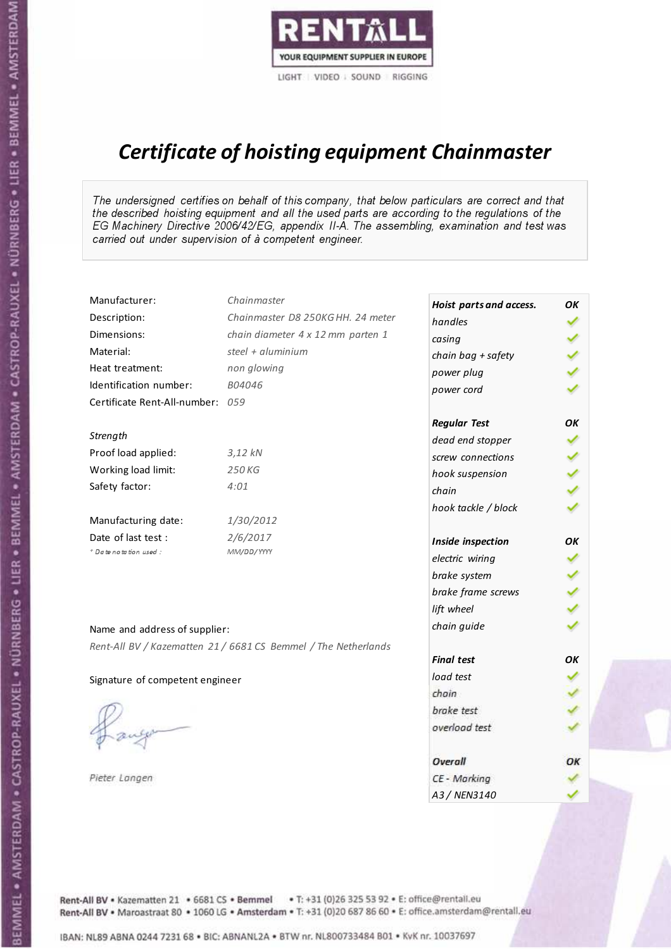

# Certificate of hoisting equipment Chainmaster

The undersigned certifies on behalf of this company, that below particulars are correct and that the described hoisting equipment and all the used parts are according to the regulations of the EG Machinery Directive 2006/42/EG, appendix II-A. The assembling, examination and test was carried out under supervision of à competent engineer.

| Manufacturer:                    | Chainmaster                                                    | Hoist parts and access. | OK  |
|----------------------------------|----------------------------------------------------------------|-------------------------|-----|
| Description:                     | Chainmaster D8 250KG HH. 24 meter                              | handles                 |     |
| Dimensions:                      | chain diameter 4 x 12 mm parten 1                              | casing                  |     |
| Material:                        | steel + aluminium                                              | chain bag + safety      |     |
| Heat treatment:                  | non glowing                                                    | power plug              |     |
| Identification number:           | B04046                                                         | power cord              |     |
| Certificate Rent-All-number: 059 |                                                                |                         |     |
|                                  |                                                                | <b>Regular Test</b>     | ОΚ  |
| Strength                         |                                                                | dead end stopper        | ✔   |
| Proof load applied:              | $3,12$ $kN$                                                    | screw connections       |     |
| Working load limit:              | 250 KG                                                         | hook suspension         |     |
| Safety factor:                   | 4:01                                                           | chain                   | くくく |
|                                  |                                                                | hook tackle / block     |     |
| Manufacturing date:              | 1/30/2012                                                      |                         |     |
| Date of last test :              | 2/6/2017                                                       | Inside inspection       | ОΚ  |
| * Date notation used :           | MM/DD/YYYY                                                     | electric wiring         | ✔   |
|                                  |                                                                | brake system            |     |
|                                  |                                                                | brake frame screws      |     |
|                                  |                                                                | lift wheel              |     |
| Name and address of supplier:    |                                                                | chain guide             |     |
|                                  | Rent-All BV / Kazematten 21 / 6681 CS Bemmel / The Netherlands |                         |     |
|                                  |                                                                | <b>Final test</b>       | OK  |
| Signature of competent engineer  |                                                                | load test               |     |
|                                  |                                                                | chain                   |     |
|                                  |                                                                | brake test              |     |
|                                  |                                                                | overload test           |     |
|                                  |                                                                | Overall                 | ОК  |
| Pieter Langen                    |                                                                | CE - Marking            |     |
|                                  |                                                                | A3 / NEN3140            |     |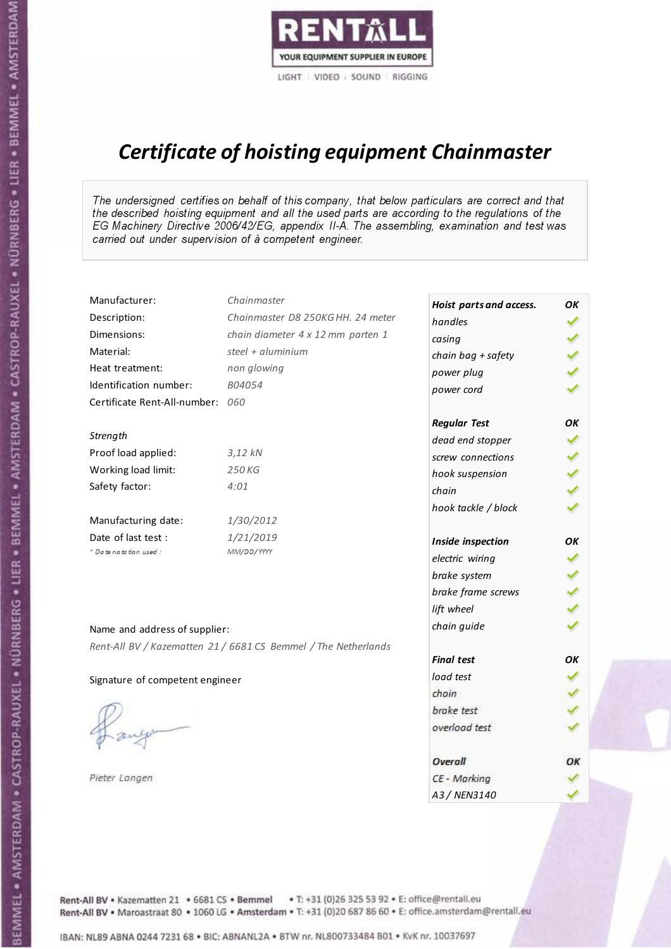

# Certificate of hoisting equipment Chainmaster

The undersigned certifies on behalf of this company, that below particulars are correct and that the described hoisting equipment and all the used parts are according to the regulations of the EG Machinery Directive 2006/42/EG, appendix II-A. The assembling, examination and test was carried out under supervision of à competent engineer.

| Manufacturer:                    | Chainmaster                                                    | Hoist parts and access. | OK  |
|----------------------------------|----------------------------------------------------------------|-------------------------|-----|
| Description:                     | Chainmaster D8 250KG HH. 24 meter                              | handles                 |     |
| Dimensions:                      | chain diameter 4 x 12 mm parten 1                              | casing                  |     |
| Material:                        | steel + $aluminim$                                             | chain bag + safety      |     |
| Heat treatment:                  | non glowing                                                    | power plug              |     |
| Identification number:           | B04054                                                         | power cord              |     |
| Certificate Rent-All-number: 060 |                                                                |                         |     |
|                                  |                                                                | <b>Regular Test</b>     | OK  |
| Strength                         |                                                                | dead end stopper        | ✔   |
| Proof load applied:              | $3,12$ $kN$                                                    | screw connections       |     |
| Working load limit:              | 250 KG                                                         | hook suspension         |     |
| Safety factor:                   | 4:01                                                           | chain                   | くくく |
|                                  |                                                                | hook tackle / block     |     |
| Manufacturing date:              | 1/30/2012                                                      |                         |     |
| Date of last test :              | 1/21/2019                                                      | Inside inspection       | OΚ  |
| * Date notation used :           | MM/DD/YYYY                                                     | electric wiring         | ✓   |
|                                  |                                                                | brake system            |     |
|                                  |                                                                | brake frame screws      |     |
|                                  |                                                                | lift wheel              |     |
| Name and address of supplier:    |                                                                | chain guide             |     |
|                                  | Rent-All BV / Kazematten 21 / 6681 CS Bemmel / The Netherlands |                         |     |
|                                  |                                                                | <b>Final test</b>       | OK  |
| Signature of competent engineer  |                                                                | load test               |     |
|                                  |                                                                | chain                   |     |
|                                  |                                                                | brake test              |     |
|                                  |                                                                | overload test           |     |
|                                  |                                                                | Overall                 | ОК  |
| Pieter Langen                    |                                                                | CE - Marking            |     |
|                                  |                                                                | A3 / NEN3140            |     |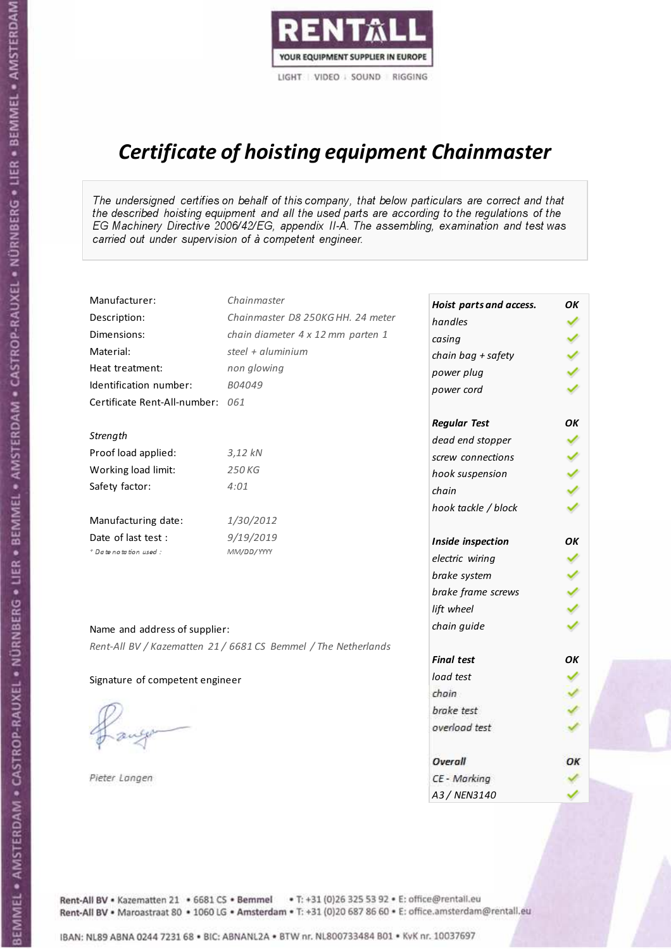

# Certificate of hoisting equipment Chainmaster

The undersigned certifies on behalf of this company, that below particulars are correct and that the described hoisting equipment and all the used parts are according to the regulations of the EG Machinery Directive 2006/42/EG, appendix II-A. The assembling, examination and test was carried out under supervision of à competent engineer.

| Manufacturer:                    | Chainmaster                                                    | Hoist parts and access. | OΚ  |
|----------------------------------|----------------------------------------------------------------|-------------------------|-----|
| Description:                     | Chainmaster D8 250KG HH. 24 meter                              | handles                 |     |
| Dimensions:                      | chain diameter 4 x 12 mm parten 1                              | casing                  |     |
| Material:                        | steel + aluminium                                              | chain bag + safety      | くりょ |
| Heat treatment:                  | non glowing                                                    | power plug              |     |
| Identification number:           | B04049                                                         | power cord              |     |
| Certificate Rent-All-number: 061 |                                                                |                         |     |
|                                  |                                                                | <b>Regular Test</b>     | OK  |
| Strength                         |                                                                | dead end stopper        | ✔   |
| Proof load applied:              | $3,12$ $kN$                                                    | screw connections       |     |
| Working load limit:              | 250KG                                                          | hook suspension         |     |
| Safety factor:                   | 4:01                                                           | chain                   | りょ  |
|                                  |                                                                | hook tackle / block     |     |
| Manufacturing date:              | 1/30/2012                                                      |                         |     |
| Date of last test :              | 9/19/2019                                                      | Inside inspection       | ОΚ  |
| + Date notation used :           | MM/DD/YYYY                                                     | electric wiring         |     |
|                                  |                                                                | brake system            |     |
|                                  |                                                                | brake frame screws      |     |
|                                  |                                                                | lift wheel              |     |
| Name and address of supplier:    |                                                                | chain guide             |     |
|                                  | Rent-All BV / Kazematten 21 / 6681 CS Bemmel / The Netherlands |                         |     |
|                                  |                                                                | <b>Final test</b>       | OK  |
| Signature of competent engineer  |                                                                | load test               |     |
|                                  |                                                                | chain                   |     |
|                                  |                                                                | brake test              |     |
|                                  |                                                                | overload test           |     |
|                                  |                                                                | Overall                 | ОК  |
| Pieter Langen                    |                                                                | CE - Marking            |     |
|                                  |                                                                | A3 / NEN3140            |     |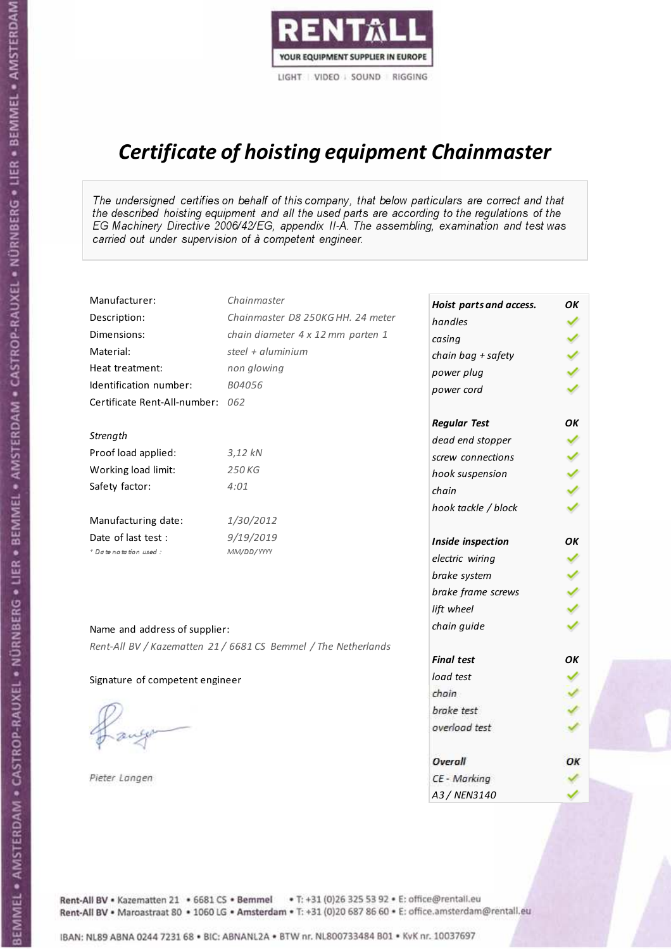

# Certificate of hoisting equipment Chainmaster

The undersigned certifies on behalf of this company, that below particulars are correct and that the described hoisting equipment and all the used parts are according to the regulations of the EG Machinery Directive 2006/42/EG, appendix II-A. The assembling, examination and test was carried out under supervision of à competent engineer.

| Manufacturer:                    | Chainmaster                                                    | Hoist parts and access. | OΚ  |
|----------------------------------|----------------------------------------------------------------|-------------------------|-----|
| Description:                     | Chainmaster D8 250KG HH. 24 meter                              | handles                 | ✓   |
| Dimensions:                      | chain diameter 4 x 12 mm parten 1                              | casing                  |     |
| Material:                        | steel + aluminium                                              | chain bag + safety      |     |
| Heat treatment:                  | non glowing                                                    | power plug              |     |
| Identification number:           | B04056                                                         | power cord              |     |
| Certificate Rent-All-number: 062 |                                                                |                         |     |
|                                  |                                                                | <b>Regular Test</b>     | OK  |
| Strength                         |                                                                | dead end stopper        | ✔   |
| Proof load applied:              | $3,12$ $kN$                                                    | screw connections       |     |
| Working load limit:              | 250 KG                                                         | hook suspension         |     |
| Safety factor:                   | 4:01                                                           | chain                   | くくく |
|                                  |                                                                | hook tackle / block     |     |
| Manufacturing date:              | 1/30/2012                                                      |                         |     |
| Date of last test :              | 9/19/2019                                                      | Inside inspection       | OK  |
| * Date notation used :           | MM/DD/YYYY                                                     | electric wiring         | ✔   |
|                                  |                                                                | brake system            | ✔   |
|                                  |                                                                | brake frame screws      |     |
|                                  |                                                                | lift wheel              |     |
| Name and address of supplier:    |                                                                | chain guide             |     |
|                                  | Rent-All BV / Kazematten 21 / 6681 CS Bemmel / The Netherlands |                         |     |
|                                  |                                                                | <b>Final test</b>       | OK  |
| Signature of competent engineer  |                                                                | load test               |     |
|                                  |                                                                | chain                   |     |
|                                  |                                                                | brake test              |     |
|                                  |                                                                | overload test           |     |
|                                  |                                                                | Overall                 | ОК  |
| Pieter Langen                    |                                                                | CE - Marking            |     |
|                                  |                                                                | A3 / NEN3140            |     |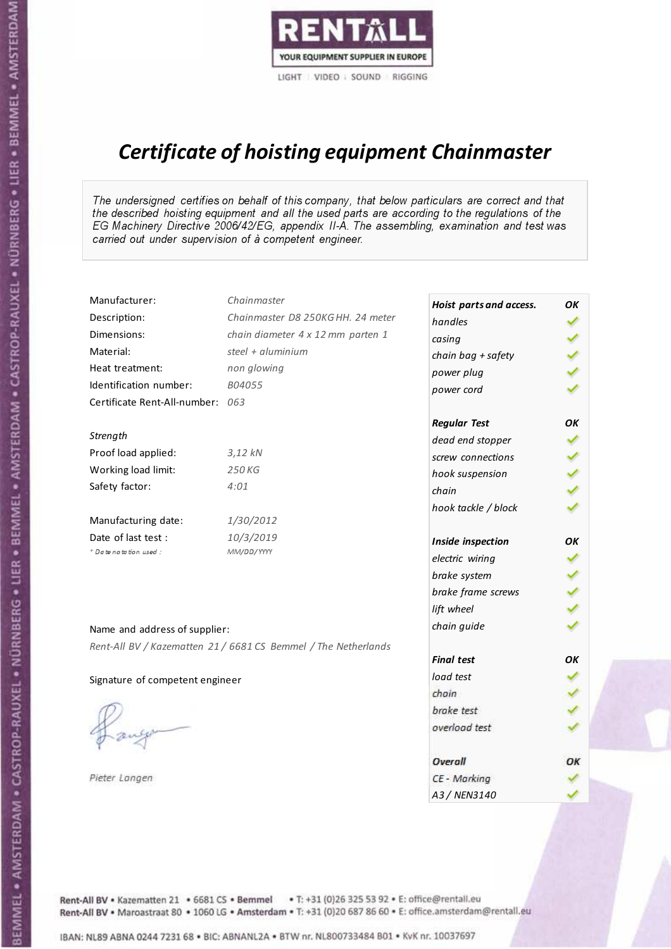

# Certificate of hoisting equipment Chainmaster

The undersigned certifies on behalf of this company, that below particulars are correct and that the described hoisting equipment and all the used parts are according to the regulations of the EG Machinery Directive 2006/42/EG, appendix II-A. The assembling, examination and test was carried out under supervision of à competent engineer.

| Manufacturer:                    | Chainmaster                                                    | Hoist parts and access. | OK  |
|----------------------------------|----------------------------------------------------------------|-------------------------|-----|
| Description:                     | Chainmaster D8 250KG HH. 24 meter                              | handles                 |     |
| Dimensions:                      | chain diameter 4 x 12 mm parten 1                              | casing                  |     |
| Material:                        | steel $+$ aluminium                                            | chain bag + safety      |     |
| Heat treatment:                  | non glowing                                                    | power plug              |     |
| Identification number:           | B04055                                                         | power cord              |     |
| Certificate Rent-All-number: 063 |                                                                |                         |     |
|                                  |                                                                | <b>Regular Test</b>     | OK  |
| Strength                         |                                                                | dead end stopper        | ✔   |
| Proof load applied:              | $3,12$ $kN$                                                    | screw connections       |     |
| Working load limit:              | 250 KG                                                         | hook suspension         |     |
| Safety factor:                   | 4:01                                                           | chain                   | くりょ |
|                                  |                                                                | hook tackle / block     |     |
| Manufacturing date:              | 1/30/2012                                                      |                         |     |
| Date of last test :              | 10/3/2019                                                      | Inside inspection       | ОΚ  |
| * Date notation used :           | MM/DD/YYYY                                                     | electric wiring         | ✓   |
|                                  |                                                                | brake system            |     |
|                                  |                                                                | brake frame screws      |     |
|                                  |                                                                | lift wheel              |     |
| Name and address of supplier:    |                                                                | chain guide             |     |
|                                  | Rent-All BV / Kazematten 21 / 6681 CS Bemmel / The Netherlands |                         |     |
|                                  |                                                                | <b>Final test</b>       | OK  |
| Signature of competent engineer  |                                                                | load test               |     |
|                                  |                                                                | chain                   |     |
|                                  |                                                                | brake test              |     |
|                                  |                                                                | overload test           |     |
|                                  |                                                                | Overall                 | OK  |
| Pieter Langen                    |                                                                | CE - Marking            |     |
|                                  |                                                                | A3 / NEN3140            |     |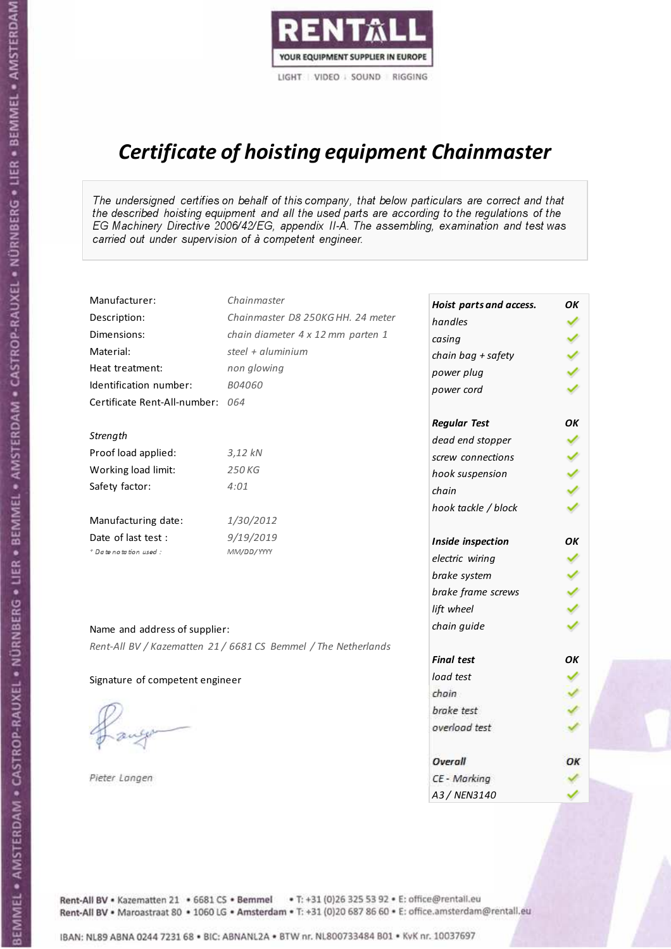

# Certificate of hoisting equipment Chainmaster

The undersigned certifies on behalf of this company, that below particulars are correct and that the described hoisting equipment and all the used parts are according to the regulations of the EG Machinery Directive 2006/42/EG, appendix II-A. The assembling, examination and test was carried out under supervision of à competent engineer.

| Manufacturer:                    | Chainmaster                                                    | Hoist parts and access. | OΚ  |
|----------------------------------|----------------------------------------------------------------|-------------------------|-----|
| Description:                     | Chainmaster D8 250KG HH. 24 meter                              | handles                 | ✓   |
| Dimensions:                      | chain diameter 4 x 12 mm parten 1                              | casing                  |     |
| Material:                        | steel + aluminium                                              | chain bag + safety      |     |
| Heat treatment:                  | non glowing                                                    | power plug              |     |
| Identification number:           | B04060                                                         | power cord              |     |
| Certificate Rent-All-number: 064 |                                                                |                         |     |
|                                  |                                                                | <b>Regular Test</b>     | OK  |
| Strength                         |                                                                | dead end stopper        | ✔   |
| Proof load applied:              | $3,12$ $kN$                                                    | screw connections       |     |
| Working load limit:              | 250 KG                                                         | hook suspension         |     |
| Safety factor:                   | 4:01                                                           | chain                   | くくく |
|                                  |                                                                | hook tackle / block     |     |
| Manufacturing date:              | 1/30/2012                                                      |                         |     |
| Date of last test :              | 9/19/2019                                                      | Inside inspection       | OK  |
| * Date notation used :           | MM/DD/YYYY                                                     | electric wiring         |     |
|                                  |                                                                | brake system            |     |
|                                  |                                                                | brake frame screws      |     |
|                                  |                                                                | lift wheel              |     |
| Name and address of supplier:    |                                                                | chain guide             |     |
|                                  | Rent-All BV / Kazematten 21 / 6681 CS Bemmel / The Netherlands |                         |     |
|                                  |                                                                | <b>Final test</b>       | OK  |
| Signature of competent engineer  |                                                                | load test               |     |
|                                  |                                                                | chain                   |     |
|                                  |                                                                | brake test              |     |
|                                  |                                                                | overload test           |     |
|                                  |                                                                | <b>Overall</b>          | ОК  |
| Pieter Langen                    |                                                                | CE - Marking            |     |
|                                  |                                                                | A3 / NEN3140            |     |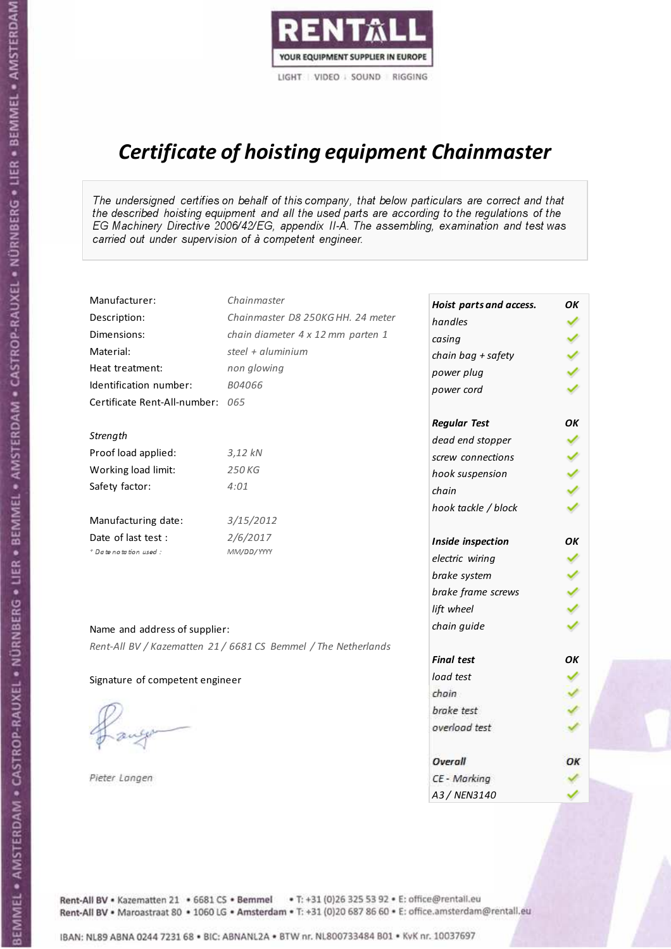

# Certificate of hoisting equipment Chainmaster

The undersigned certifies on behalf of this company, that below particulars are correct and that the described hoisting equipment and all the used parts are according to the regulations of the EG Machinery Directive 2006/42/EG, appendix II-A. The assembling, examination and test was carried out under supervision of à competent engineer.

| Manufacturer:                    | Chainmaster                                                    | Hoist parts and access. | OK  |
|----------------------------------|----------------------------------------------------------------|-------------------------|-----|
| Description:                     | Chainmaster D8 250KG HH. 24 meter                              | handles                 |     |
| Dimensions:                      | chain diameter 4 x 12 mm parten 1                              | casing                  |     |
| Material:                        | steel + $aluminim$                                             | chain bag + safety      |     |
| Heat treatment:                  | non glowing                                                    | power plug              |     |
| Identification number:           | B04066                                                         | power cord              |     |
| Certificate Rent-All-number: 065 |                                                                |                         |     |
|                                  |                                                                | <b>Regular Test</b>     | OK  |
| Strength                         |                                                                | dead end stopper        |     |
| Proof load applied:              | $3,12$ kN                                                      | screw connections       |     |
| Working load limit:              | 250 KG                                                         | hook suspension         |     |
| Safety factor:                   | 4:01                                                           | chain                   | くくく |
|                                  |                                                                | hook tackle / block     |     |
| Manufacturing date:              | 3/15/2012                                                      |                         |     |
| Date of last test :              | 2/6/2017                                                       | Inside inspection       | OK  |
| + Date notation used:            | MM/DD/YYYY                                                     | electric wiring         | ✔   |
|                                  |                                                                | brake system            |     |
|                                  |                                                                | brake frame screws      |     |
|                                  |                                                                | lift wheel              |     |
| Name and address of supplier:    |                                                                | chain guide             |     |
|                                  | Rent-All BV / Kazematten 21 / 6681 CS Bemmel / The Netherlands |                         |     |
|                                  |                                                                | <b>Final test</b>       | OK  |
| Signature of competent engineer  |                                                                | load test               |     |
|                                  |                                                                | chain                   |     |
|                                  |                                                                | brake test              |     |
|                                  |                                                                | overload test           |     |
|                                  |                                                                | Overall                 | ОК  |
| Pieter Langen                    |                                                                | CE - Marking            |     |
|                                  |                                                                | A3 / NEN3140            |     |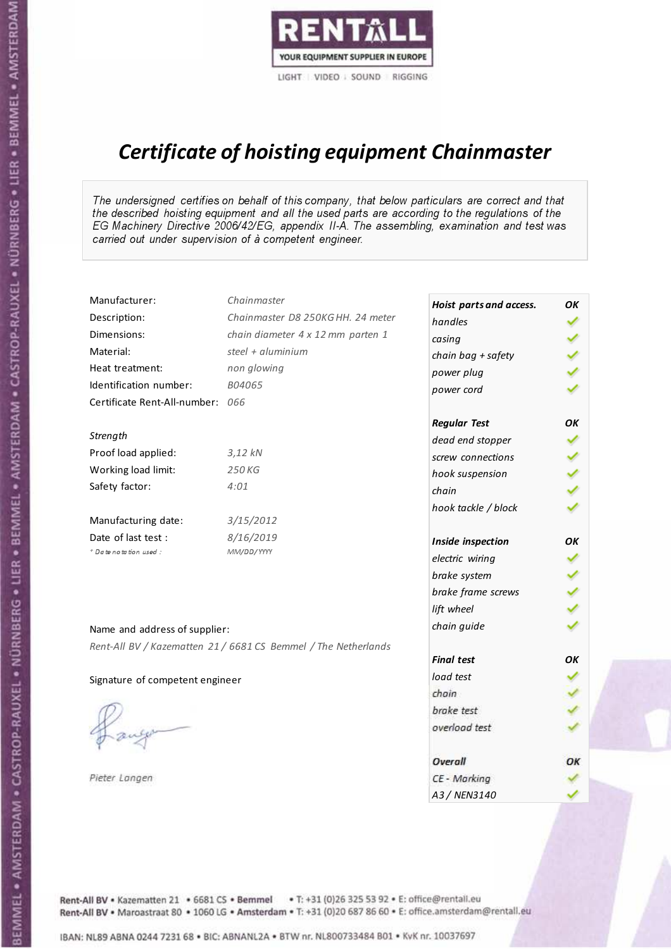

# Certificate of hoisting equipment Chainmaster

The undersigned certifies on behalf of this company, that below particulars are correct and that the described hoisting equipment and all the used parts are according to the regulations of the EG Machinery Directive 2006/42/EG, appendix II-A. The assembling, examination and test was carried out under supervision of à competent engineer.

| Manufacturer:                    | Chainmaster                                                    | Hoist parts and access. | OК  |
|----------------------------------|----------------------------------------------------------------|-------------------------|-----|
| Description:                     | Chainmaster D8 250KG HH. 24 meter                              | handles                 |     |
| Dimensions:                      | chain diameter 4 x 12 mm parten 1                              | casing                  |     |
| Material:                        | steel + aluminium                                              | chain bag + safety      |     |
| Heat treatment:                  | non glowing                                                    | power plug              |     |
| Identification number:           | B04065                                                         | power cord              |     |
| Certificate Rent-All-number: 066 |                                                                |                         |     |
|                                  |                                                                | <b>Regular Test</b>     | OK  |
| Strength                         |                                                                | dead end stopper        | ✔   |
| Proof load applied:              | 3,12 kN                                                        | screw connections       |     |
| Working load limit:              | 250 KG                                                         | hook suspension         |     |
| Safety factor:                   | 4:01                                                           | chain                   | くくく |
|                                  |                                                                | hook tackle / block     |     |
| Manufacturing date:              | 3/15/2012                                                      |                         |     |
| Date of last test :              | 8/16/2019                                                      | Inside inspection       | ОΚ  |
| * Date notation used :           | MM/DD/YYYY                                                     | electric wiring         | ✓   |
|                                  |                                                                | brake system            |     |
|                                  |                                                                | brake frame screws      |     |
|                                  |                                                                | lift wheel              | くくく |
| Name and address of supplier:    |                                                                | chain guide             |     |
|                                  | Rent-All BV / Kazematten 21 / 6681 CS Bemmel / The Netherlands |                         |     |
|                                  |                                                                | <b>Final test</b>       | OK  |
| Signature of competent engineer  |                                                                | load test               |     |
|                                  |                                                                | chain                   |     |
|                                  |                                                                | brake test              |     |
|                                  |                                                                | overload test           |     |
|                                  |                                                                | Overall                 | ОК  |
| Pieter Langen                    |                                                                | CE - Marking            |     |
|                                  |                                                                | A3 / NEN3140            |     |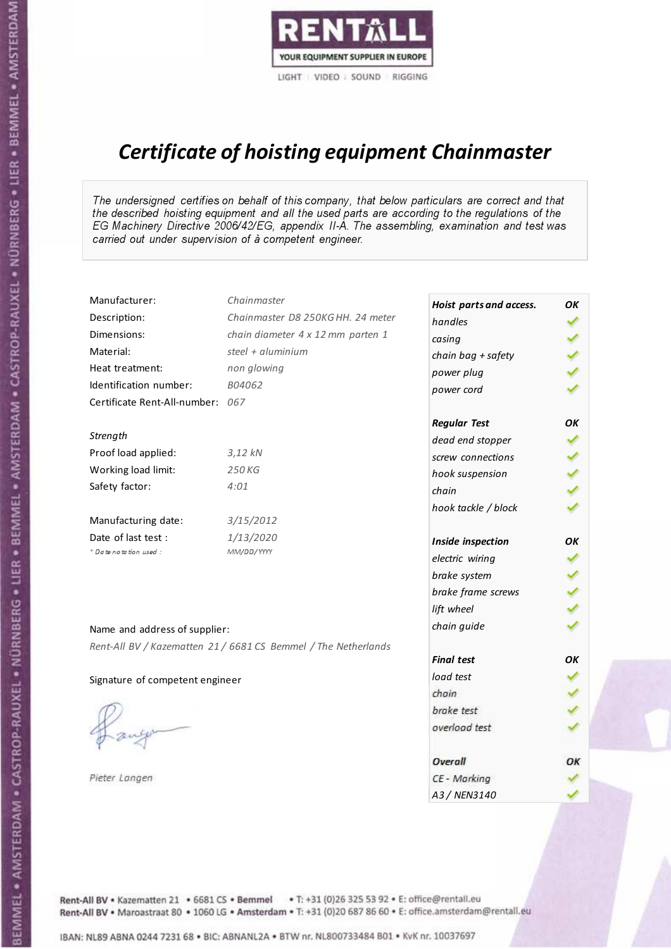

# Certificate of hoisting equipment Chainmaster

The undersigned certifies on behalf of this company, that below particulars are correct and that the described hoisting equipment and all the used parts are according to the regulations of the EG Machinery Directive 2006/42/EG, appendix II-A. The assembling, examination and test was carried out under supervision of à competent engineer.

| Manufacturer:                    | Chainmaster                                                    | Hoist parts and access. | OΚ |
|----------------------------------|----------------------------------------------------------------|-------------------------|----|
| Description:                     | Chainmaster D8 250KG HH. 24 meter                              | handles                 | ✓  |
| Dimensions:                      | chain diameter 4 x 12 mm parten 1                              | casing                  |    |
| Material:                        | steel + $aluminim$                                             | chain bag + safety      |    |
| Heat treatment:                  | non glowing                                                    | power plug              |    |
| Identification number:           | B04062                                                         | power cord              |    |
| Certificate Rent-All-number: 067 |                                                                |                         |    |
|                                  |                                                                | <b>Regular Test</b>     | OK |
| Strength                         |                                                                | dead end stopper        | ✔  |
| Proof load applied:              | $3,12$ $kN$                                                    | screw connections       |    |
| Working load limit:              | 250 KG                                                         | hook suspension         |    |
| Safety factor:                   | 4:01                                                           | chain                   | りょ |
|                                  |                                                                | hook tackle / block     |    |
| Manufacturing date:              | 3/15/2012                                                      |                         |    |
| Date of last test :              | 1/13/2020                                                      | Inside inspection       | OΚ |
| * Date notation used :           | MM/DD/YYYY                                                     | electric wiring         | ✓  |
|                                  |                                                                | brake system            |    |
|                                  |                                                                | brake frame screws      |    |
|                                  |                                                                | lift wheel              |    |
| Name and address of supplier:    |                                                                | chain guide             |    |
|                                  | Rent-All BV / Kazematten 21 / 6681 CS Bemmel / The Netherlands |                         |    |
|                                  |                                                                | <b>Final test</b>       | OK |
| Signature of competent engineer  |                                                                | load test               |    |
|                                  |                                                                | chain                   |    |
|                                  |                                                                | brake test              |    |
|                                  |                                                                | overload test           |    |
|                                  |                                                                | <b>Overall</b>          | ОК |
| Pieter Langen                    |                                                                | CE - Marking            |    |
|                                  |                                                                | A3 / NEN3140            |    |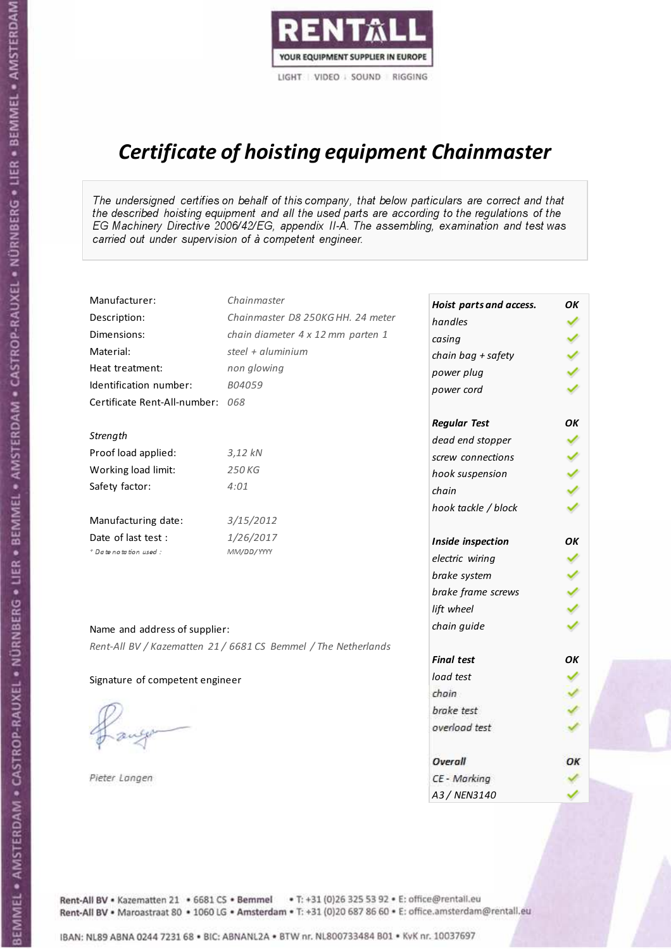

# Certificate of hoisting equipment Chainmaster

The undersigned certifies on behalf of this company, that below particulars are correct and that the described hoisting equipment and all the used parts are according to the regulations of the EG Machinery Directive 2006/42/EG, appendix II-A. The assembling, examination and test was carried out under supervision of à competent engineer.

| Manufacturer:                    | Chainmaster                                                    | Hoist parts and access. | OΚ  |
|----------------------------------|----------------------------------------------------------------|-------------------------|-----|
| Description:                     | Chainmaster D8 250KG HH. 24 meter                              | handles                 |     |
| Dimensions:                      | chain diameter 4 x 12 mm parten 1                              | casing                  |     |
| Material:                        | steel + aluminium                                              | chain bag + safety      | くりょ |
| Heat treatment:                  | non glowing                                                    | power plug              |     |
| Identification number:           | B04059                                                         | power cord              |     |
| Certificate Rent-All-number: 068 |                                                                |                         |     |
|                                  |                                                                | <b>Regular Test</b>     | OK  |
| Strength                         |                                                                | dead end stopper        | ✔   |
| Proof load applied:              | $3,12$ $kN$                                                    | screw connections       |     |
| Working load limit:              | 250 KG                                                         | hook suspension         |     |
| Safety factor:                   | 4:01                                                           | chain                   | りょ  |
|                                  |                                                                | hook tackle / block     |     |
| Manufacturing date:              | 3/15/2012                                                      |                         |     |
| Date of last test :              | 1/26/2017                                                      | Inside inspection       | ОΚ  |
| * Date notation used :           | MM/DD/YYYY                                                     | electric wiring         | ✓   |
|                                  |                                                                | brake system            |     |
|                                  |                                                                | brake frame screws      |     |
|                                  |                                                                | lift wheel              |     |
| Name and address of supplier:    |                                                                | chain guide             |     |
|                                  | Rent-All BV / Kazematten 21 / 6681 CS Bemmel / The Netherlands |                         |     |
|                                  |                                                                | <b>Final test</b>       | OK  |
| Signature of competent engineer  |                                                                | load test               |     |
|                                  |                                                                | chain                   |     |
|                                  |                                                                | brake test              |     |
|                                  |                                                                | overload test           |     |
|                                  |                                                                | <b>Overall</b>          | ОК  |
| Pieter Langen                    |                                                                | CE - Marking            |     |
|                                  |                                                                | A3 / NEN3140            |     |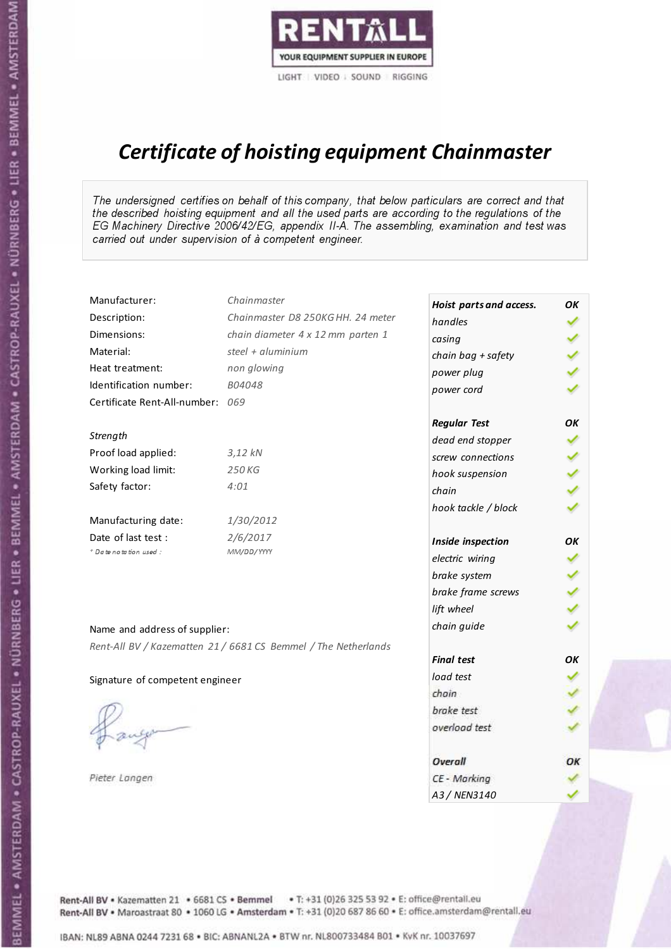

# Certificate of hoisting equipment Chainmaster

The undersigned certifies on behalf of this company, that below particulars are correct and that the described hoisting equipment and all the used parts are according to the regulations of the EG Machinery Directive 2006/42/EG, appendix II-A. The assembling, examination and test was carried out under supervision of à competent engineer.

| Manufacturer:                    | Chainmaster                                                    | Hoist parts and access. | OK  |
|----------------------------------|----------------------------------------------------------------|-------------------------|-----|
| Description:                     | Chainmaster D8 250KG HH. 24 meter                              | handles                 |     |
| Dimensions:                      | chain diameter 4 x 12 mm parten 1                              | casing                  |     |
| Material:                        | steel + aluminium                                              | chain bag + safety      |     |
| Heat treatment:                  | non glowing                                                    | power plug              |     |
| Identification number:           | B04048                                                         | power cord              |     |
| Certificate Rent-All-number: 069 |                                                                |                         |     |
|                                  |                                                                | <b>Regular Test</b>     | ОΚ  |
| Strength                         |                                                                | dead end stopper        | ✔   |
| Proof load applied:              | $3,12$ $kN$                                                    | screw connections       |     |
| Working load limit:              | 250 KG                                                         | hook suspension         |     |
| Safety factor:                   | 4:01                                                           | chain                   | くくく |
|                                  |                                                                | hook tackle / block     |     |
| Manufacturing date:              | 1/30/2012                                                      |                         |     |
| Date of last test :              | 2/6/2017                                                       | Inside inspection       | ОΚ  |
| * Date notation used :           | MM/DD/YYYY                                                     | electric wiring         | ✔   |
|                                  |                                                                | brake system            |     |
|                                  |                                                                | brake frame screws      |     |
|                                  |                                                                | lift wheel              |     |
| Name and address of supplier:    |                                                                | chain guide             |     |
|                                  | Rent-All BV / Kazematten 21 / 6681 CS Bemmel / The Netherlands |                         |     |
|                                  |                                                                | <b>Final test</b>       | OK  |
| Signature of competent engineer  |                                                                | load test               |     |
|                                  |                                                                | chain                   |     |
|                                  |                                                                | brake test              |     |
|                                  |                                                                | overload test           |     |
|                                  |                                                                | Overall                 | ОК  |
| Pieter Langen                    |                                                                | CE - Marking            |     |
|                                  |                                                                | A3 / NEN3140            |     |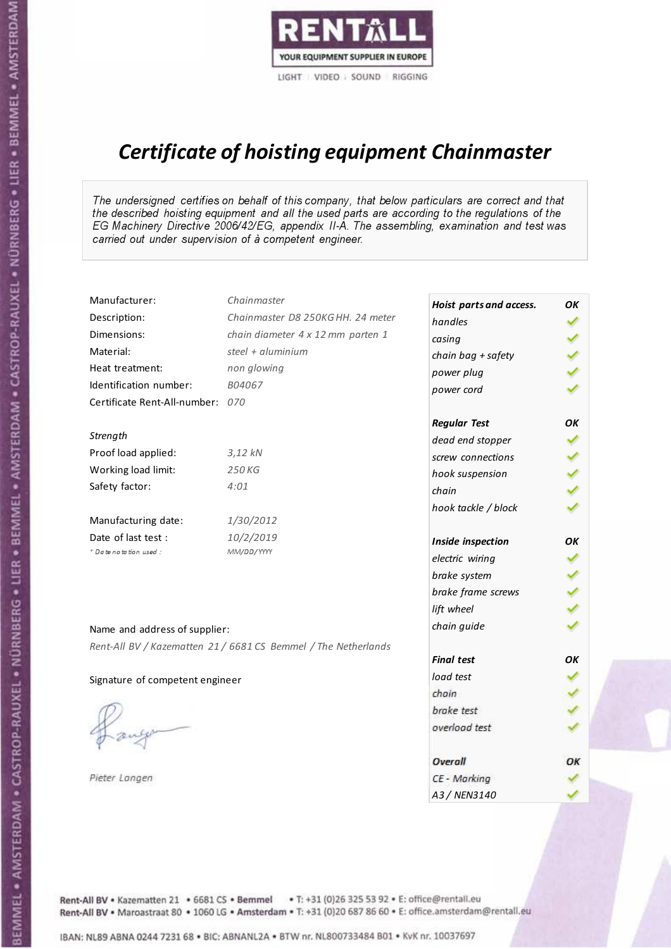

# Certificate of hoisting equipment Chainmaster

The undersigned certifies on behalf of this company, that below particulars are correct and that the described hoisting equipment and all the used parts are according to the regulations of the EG Machinery Directive 2006/42/EG, appendix II-A. The assembling, examination and test was carried out under supervision of à competent engineer.

| Manufacturer:                    | Chainmaster                                                    | Hoist parts and access. | OК            |
|----------------------------------|----------------------------------------------------------------|-------------------------|---------------|
| Description:                     | Chainmaster D8 250KG HH. 24 meter                              | handles                 |               |
| Dimensions:                      | chain diameter 4 x 12 mm parten 1                              | casing                  |               |
| Material:                        | steel + aluminium                                              | chain bag + safety      |               |
| Heat treatment:                  | non glowing                                                    | power plug              |               |
| Identification number:           | B04067                                                         | power cord              |               |
| Certificate Rent-All-number: 070 |                                                                |                         |               |
|                                  |                                                                | <b>Regular Test</b>     | OK            |
| Strength                         |                                                                | dead end stopper        | ✔             |
| Proof load applied:              | $3,12$ $kN$                                                    | screw connections       | ✔             |
| Working load limit:              | 250 KG                                                         | hook suspension         |               |
| Safety factor:                   | 4:01                                                           | chain                   | $\frac{2}{3}$ |
|                                  |                                                                | hook tackle / block     |               |
| Manufacturing date:              | 1/30/2012                                                      |                         |               |
| Date of last test :              | 10/2/2019                                                      | Inside inspection       | ОΚ            |
| + Date notation used :           | MM/DD/YYYY                                                     | electric wiring         | ✓             |
|                                  |                                                                | brake system            |               |
|                                  |                                                                | brake frame screws      | くくく           |
|                                  |                                                                | lift wheel              |               |
| Name and address of supplier:    |                                                                | chain guide             |               |
|                                  | Rent-All BV / Kazematten 21 / 6681 CS Bemmel / The Netherlands |                         |               |
|                                  |                                                                | <b>Final test</b>       | OK            |
| Signature of competent engineer  |                                                                | load test               |               |
|                                  |                                                                | chain                   |               |
|                                  |                                                                | brake test              |               |
|                                  |                                                                | overload test           |               |
|                                  |                                                                | Overall                 | ОК            |
| Pieter Langen                    |                                                                | CE - Marking            |               |
|                                  |                                                                | A3 / NEN3140            |               |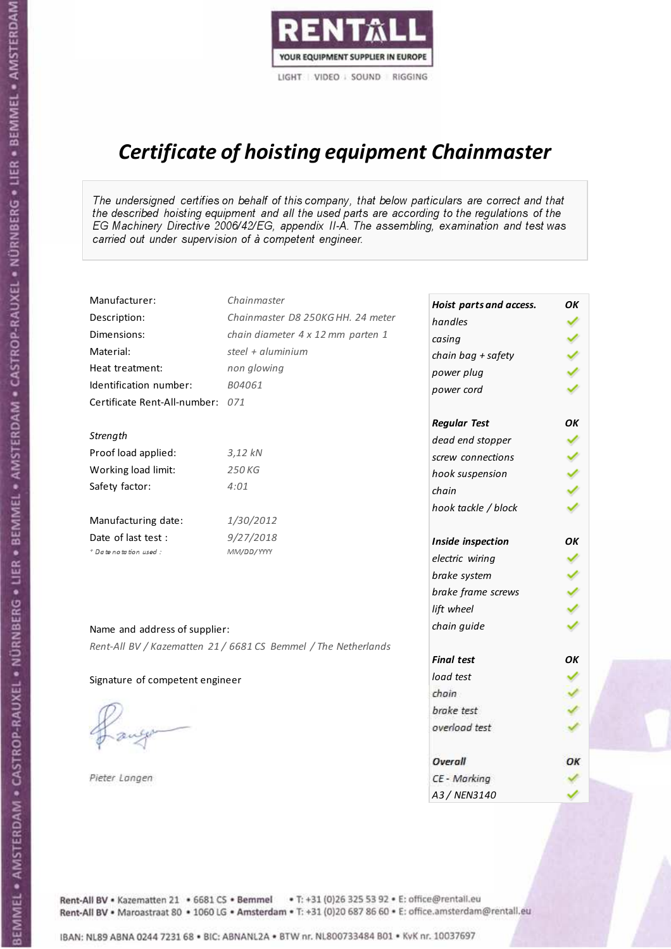

# Certificate of hoisting equipment Chainmaster

The undersigned certifies on behalf of this company, that below particulars are correct and that the described hoisting equipment and all the used parts are according to the regulations of the EG Machinery Directive 2006/42/EG, appendix II-A. The assembling, examination and test was carried out under supervision of à competent engineer.

| Manufacturer:                    | Chainmaster                                                    | Hoist parts and access. | OK  |
|----------------------------------|----------------------------------------------------------------|-------------------------|-----|
| Description:                     | Chainmaster D8 250KG HH. 24 meter                              | handles                 |     |
| Dimensions:                      | chain diameter 4 x 12 mm parten 1                              | casing                  |     |
| Material:                        | steel $+$ aluminium                                            | chain bag + safety      |     |
| Heat treatment:                  | non glowing                                                    | power plug              |     |
| Identification number:           | B04061                                                         | power cord              |     |
| Certificate Rent-All-number: 071 |                                                                |                         |     |
|                                  |                                                                | <b>Regular Test</b>     | OK  |
| Strength                         |                                                                | dead end stopper        |     |
| Proof load applied:              | $3,12$ kN                                                      | screw connections       |     |
| Working load limit:              | 250 KG                                                         | hook suspension         |     |
| Safety factor:                   | 4:01                                                           | chain                   | くくく |
|                                  |                                                                | hook tackle / block     |     |
| Manufacturing date:              | 1/30/2012                                                      |                         |     |
| Date of last test :              | 9/27/2018                                                      | Inside inspection       | ОΚ  |
| * Date notation used :           | MM/DD/YYYY                                                     | electric wiring         | ✔   |
|                                  |                                                                | brake system            |     |
|                                  |                                                                | brake frame screws      |     |
|                                  |                                                                | lift wheel              |     |
| Name and address of supplier:    |                                                                | chain guide             |     |
|                                  | Rent-All BV / Kazematten 21 / 6681 CS Bemmel / The Netherlands |                         |     |
|                                  |                                                                | <b>Final test</b>       | OK  |
| Signature of competent engineer  |                                                                | load test               |     |
|                                  |                                                                | chain                   |     |
|                                  |                                                                | brake test              |     |
|                                  |                                                                | overload test           |     |
|                                  |                                                                | Overall                 | OK  |
| Pieter Langen                    |                                                                | CE - Marking            |     |
|                                  |                                                                | A3 / NEN3140            |     |